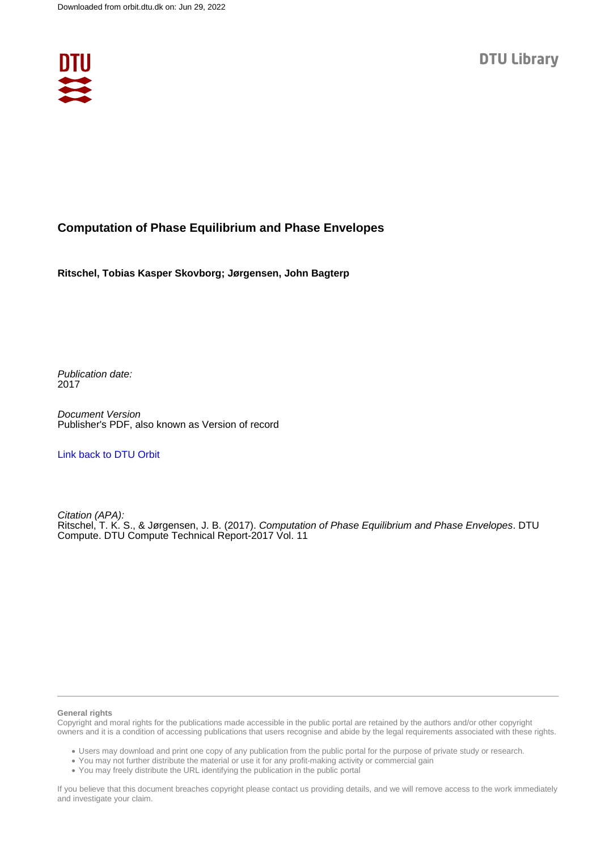

### **Computation of Phase Equilibrium and Phase Envelopes**

**Ritschel, Tobias Kasper Skovborg; Jørgensen, John Bagterp**

Publication date: 2017

Document Version Publisher's PDF, also known as Version of record

[Link back to DTU Orbit](https://orbit.dtu.dk/en/publications/bcd25ae4-ccf2-4e20-9279-459271b6ce73)

Citation (APA): Ritschel, T. K. S., & Jørgensen, J. B. (2017). Computation of Phase Equilibrium and Phase Envelopes. DTU Compute. DTU Compute Technical Report-2017 Vol. 11

#### **General rights**

Copyright and moral rights for the publications made accessible in the public portal are retained by the authors and/or other copyright owners and it is a condition of accessing publications that users recognise and abide by the legal requirements associated with these rights.

Users may download and print one copy of any publication from the public portal for the purpose of private study or research.

- You may not further distribute the material or use it for any profit-making activity or commercial gain
- You may freely distribute the URL identifying the publication in the public portal

If you believe that this document breaches copyright please contact us providing details, and we will remove access to the work immediately and investigate your claim.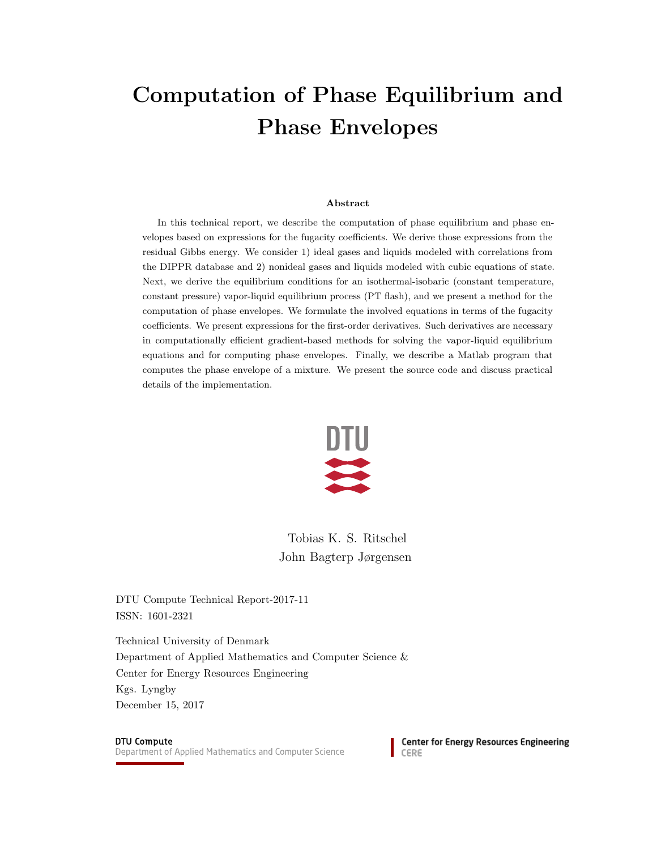# Computation of Phase Equilibrium and Phase Envelopes

#### Abstract

In this technical report, we describe the computation of phase equilibrium and phase envelopes based on expressions for the fugacity coefficients. We derive those expressions from the residual Gibbs energy. We consider 1) ideal gases and liquids modeled with correlations from the DIPPR database and 2) nonideal gases and liquids modeled with cubic equations of state. Next, we derive the equilibrium conditions for an isothermal-isobaric (constant temperature, constant pressure) vapor-liquid equilibrium process (PT flash), and we present a method for the computation of phase envelopes. We formulate the involved equations in terms of the fugacity coefficients. We present expressions for the first-order derivatives. Such derivatives are necessary in computationally efficient gradient-based methods for solving the vapor-liquid equilibrium equations and for computing phase envelopes. Finally, we describe a Matlab program that computes the phase envelope of a mixture. We present the source code and discuss practical details of the implementation.



Tobias K. S. Ritschel John Bagterp Jørgensen

DTU Compute Technical Report-2017-11 ISSN: 1601-2321

Technical University of Denmark Department of Applied Mathematics and Computer Science & Center for Energy Resources Engineering Kgs. Lyngby December 15, 2017

#### **DTU Compute**

Department of Applied Mathematics and Computer Science

**Center for Energy Resources Engineering** CERE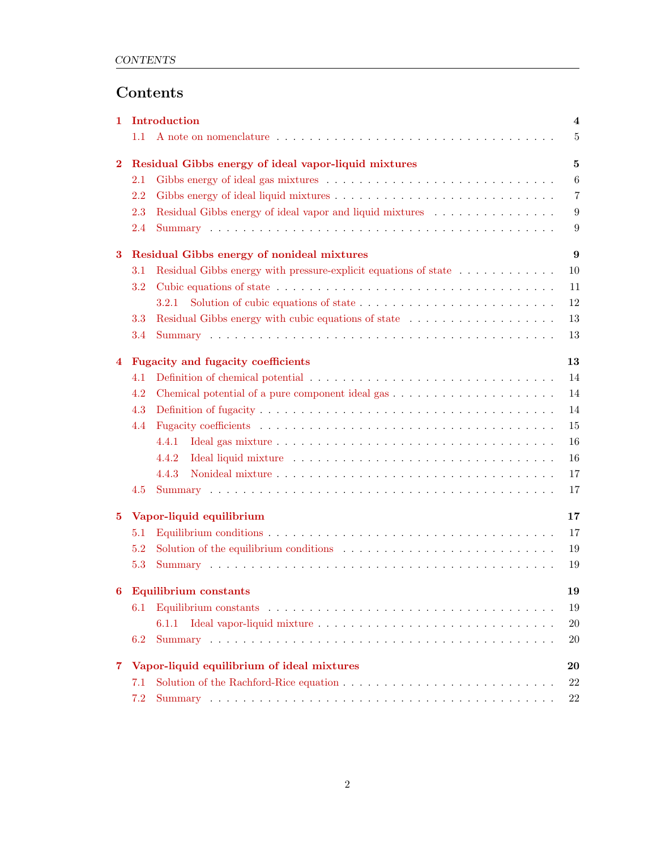## Contents

| 1              | Introduction                                    |                                                                                                                                                                                                                                |                  |  |  |  |  |  |
|----------------|-------------------------------------------------|--------------------------------------------------------------------------------------------------------------------------------------------------------------------------------------------------------------------------------|------------------|--|--|--|--|--|
|                | 1.1                                             |                                                                                                                                                                                                                                | $\overline{5}$   |  |  |  |  |  |
| $\mathbf{2}$   |                                                 | Residual Gibbs energy of ideal vapor-liquid mixtures                                                                                                                                                                           |                  |  |  |  |  |  |
|                | $2.1\,$                                         |                                                                                                                                                                                                                                | $\boldsymbol{6}$ |  |  |  |  |  |
|                | 2.2                                             |                                                                                                                                                                                                                                | $\overline{7}$   |  |  |  |  |  |
|                | 2.3                                             | Residual Gibbs energy of ideal vapor and liquid mixtures $\ldots \ldots \ldots \ldots \ldots$                                                                                                                                  | 9                |  |  |  |  |  |
|                | 2.4                                             |                                                                                                                                                                                                                                | 9                |  |  |  |  |  |
| $\bf{3}$       | Residual Gibbs energy of nonideal mixtures      |                                                                                                                                                                                                                                |                  |  |  |  |  |  |
|                | 3.1                                             | Residual Gibbs energy with pressure-explicit equations of state                                                                                                                                                                | 10               |  |  |  |  |  |
|                | 3.2                                             |                                                                                                                                                                                                                                | 11               |  |  |  |  |  |
|                |                                                 | 3.2.1                                                                                                                                                                                                                          | 12               |  |  |  |  |  |
|                | 3.3                                             | Residual Gibbs energy with cubic equations of state                                                                                                                                                                            | 13               |  |  |  |  |  |
|                | 3.4                                             |                                                                                                                                                                                                                                | 13               |  |  |  |  |  |
| $\overline{4}$ | 13<br><b>Fugacity and fugacity coefficients</b> |                                                                                                                                                                                                                                |                  |  |  |  |  |  |
|                | 4.1                                             |                                                                                                                                                                                                                                | 14               |  |  |  |  |  |
|                | 4.2                                             | 14                                                                                                                                                                                                                             |                  |  |  |  |  |  |
|                | 4.3                                             | 14                                                                                                                                                                                                                             |                  |  |  |  |  |  |
|                | 4.4                                             |                                                                                                                                                                                                                                | 15               |  |  |  |  |  |
|                |                                                 | 4.4.1                                                                                                                                                                                                                          | 16               |  |  |  |  |  |
|                |                                                 | 4.4.2                                                                                                                                                                                                                          | 16               |  |  |  |  |  |
|                |                                                 | 4.4.3                                                                                                                                                                                                                          | 17               |  |  |  |  |  |
|                | 4.5                                             |                                                                                                                                                                                                                                | 17               |  |  |  |  |  |
| $5^{\circ}$    | Vapor-liquid equilibrium<br>17                  |                                                                                                                                                                                                                                |                  |  |  |  |  |  |
|                | 5.1                                             |                                                                                                                                                                                                                                | 17               |  |  |  |  |  |
|                | 5.2                                             | Solution of the equilibrium conditions enterstanding to the equilibrium conditions enterstanding to the equipment of the equipment of the equipment of the equipment of the equipment of the equipment of the equipment of the | 19               |  |  |  |  |  |
|                | 5.3                                             |                                                                                                                                                                                                                                | 19               |  |  |  |  |  |
| 6              | <b>Equilibrium</b> constants                    |                                                                                                                                                                                                                                |                  |  |  |  |  |  |
|                | 6.1                                             |                                                                                                                                                                                                                                | 19               |  |  |  |  |  |
|                |                                                 | 6.1.1                                                                                                                                                                                                                          | 20               |  |  |  |  |  |
|                | 6.2                                             |                                                                                                                                                                                                                                | 20               |  |  |  |  |  |
| $\overline{7}$ | Vapor-liquid equilibrium of ideal mixtures      |                                                                                                                                                                                                                                |                  |  |  |  |  |  |
|                | 7.1                                             |                                                                                                                                                                                                                                | 22               |  |  |  |  |  |
|                | 7.2                                             |                                                                                                                                                                                                                                | 22               |  |  |  |  |  |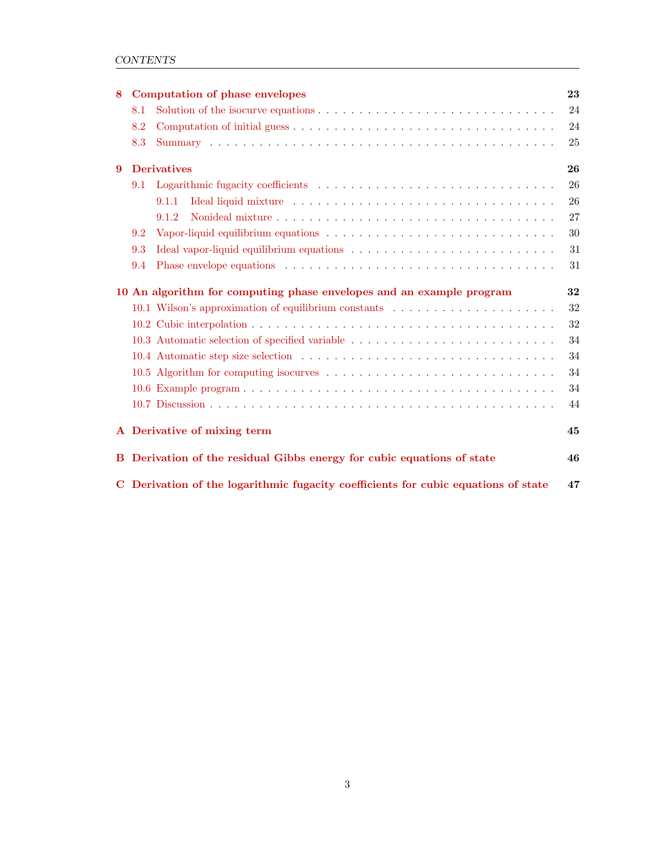| 8                                                                    | Computation of phase envelopes                                                           |    |  |  |  |  |  |  |  |  |
|----------------------------------------------------------------------|------------------------------------------------------------------------------------------|----|--|--|--|--|--|--|--|--|
|                                                                      | 8.1                                                                                      | 24 |  |  |  |  |  |  |  |  |
|                                                                      | 8.2                                                                                      | 24 |  |  |  |  |  |  |  |  |
|                                                                      | 8.3                                                                                      | 25 |  |  |  |  |  |  |  |  |
| $\mathbf{Q}$                                                         | <b>Derivatives</b>                                                                       | 26 |  |  |  |  |  |  |  |  |
|                                                                      | 9.1                                                                                      | 26 |  |  |  |  |  |  |  |  |
|                                                                      | 9.1.1                                                                                    | 26 |  |  |  |  |  |  |  |  |
|                                                                      | 9.1.2                                                                                    | 27 |  |  |  |  |  |  |  |  |
|                                                                      | 9.2                                                                                      | 30 |  |  |  |  |  |  |  |  |
|                                                                      | 9.3                                                                                      | 31 |  |  |  |  |  |  |  |  |
|                                                                      | 9.4                                                                                      | 31 |  |  |  |  |  |  |  |  |
| 10 An algorithm for computing phase envelopes and an example program |                                                                                          |    |  |  |  |  |  |  |  |  |
| 10.1 Wilson's approximation of equilibrium constants                 |                                                                                          |    |  |  |  |  |  |  |  |  |
|                                                                      |                                                                                          | 32 |  |  |  |  |  |  |  |  |
|                                                                      | 10.3 Automatic selection of specified variable                                           | 34 |  |  |  |  |  |  |  |  |
|                                                                      |                                                                                          | 34 |  |  |  |  |  |  |  |  |
|                                                                      |                                                                                          | 34 |  |  |  |  |  |  |  |  |
|                                                                      |                                                                                          | 34 |  |  |  |  |  |  |  |  |
|                                                                      |                                                                                          | 44 |  |  |  |  |  |  |  |  |
|                                                                      | A Derivative of mixing term<br>45                                                        |    |  |  |  |  |  |  |  |  |
|                                                                      | B Derivation of the residual Gibbs energy for cubic equations of state<br>46             |    |  |  |  |  |  |  |  |  |
|                                                                      | C Derivation of the logarithmic fugacity coefficients for cubic equations of state<br>47 |    |  |  |  |  |  |  |  |  |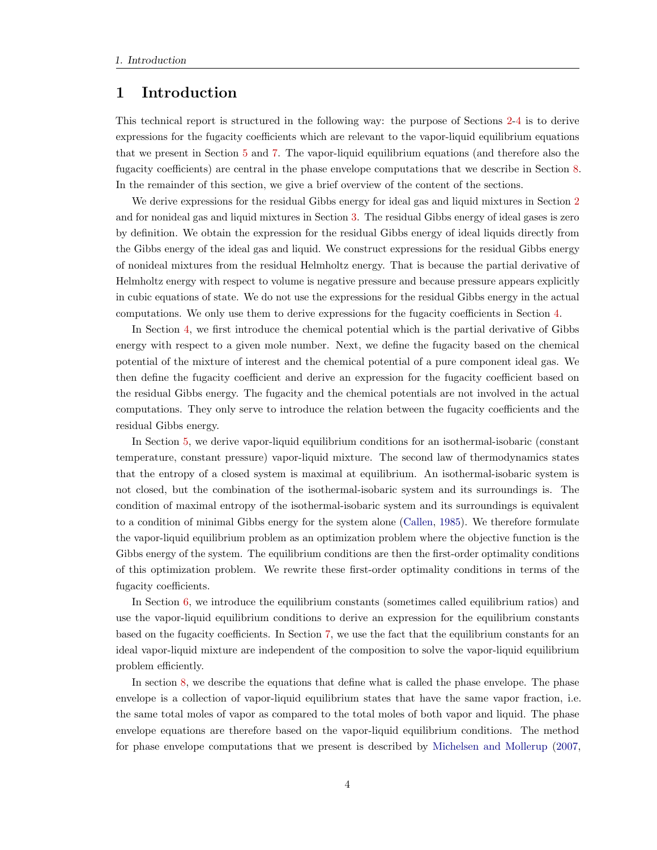### <span id="page-4-0"></span>1 Introduction

This technical report is structured in the following way: the purpose of Sections [2-](#page-5-1)[4](#page-13-2) is to derive expressions for the fugacity coefficients which are relevant to the vapor-liquid equilibrium equations that we present in Section [5](#page-17-2) and [7.](#page-20-2) The vapor-liquid equilibrium equations (and therefore also the fugacity coefficients) are central in the phase envelope computations that we describe in Section [8.](#page-23-0) In the remainder of this section, we give a brief overview of the content of the sections.

We derive expressions for the residual Gibbs energy for ideal gas and liquid mixtures in Section [2](#page-5-1) and for nonideal gas and liquid mixtures in Section [3.](#page-9-2) The residual Gibbs energy of ideal gases is zero by definition. We obtain the expression for the residual Gibbs energy of ideal liquids directly from the Gibbs energy of the ideal gas and liquid. We construct expressions for the residual Gibbs energy of nonideal mixtures from the residual Helmholtz energy. That is because the partial derivative of Helmholtz energy with respect to volume is negative pressure and because pressure appears explicitly in cubic equations of state. We do not use the expressions for the residual Gibbs energy in the actual computations. We only use them to derive expressions for the fugacity coefficients in Section [4.](#page-13-2)

In Section [4,](#page-13-2) we first introduce the chemical potential which is the partial derivative of Gibbs energy with respect to a given mole number. Next, we define the fugacity based on the chemical potential of the mixture of interest and the chemical potential of a pure component ideal gas. We then define the fugacity coefficient and derive an expression for the fugacity coefficient based on the residual Gibbs energy. The fugacity and the chemical potentials are not involved in the actual computations. They only serve to introduce the relation between the fugacity coefficients and the residual Gibbs energy.

In Section [5,](#page-17-2) we derive vapor-liquid equilibrium conditions for an isothermal-isobaric (constant temperature, constant pressure) vapor-liquid mixture. The second law of thermodynamics states that the entropy of a closed system is maximal at equilibrium. An isothermal-isobaric system is not closed, but the combination of the isothermal-isobaric system and its surroundings is. The condition of maximal entropy of the isothermal-isobaric system and its surroundings is equivalent to a condition of minimal Gibbs energy for the system alone [\(Callen,](#page-51-0) [1985\)](#page-51-0). We therefore formulate the vapor-liquid equilibrium problem as an optimization problem where the objective function is the Gibbs energy of the system. The equilibrium conditions are then the first-order optimality conditions of this optimization problem. We rewrite these first-order optimality conditions in terms of the fugacity coefficients.

In Section [6,](#page-19-2) we introduce the equilibrium constants (sometimes called equilibrium ratios) and use the vapor-liquid equilibrium conditions to derive an expression for the equilibrium constants based on the fugacity coefficients. In Section [7,](#page-20-2) we use the fact that the equilibrium constants for an ideal vapor-liquid mixture are independent of the composition to solve the vapor-liquid equilibrium problem efficiently.

In section [8,](#page-23-0) we describe the equations that define what is called the phase envelope. The phase envelope is a collection of vapor-liquid equilibrium states that have the same vapor fraction, i.e. the same total moles of vapor as compared to the total moles of both vapor and liquid. The phase envelope equations are therefore based on the vapor-liquid equilibrium conditions. The method for phase envelope computations that we present is described by [Michelsen and Mollerup](#page-51-1) [\(2007,](#page-51-1)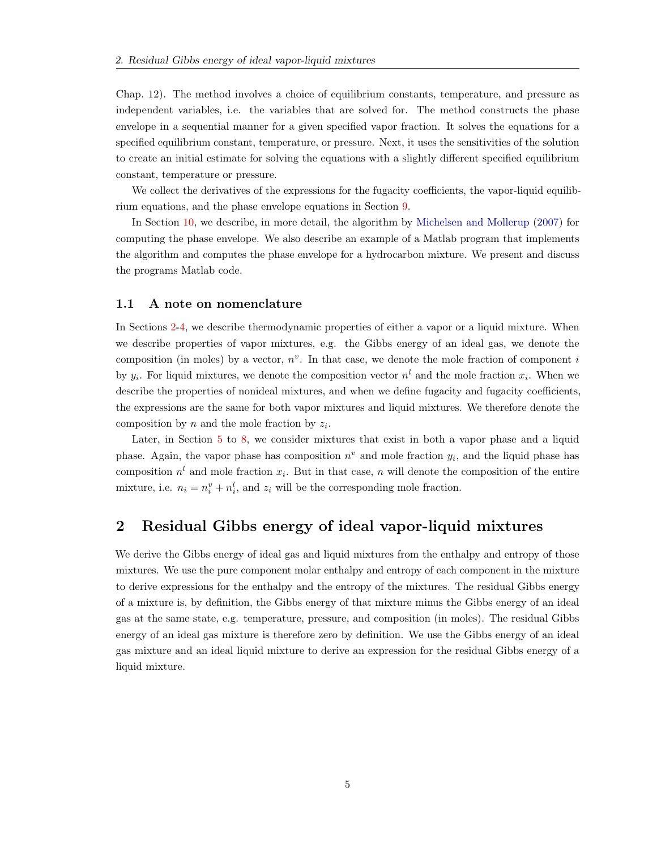Chap. 12). The method involves a choice of equilibrium constants, temperature, and pressure as independent variables, i.e. the variables that are solved for. The method constructs the phase envelope in a sequential manner for a given specified vapor fraction. It solves the equations for a specified equilibrium constant, temperature, or pressure. Next, it uses the sensitivities of the solution to create an initial estimate for solving the equations with a slightly different specified equilibrium constant, temperature or pressure.

We collect the derivatives of the expressions for the fugacity coefficients, the vapor-liquid equilibrium equations, and the phase envelope equations in Section [9.](#page-26-0)

In Section [10,](#page-32-0) we describe, in more detail, the algorithm by [Michelsen and Mollerup](#page-51-1) [\(2007\)](#page-51-1) for computing the phase envelope. We also describe an example of a Matlab program that implements the algorithm and computes the phase envelope for a hydrocarbon mixture. We present and discuss the programs Matlab code.

#### <span id="page-5-0"></span>1.1 A note on nomenclature

In Sections [2](#page-5-1)[-4,](#page-13-2) we describe thermodynamic properties of either a vapor or a liquid mixture. When we describe properties of vapor mixtures, e.g. the Gibbs energy of an ideal gas, we denote the composition (in moles) by a vector,  $n^v$ . In that case, we denote the mole fraction of component i by  $y_i$ . For liquid mixtures, we denote the composition vector  $n^l$  and the mole fraction  $x_i$ . When we describe the properties of nonideal mixtures, and when we define fugacity and fugacity coefficients, the expressions are the same for both vapor mixtures and liquid mixtures. We therefore denote the composition by  $n$  and the mole fraction by  $z_i$ .

Later, in Section [5](#page-17-2) to [8,](#page-23-0) we consider mixtures that exist in both a vapor phase and a liquid phase. Again, the vapor phase has composition  $n^v$  and mole fraction  $y_i$ , and the liquid phase has composition  $n^{l}$  and mole fraction  $x_{i}$ . But in that case, n will denote the composition of the entire mixture, i.e.  $n_i = n_i^v + n_i^l$ , and  $z_i$  will be the corresponding mole fraction.

### <span id="page-5-1"></span>2 Residual Gibbs energy of ideal vapor-liquid mixtures

We derive the Gibbs energy of ideal gas and liquid mixtures from the enthalpy and entropy of those mixtures. We use the pure component molar enthalpy and entropy of each component in the mixture to derive expressions for the enthalpy and the entropy of the mixtures. The residual Gibbs energy of a mixture is, by definition, the Gibbs energy of that mixture minus the Gibbs energy of an ideal gas at the same state, e.g. temperature, pressure, and composition (in moles). The residual Gibbs energy of an ideal gas mixture is therefore zero by definition. We use the Gibbs energy of an ideal gas mixture and an ideal liquid mixture to derive an expression for the residual Gibbs energy of a liquid mixture.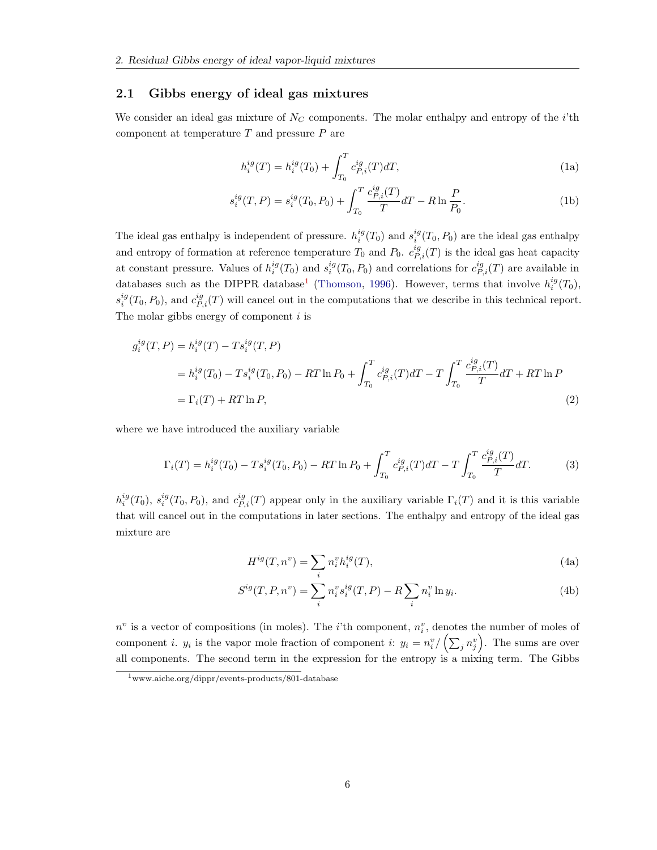#### <span id="page-6-0"></span>2.1 Gibbs energy of ideal gas mixtures

We consider an ideal gas mixture of  $N_C$  components. The molar enthalpy and entropy of the *i*'th component at temperature  $T$  and pressure  $P$  are

<span id="page-6-2"></span>
$$
h_i^{ig}(T) = h_i^{ig}(T_0) + \int_{T_0}^T c_{P,i}^{ig}(T) dT,
$$
\n(1a)

$$
s_i^{ig}(T, P) = s_i^{ig}(T_0, P_0) + \int_{T_0}^{T} \frac{c_{P,i}^{ig}(T)}{T} dT - R \ln \frac{P}{P_0}.
$$
 (1b)

The ideal gas enthalpy is independent of pressure.  $h_i^{ig}(T_0)$  and  $s_i^{ig}(T_0, P_0)$  are the ideal gas enthalpy and entropy of formation at reference temperature  $T_0$  and  $P_0$ .  $c_{P,i}^{ig}(T)$  is the ideal gas heat capacity at constant pressure. Values of  $h_i^{ig}(T_0)$  and  $s_i^{ig}(T_0, P_0)$  and correlations for  $c_{P,i}^{ig}(T)$  are available in databases such as the DIPPR database<sup>[1](#page-6-1)</sup> [\(Thomson,](#page-52-0) [1996\)](#page-52-0). However, terms that involve  $h_i^{ig}(T_0)$ ,  $s_i^{ig}(T_0, P_0)$ , and  $c_{P,i}^{ig}(T)$  will cancel out in the computations that we describe in this technical report. The molar gibbs energy of component  $i$  is

$$
g_i^{ig}(T, P) = h_i^{ig}(T) - Ts_i^{ig}(T, P)
$$
  
= 
$$
h_i^{ig}(T_0) - Ts_i^{ig}(T_0, P_0) - RT \ln P_0 + \int_{T_0}^T c_{P,i}^{ig}(T) dT - T \int_{T_0}^T \frac{c_{P,i}^{ig}(T)}{T} dT + RT \ln P
$$
  
= 
$$
\Gamma_i(T) + RT \ln P,
$$
 (2)

where we have introduced the auxiliary variable

$$
\Gamma_i(T) = h_i^{ig}(T_0) - T s_i^{ig}(T_0, P_0) - RT \ln P_0 + \int_{T_0}^T c_{P,i}^{ig}(T) dT - T \int_{T_0}^T \frac{c_{P,i}^{ig}(T)}{T} dT.
$$
 (3)

 $h_i^{ig}(T_0)$ ,  $s_i^{ig}(T_0, P_0)$ , and  $c_{P,i}^{ig}(T)$  appear only in the auxiliary variable  $\Gamma_i(T)$  and it is this variable that will cancel out in the computations in later sections. The enthalpy and entropy of the ideal gas mixture are

$$
H^{ig}(T, n^v) = \sum_{i} n_i^v h_i^{ig}(T),
$$
\n(4a)

$$
S^{ig}(T, P, n^v) = \sum_{i} n_i^v s_i^{ig}(T, P) - R \sum_{i} n_i^v \ln y_i.
$$
 (4b)

 $n^v$  is a vector of compositions (in moles). The *i*'th component,  $n_i^v$ , denotes the number of moles of component *i*.  $y_i$  is the vapor mole fraction of component *i*:  $y_i = n_i^v / (\sum_j n_j^v)$ . The sums are over all components. The second term in the expression for the entropy is a mixing term. The Gibbs

<span id="page-6-1"></span><sup>1</sup>www.aiche.org/dippr/events-products/801-database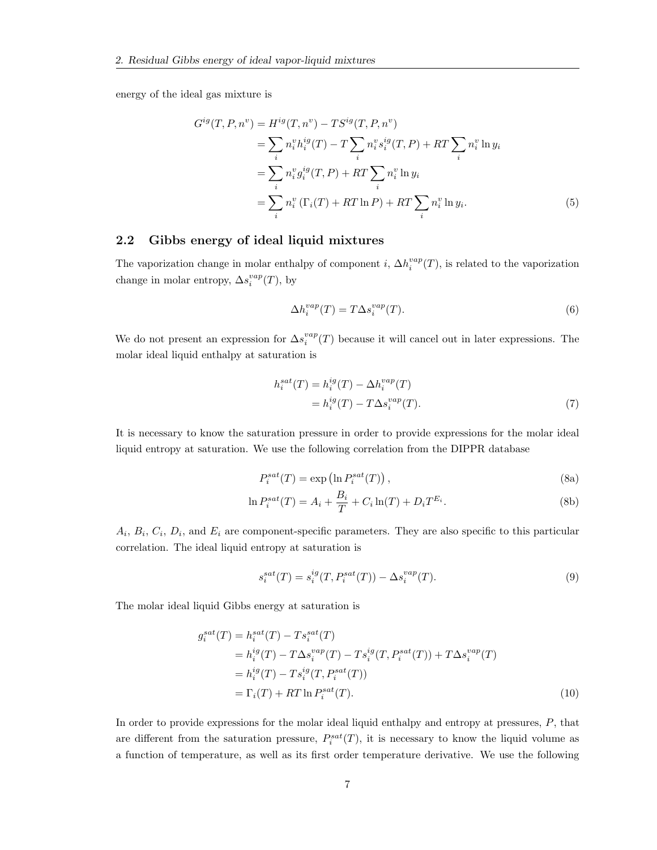energy of the ideal gas mixture is

$$
G^{ig}(T, P, n^v) = H^{ig}(T, n^v) - TS^{ig}(T, P, n^v)
$$
  
=  $\sum_{i} n_i^v h_i^{ig}(T) - T \sum_{i} n_i^v s_i^{ig}(T, P) + RT \sum_{i} n_i^v \ln y_i$   
=  $\sum_{i} n_i^v g_i^{ig}(T, P) + RT \sum_{i} n_i^v \ln y_i$   
=  $\sum_{i} n_i^v (\Gamma_i(T) + RT \ln P) + RT \sum_{i} n_i^v \ln y_i.$  (5)

#### <span id="page-7-0"></span>2.2 Gibbs energy of ideal liquid mixtures

The vaporization change in molar enthalpy of component *i*,  $\Delta h_i^{vap}(T)$ , is related to the vaporization change in molar entropy,  $\Delta s_i^{vap}(T)$ , by

$$
\Delta h_i^{vap}(T) = T \Delta s_i^{vap}(T). \tag{6}
$$

We do not present an expression for  $\Delta s_i^{vap}(T)$  because it will cancel out in later expressions. The molar ideal liquid enthalpy at saturation is

$$
h_i^{sat}(T) = h_i^{ig}(T) - \Delta h_i^{vap}(T)
$$
  
= 
$$
h_i^{ig}(T) - T\Delta s_i^{vap}(T).
$$
 (7)

It is necessary to know the saturation pressure in order to provide expressions for the molar ideal liquid entropy at saturation. We use the following correlation from the DIPPR database

$$
P_i^{sat}(T) = \exp\left(\ln P_i^{sat}(T)\right),\tag{8a}
$$

$$
\ln P_i^{sat}(T) = A_i + \frac{B_i}{T} + C_i \ln(T) + D_i T^{E_i}.
$$
\n(8b)

 $A_i, B_i, C_i, D_i$ , and  $E_i$  are component-specific parameters. They are also specific to this particular correlation. The ideal liquid entropy at saturation is

$$
s_i^{sat}(T) = s_i^{ig}(T, P_i^{sat}(T)) - \Delta s_i^{vap}(T). \tag{9}
$$

The molar ideal liquid Gibbs energy at saturation is

$$
g_i^{sat}(T) = h_i^{sat}(T) - Ts_i^{sat}(T)
$$
  
= 
$$
h_i^{ig}(T) - T\Delta s_i^{vap}(T) - Ts_i^{ig}(T, P_i^{sat}(T)) + T\Delta s_i^{vap}(T)
$$
  
= 
$$
h_i^{ig}(T) - Ts_i^{ig}(T, P_i^{sat}(T))
$$
  
= 
$$
\Gamma_i(T) + RT \ln P_i^{sat}(T).
$$
 (10)

In order to provide expressions for the molar ideal liquid enthalpy and entropy at pressures,  $P$ , that are different from the saturation pressure,  $P_i^{sat}(T)$ , it is necessary to know the liquid volume as a function of temperature, as well as its first order temperature derivative. We use the following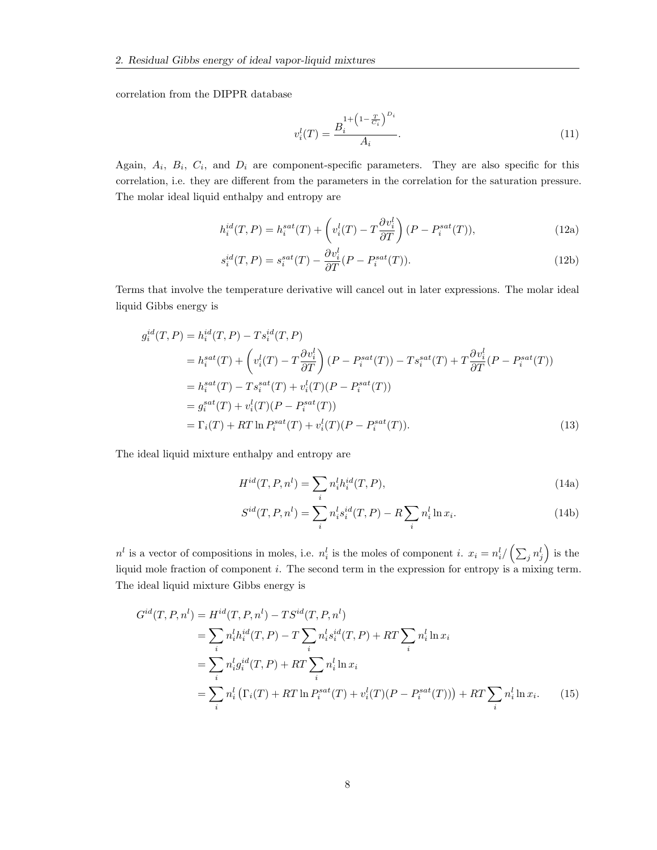correlation from the DIPPR database

$$
v_i^l(T) = \frac{B_i^{1 + \left(1 - \frac{T}{C_i}\right)^{D_i}}}{A_i}.
$$
\n(11)

Again,  $A_i$ ,  $B_i$ ,  $C_i$ , and  $D_i$  are component-specific parameters. They are also specific for this correlation, i.e. they are different from the parameters in the correlation for the saturation pressure. The molar ideal liquid enthalpy and entropy are

$$
h_i^{id}(T, P) = h_i^{sat}(T) + \left(v_i^l(T) - T\frac{\partial v_i^l}{\partial T}\right)(P - P_i^{sat}(T)),\tag{12a}
$$

$$
s_i^{id}(T, P) = s_i^{sat}(T) - \frac{\partial v_i^l}{\partial T}(P - P_i^{sat}(T)).
$$
\n(12b)

Terms that involve the temperature derivative will cancel out in later expressions. The molar ideal liquid Gibbs energy is

$$
g_i^{id}(T, P) = h_i^{id}(T, P) - Ts_i^{id}(T, P)
$$
  
\n
$$
= h_i^{sat}(T) + \left(v_i^l(T) - T\frac{\partial v_i^l}{\partial T}\right)(P - P_i^{sat}(T)) - Ts_i^{sat}(T) + T\frac{\partial v_i^l}{\partial T}(P - P_i^{sat}(T))
$$
  
\n
$$
= h_i^{sat}(T) - Ts_i^{sat}(T) + v_i^l(T)(P - P_i^{sat}(T))
$$
  
\n
$$
= g_i^{sat}(T) + v_i^l(T)(P - P_i^{sat}(T))
$$
  
\n
$$
= \Gamma_i(T) + RT \ln P_i^{sat}(T) + v_i^l(T)(P - P_i^{sat}(T)).
$$
\n(13)

The ideal liquid mixture enthalpy and entropy are

$$
H^{id}(T, P, n^l) = \sum_i n_i^l h_i^{id}(T, P),\tag{14a}
$$

$$
S^{id}(T, P, n^{l}) = \sum_{i} n_{i}^{l} s_{i}^{id}(T, P) - R \sum_{i} n_{i}^{l} \ln x_{i}.
$$
 (14b)

 $n^l$  is a vector of compositions in moles, i.e.  $n_i^l$  is the moles of component i.  $x_i = n_i^l / (\sum_j n_j^l)$  is the liquid mole fraction of component i. The second term in the expression for entropy is a mixing term. The ideal liquid mixture Gibbs energy is

$$
G^{id}(T, P, n^{l}) = H^{id}(T, P, n^{l}) - TS^{id}(T, P, n^{l})
$$
  
=  $\sum_{i} n_{i}^{l} h_{i}^{id}(T, P) - T \sum_{i} n_{i}^{l} s_{i}^{id}(T, P) + RT \sum_{i} n_{i}^{l} \ln x_{i}$   
=  $\sum_{i} n_{i}^{l} g_{i}^{id}(T, P) + RT \sum_{i} n_{i}^{l} \ln x_{i}$   
=  $\sum_{i} n_{i}^{l} (\Gamma_{i}(T) + RT \ln P_{i}^{sat}(T) + v_{i}^{l}(T)(P - P_{i}^{sat}(T))) + RT \sum_{i} n_{i}^{l} \ln x_{i}.$  (15)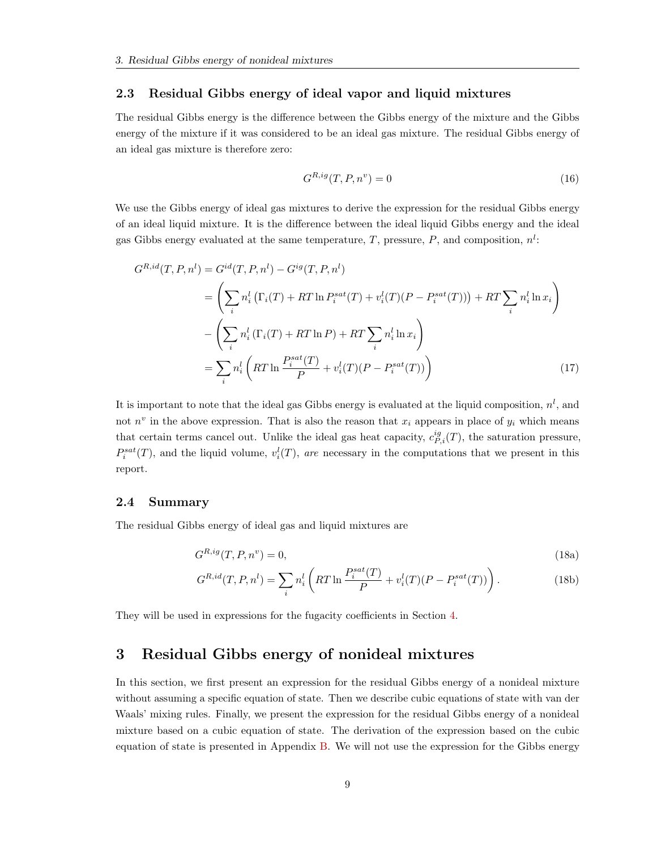#### <span id="page-9-0"></span>2.3 Residual Gibbs energy of ideal vapor and liquid mixtures

The residual Gibbs energy is the difference between the Gibbs energy of the mixture and the Gibbs energy of the mixture if it was considered to be an ideal gas mixture. The residual Gibbs energy of an ideal gas mixture is therefore zero:

$$
G^{R,ig}(T, P, n^v) = 0\tag{16}
$$

We use the Gibbs energy of ideal gas mixtures to derive the expression for the residual Gibbs energy of an ideal liquid mixture. It is the difference between the ideal liquid Gibbs energy and the ideal gas Gibbs energy evaluated at the same temperature, T, pressure, P, and composition,  $n!$ :

$$
G^{R,id}(T, P, n^l) = G^{id}(T, P, n^l) - G^{ig}(T, P, n^l)
$$
  
\n
$$
= \left(\sum_i n_i^l \left(\Gamma_i(T) + RT \ln P_i^{sat}(T) + v_i^l(T)(P - P_i^{sat}(T))\right) + RT \sum_i n_i^l \ln x_i\right)
$$
  
\n
$$
- \left(\sum_i n_i^l \left(\Gamma_i(T) + RT \ln P\right) + RT \sum_i n_i^l \ln x_i\right)
$$
  
\n
$$
= \sum_i n_i^l \left(RT \ln \frac{P_i^{sat}(T)}{P} + v_i^l(T)(P - P_i^{sat}(T))\right)
$$
(17)

It is important to note that the ideal gas Gibbs energy is evaluated at the liquid composition,  $n^{l}$ , and not  $n^v$  in the above expression. That is also the reason that  $x_i$  appears in place of  $y_i$  which means that certain terms cancel out. Unlike the ideal gas heat capacity,  $c_{P,i}^{ig}(T)$ , the saturation pressure,  $P_i^{sat}(T)$ , and the liquid volume,  $v_i^l(T)$ , are necessary in the computations that we present in this report.

#### <span id="page-9-1"></span>2.4 Summary

The residual Gibbs energy of ideal gas and liquid mixtures are

$$
G^{R,ig}(T,P,n^v) = 0,\t\t(18a)
$$

$$
G^{R,id}(T, P, n^l) = \sum_i n_i^l \left( RT \ln \frac{P_i^{sat}(T)}{P} + v_i^l(T)(P - P_i^{sat}(T)) \right). \tag{18b}
$$

They will be used in expressions for the fugacity coefficients in Section [4.](#page-13-2)

### <span id="page-9-2"></span>3 Residual Gibbs energy of nonideal mixtures

In this section, we first present an expression for the residual Gibbs energy of a nonideal mixture without assuming a specific equation of state. Then we describe cubic equations of state with van der Waals' mixing rules. Finally, we present the expression for the residual Gibbs energy of a nonideal mixture based on a cubic equation of state. The derivation of the expression based on the cubic equation of state is presented in Appendix [B.](#page-46-0) We will not use the expression for the Gibbs energy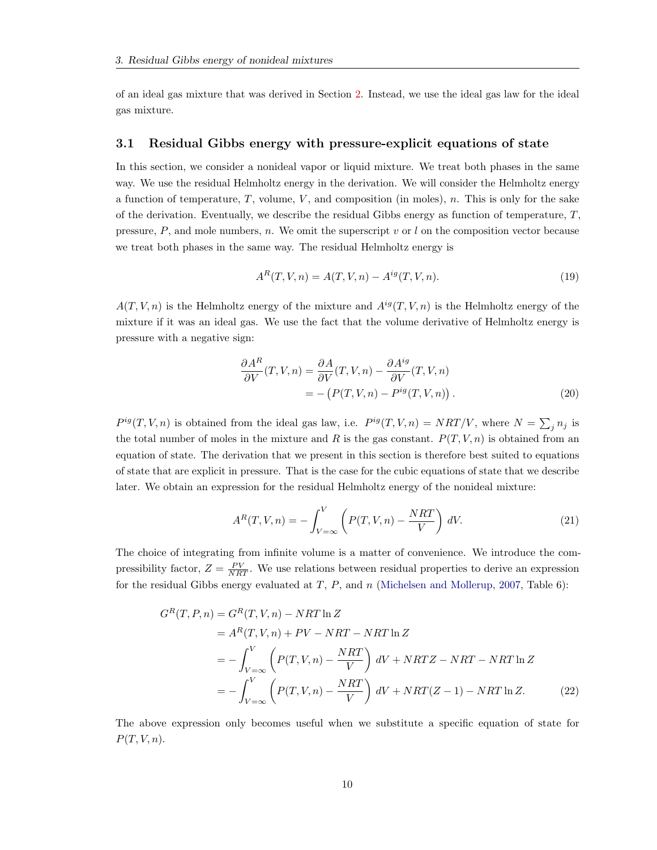of an ideal gas mixture that was derived in Section [2.](#page-5-1) Instead, we use the ideal gas law for the ideal gas mixture.

#### <span id="page-10-0"></span>3.1 Residual Gibbs energy with pressure-explicit equations of state

In this section, we consider a nonideal vapor or liquid mixture. We treat both phases in the same way. We use the residual Helmholtz energy in the derivation. We will consider the Helmholtz energy a function of temperature,  $T$ , volume,  $V$ , and composition (in moles),  $n$ . This is only for the sake of the derivation. Eventually, we describe the residual Gibbs energy as function of temperature,  $T$ , pressure,  $P$ , and mole numbers,  $n$ . We omit the superscript  $v$  or  $l$  on the composition vector because we treat both phases in the same way. The residual Helmholtz energy is

$$
A^{R}(T, V, n) = A(T, V, n) - A^{ig}(T, V, n).
$$
\n(19)

 $A(T, V, n)$  is the Helmholtz energy of the mixture and  $A^{ig}(T, V, n)$  is the Helmholtz energy of the mixture if it was an ideal gas. We use the fact that the volume derivative of Helmholtz energy is pressure with a negative sign:

$$
\frac{\partial A^R}{\partial V}(T, V, n) = \frac{\partial A}{\partial V}(T, V, n) - \frac{\partial A^{ig}}{\partial V}(T, V, n)
$$

$$
= -\left(P(T, V, n) - P^{ig}(T, V, n)\right). \tag{20}
$$

 $P^{ig}(T, V, n)$  is obtained from the ideal gas law, i.e.  $P^{ig}(T, V, n) = NRT/V$ , where  $N = \sum_j n_j$  is the total number of moles in the mixture and R is the gas constant.  $P(T, V, n)$  is obtained from an equation of state. The derivation that we present in this section is therefore best suited to equations of state that are explicit in pressure. That is the case for the cubic equations of state that we describe later. We obtain an expression for the residual Helmholtz energy of the nonideal mixture:

$$
A^{R}(T, V, n) = -\int_{V=\infty}^{V} \left( P(T, V, n) - \frac{NRT}{V} \right) dV.
$$
 (21)

The choice of integrating from infinite volume is a matter of convenience. We introduce the compressibility factor,  $Z = \frac{PV}{NRT}$ . We use relations between residual properties to derive an expression for the residual Gibbs energy evaluated at  $T$ ,  $P$ , and  $n$  [\(Michelsen and Mollerup,](#page-51-1) [2007,](#page-51-1) Table 6):

$$
G^{R}(T, P, n) = G^{R}(T, V, n) - NRT \ln Z
$$
  
=  $A^{R}(T, V, n) + PV - NRT - NRT \ln Z$   
=  $-\int_{V=\infty}^{V} \left( P(T, V, n) - \frac{NRT}{V} \right) dV + NRTZ - NRT - NRT \ln Z$   
=  $-\int_{V=\infty}^{V} \left( P(T, V, n) - \frac{NRT}{V} \right) dV + NRT(Z - 1) - NRT \ln Z.$  (22)

The above expression only becomes useful when we substitute a specific equation of state for  $P(T, V, n)$ .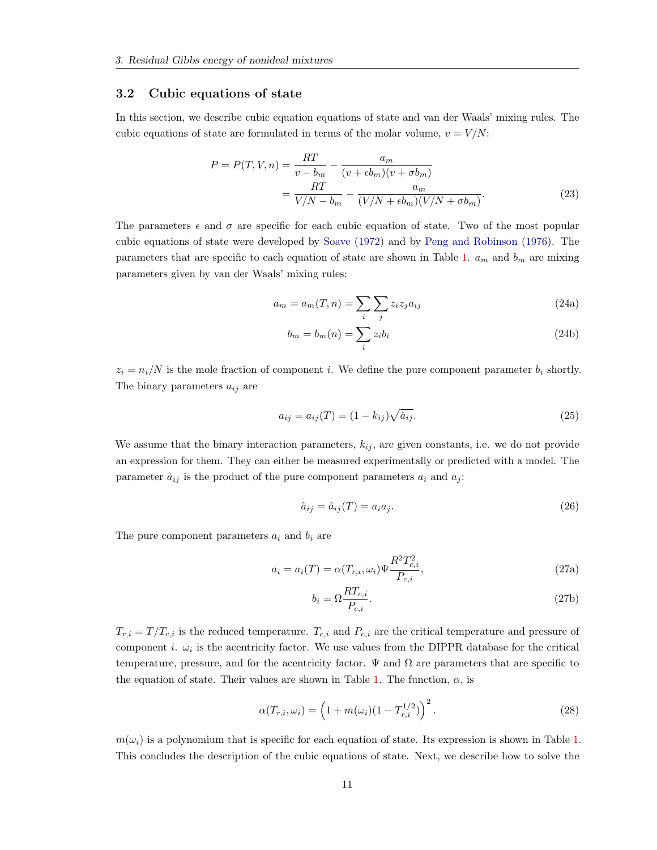#### <span id="page-11-0"></span>3.2 Cubic equations of state

In this section, we describe cubic equation equations of state and van der Waals' mixing rules. The cubic equations of state are formulated in terms of the molar volume,  $v = V/N$ :

$$
P = P(T, V, n) = \frac{RT}{v - b_m} - \frac{a_m}{(v + \epsilon b_m)(v + \sigma b_m)}
$$

$$
= \frac{RT}{V/N - b_m} - \frac{a_m}{(V/N + \epsilon b_m)(V/N + \sigma b_m)}.
$$
(23)

The parameters  $\epsilon$  and  $\sigma$  are specific for each cubic equation of state. Two of the most popular cubic equations of state were developed by [Soave](#page-52-1) [\(1972\)](#page-52-1) and by [Peng and Robinson](#page-51-2) [\(1976\)](#page-51-2). The parameters that are specific to each equation of state are shown in Table [1.](#page-12-1)  $a_m$  and  $b_m$  are mixing parameters given by van der Waals' mixing rules:

$$
a_m = a_m(T, n) = \sum_i \sum_j z_i z_j a_{ij}
$$
\n(24a)

$$
b_m = b_m(n) = \sum_i z_i b_i \tag{24b}
$$

 $z_i = n_i/N$  is the mole fraction of component i. We define the pure component parameter  $b_i$  shortly. The binary parameters  $a_{ij}$  are

$$
a_{ij} = a_{ij}(T) = (1 - k_{ij})\sqrt{\hat{a}_{ij}}.
$$
\n(25)

We assume that the binary interaction parameters,  $k_{ij}$ , are given constants, i.e. we do not provide an expression for them. They can either be measured experimentally or predicted with a model. The parameter  $\hat{a}_{ij}$  is the product of the pure component parameters  $a_i$  and  $a_j$ :

$$
\hat{a}_{ij} = \hat{a}_{ij}(T) = a_i a_j. \tag{26}
$$

The pure component parameters  $a_i$  and  $b_i$  are

$$
a_i = a_i(T) = \alpha(T_{r,i}, \omega_i) \Psi \frac{R^2 T_{c,i}^2}{P_{c,i}},
$$
\n(27a)

$$
b_i = \Omega \frac{RT_{c,i}}{P_{c,i}}.\t(27b)
$$

 $T_{r,i} = T/T_{c,i}$  is the reduced temperature.  $T_{c,i}$  and  $P_{c,i}$  are the critical temperature and pressure of component *i*.  $\omega_i$  is the acentricity factor. We use values from the DIPPR database for the critical temperature, pressure, and for the acentricity factor.  $\Psi$  and  $\Omega$  are parameters that are specific to the equation of state. Their values are shown in Table [1.](#page-12-1) The function,  $\alpha$ , is

$$
\alpha(T_{r,i}, \omega_i) = \left(1 + m(\omega_i)(1 - T_{r,i}^{1/2})\right)^2.
$$
\n(28)

 $m(\omega_i)$  is a polynomium that is specific for each equation of state. Its expression is shown in Table [1.](#page-12-1) This concludes the description of the cubic equations of state. Next, we describe how to solve the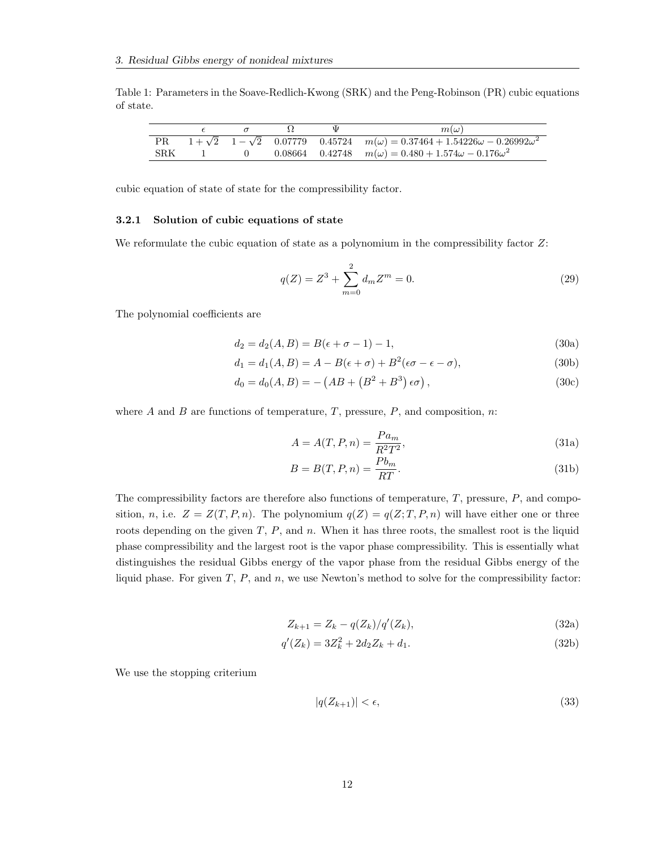<span id="page-12-1"></span>Table 1: Parameters in the Soave-Redlich-Kwong (SRK) and the Peng-Robinson (PR) cubic equations of state.

|     |  |  | $m(\omega)$                                                                                       |
|-----|--|--|---------------------------------------------------------------------------------------------------|
|     |  |  | $1+\sqrt{2}$ $1-\sqrt{2}$ 0.07779 0.45724 $m(\omega) = 0.37464 + 1.54226\omega - 0.26992\omega^2$ |
| SRK |  |  | 0.08664 0.42748 $m(\omega) = 0.480 + 1.574\omega - 0.176\omega^2$                                 |

cubic equation of state of state for the compressibility factor.

#### <span id="page-12-0"></span>3.2.1 Solution of cubic equations of state

We reformulate the cubic equation of state as a polynomium in the compressibility factor  $Z$ :

$$
q(Z) = Z^3 + \sum_{m=0}^{2} d_m Z^m = 0.
$$
 (29)

The polynomial coefficients are

$$
d_2 = d_2(A, B) = B(\epsilon + \sigma - 1) - 1,\tag{30a}
$$

$$
d_1 = d_1(A, B) = A - B(\epsilon + \sigma) + B^2(\epsilon\sigma - \epsilon - \sigma),
$$
\n(30b)

$$
d_0 = d_0(A, B) = - (AB + (B^2 + B^3) \epsilon \sigma), \qquad (30c)
$$

where A and B are functions of temperature, T, pressure,  $P$ , and composition, n:

$$
A = A(T, P, n) = \frac{Pa_m}{R^2 T^2},\tag{31a}
$$

$$
B = B(T, P, n) = \frac{Pb_m}{RT}.
$$
\n(31b)

The compressibility factors are therefore also functions of temperature,  $T$ , pressure,  $P$ , and composition, n, i.e.  $Z = Z(T, P, n)$ . The polynomium  $q(Z) = q(Z; T, P, n)$  will have either one or three roots depending on the given  $T$ ,  $P$ , and  $n$ . When it has three roots, the smallest root is the liquid phase compressibility and the largest root is the vapor phase compressibility. This is essentially what distinguishes the residual Gibbs energy of the vapor phase from the residual Gibbs energy of the liquid phase. For given  $T$ ,  $P$ , and  $n$ , we use Newton's method to solve for the compressibility factor:

$$
Z_{k+1} = Z_k - q(Z_k) / q'(Z_k),
$$
\n(32a)

$$
q'(Z_k) = 3Z_k^2 + 2d_2Z_k + d_1.
$$
\n(32b)

We use the stopping criterium

$$
|q(Z_{k+1})| < \epsilon,\tag{33}
$$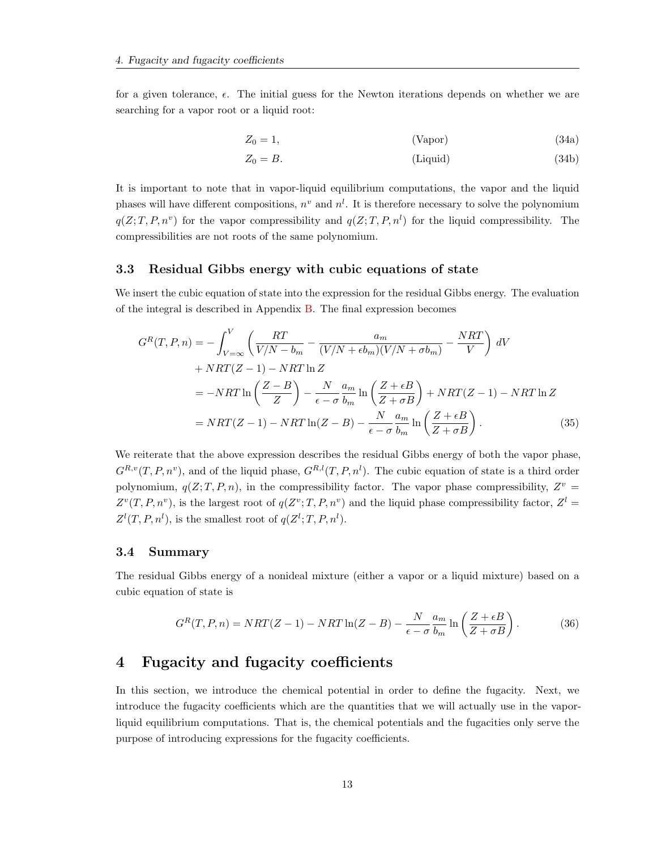for a given tolerance,  $\epsilon$ . The initial guess for the Newton iterations depends on whether we are searching for a vapor root or a liquid root:

$$
Z_0 = 1,\t\t \t (Vapor)\t\t (34a)
$$

<span id="page-13-3"></span>
$$
Z_0 = B.
$$
 (Liquid) (34b)

It is important to note that in vapor-liquid equilibrium computations, the vapor and the liquid phases will have different compositions,  $n^v$  and  $n^l$ . It is therefore necessary to solve the polynomium  $q(Z; T, P, n^v)$  for the vapor compressibility and  $q(Z; T, P, n^l)$  for the liquid compressibility. The compressibilities are not roots of the same polynomium.

#### <span id="page-13-0"></span>3.3 Residual Gibbs energy with cubic equations of state

We insert the cubic equation of state into the expression for the residual Gibbs energy. The evaluation of the integral is described in Appendix [B.](#page-46-0) The final expression becomes

$$
G^{R}(T, P, n) = -\int_{V=\infty}^{V} \left( \frac{RT}{V/N - b_{m}} - \frac{a_{m}}{(V/N + \epsilon b_{m})(V/N + \sigma b_{m})} - \frac{NRT}{V} \right) dV
$$
  
+  $NRT(Z - 1) - NRT \ln Z$   
=  $-NRT \ln \left( \frac{Z - B}{Z} \right) - \frac{N}{\epsilon - \sigma} \frac{a_{m}}{b_{m}} \ln \left( \frac{Z + \epsilon B}{Z + \sigma B} \right) + NRT(Z - 1) - NRT \ln Z$   
=  $NRT(Z - 1) - NRT \ln(Z - B) - \frac{N}{\epsilon - \sigma} \frac{a_{m}}{b_{m}} \ln \left( \frac{Z + \epsilon B}{Z + \sigma B} \right).$  (35)

We reiterate that the above expression describes the residual Gibbs energy of both the vapor phase,  $G^{R,v}(T, P, n^v)$ , and of the liquid phase,  $G^{R,l}(T, P, n^l)$ . The cubic equation of state is a third order polynomium,  $q(Z; T, P, n)$ , in the compressibility factor. The vapor phase compressibility,  $Z^v =$  $Z^v(T, P, n^v)$ , is the largest root of  $q(Z^v; T, P, n^v)$  and the liquid phase compressibility factor,  $Z^l =$  $Z^l(T, P, n^l)$ , is the smallest root of  $q(Z^l; T, P, n^l)$ .

#### <span id="page-13-1"></span>3.4 Summary

The residual Gibbs energy of a nonideal mixture (either a vapor or a liquid mixture) based on a cubic equation of state is

$$
G^{R}(T, P, n) = NRT(Z - 1) - NRT \ln(Z - B) - \frac{N}{\epsilon - \sigma} \frac{a_{m}}{b_{m}} \ln\left(\frac{Z + \epsilon B}{Z + \sigma B}\right). \tag{36}
$$

### <span id="page-13-2"></span>4 Fugacity and fugacity coefficients

In this section, we introduce the chemical potential in order to define the fugacity. Next, we introduce the fugacity coefficients which are the quantities that we will actually use in the vaporliquid equilibrium computations. That is, the chemical potentials and the fugacities only serve the purpose of introducing expressions for the fugacity coefficients.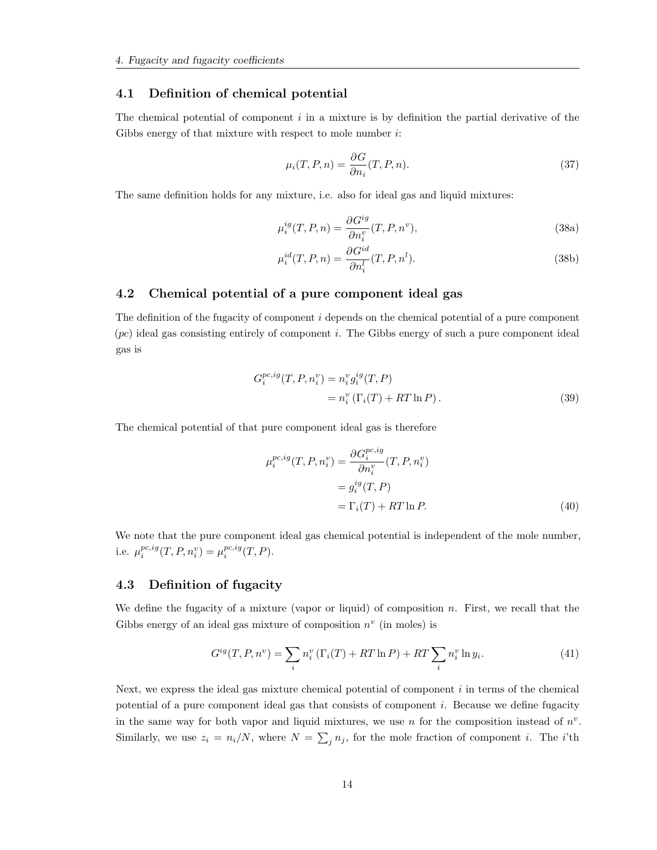#### <span id="page-14-0"></span>4.1 Definition of chemical potential

The chemical potential of component  $i$  in a mixture is by definition the partial derivative of the Gibbs energy of that mixture with respect to mole number  $i$ :

$$
\mu_i(T, P, n) = \frac{\partial G}{\partial n_i}(T, P, n). \tag{37}
$$

The same definition holds for any mixture, i.e. also for ideal gas and liquid mixtures:

$$
\mu_i^{ig}(T, P, n) = \frac{\partial G^{ig}}{\partial n_i^v}(T, P, n^v),\tag{38a}
$$

$$
\mu_i^{id}(T, P, n) = \frac{\partial G^{id}}{\partial n_i^l}(T, P, n^l). \tag{38b}
$$

#### <span id="page-14-1"></span>4.2 Chemical potential of a pure component ideal gas

The definition of the fugacity of component  $i$  depends on the chemical potential of a pure component  $(pc)$  ideal gas consisting entirely of component i. The Gibbs energy of such a pure component ideal gas is

$$
G_i^{pc,ig}(T, P, n_i^v) = n_i^v g_i^{ig}(T, P)
$$
  
=  $n_i^v (\Gamma_i(T) + RT \ln P).$  (39)

The chemical potential of that pure component ideal gas is therefore

$$
\mu_i^{pc,ig}(T, P, n_i^v) = \frac{\partial G_i^{pc,ig}}{\partial n_i^v}(T, P, n_i^v)
$$

$$
= g_i^{ig}(T, P)
$$

$$
= \Gamma_i(T) + RT \ln P.
$$
(40)

We note that the pure component ideal gas chemical potential is independent of the mole number, i.e.  $\mu_i^{pc,ig}(T, P, n_i^v) = \mu_i^{pc,ig}(T, P)$ .

#### <span id="page-14-2"></span>4.3 Definition of fugacity

We define the fugacity of a mixture (vapor or liquid) of composition  $n$ . First, we recall that the Gibbs energy of an ideal gas mixture of composition  $n^v$  (in moles) is

<span id="page-14-3"></span>
$$
G^{ig}(T, P, n^v) = \sum_{i} n_i^v \left( \Gamma_i(T) + RT \ln P \right) + RT \sum_{i} n_i^v \ln y_i. \tag{41}
$$

Next, we express the ideal gas mixture chemical potential of component  $i$  in terms of the chemical potential of a pure component ideal gas that consists of component i. Because we define fugacity in the same way for both vapor and liquid mixtures, we use n for the composition instead of  $n^v$ . Similarly, we use  $z_i = n_i/N$ , where  $N = \sum_j n_j$ , for the mole fraction of component *i*. The *i*'th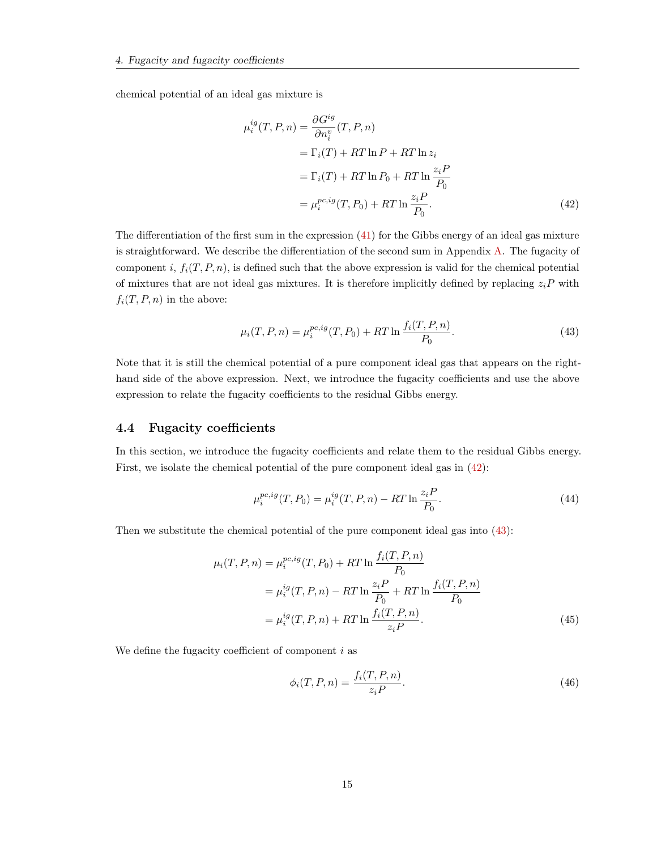chemical potential of an ideal gas mixture is

<span id="page-15-1"></span>
$$
\mu_i^{ig}(T, P, n) = \frac{\partial G^{ig}}{\partial n_i^v}(T, P, n)
$$
  
=  $\Gamma_i(T) + RT \ln P + RT \ln z_i$   
=  $\Gamma_i(T) + RT \ln P_0 + RT \ln \frac{z_i P}{P_0}$   
=  $\mu_i^{pc, ig}(T, P_0) + RT \ln \frac{z_i P}{P_0}$ . (42)

The differentiation of the first sum in the expression [\(41\)](#page-14-3) for the Gibbs energy of an ideal gas mixture is straightforward. We describe the differentiation of the second sum in Appendix [A.](#page-45-0) The fugacity of component i,  $f_i(T, P, n)$ , is defined such that the above expression is valid for the chemical potential of mixtures that are not ideal gas mixtures. It is therefore implicitly defined by replacing  $z_iP$  with  $f_i(T, P, n)$  in the above:

<span id="page-15-2"></span>
$$
\mu_i(T, P, n) = \mu_i^{pc, ig}(T, P_0) + RT \ln \frac{f_i(T, P, n)}{P_0}.
$$
\n(43)

Note that it is still the chemical potential of a pure component ideal gas that appears on the righthand side of the above expression. Next, we introduce the fugacity coefficients and use the above expression to relate the fugacity coefficients to the residual Gibbs energy.

#### <span id="page-15-0"></span>4.4 Fugacity coefficients

In this section, we introduce the fugacity coefficients and relate them to the residual Gibbs energy. First, we isolate the chemical potential of the pure component ideal gas in [\(42\)](#page-15-1):

$$
\mu_i^{pc,ig}(T, P_0) = \mu_i^{ig}(T, P, n) - RT \ln \frac{z_i P}{P_0}.
$$
\n(44)

Then we substitute the chemical potential of the pure component ideal gas into [\(43\)](#page-15-2):

$$
\mu_i(T, P, n) = \mu_i^{pc, ig}(T, P_0) + RT \ln \frac{f_i(T, P, n)}{P_0}
$$
  
= 
$$
\mu_i^{ig}(T, P, n) - RT \ln \frac{z_i P}{P_0} + RT \ln \frac{f_i(T, P, n)}{P_0}
$$
  
= 
$$
\mu_i^{ig}(T, P, n) + RT \ln \frac{f_i(T, P, n)}{z_i P}.
$$
 (45)

We define the fugacity coefficient of component  $i$  as

<span id="page-15-3"></span>
$$
\phi_i(T, P, n) = \frac{f_i(T, P, n)}{z_i P}.
$$
\n(46)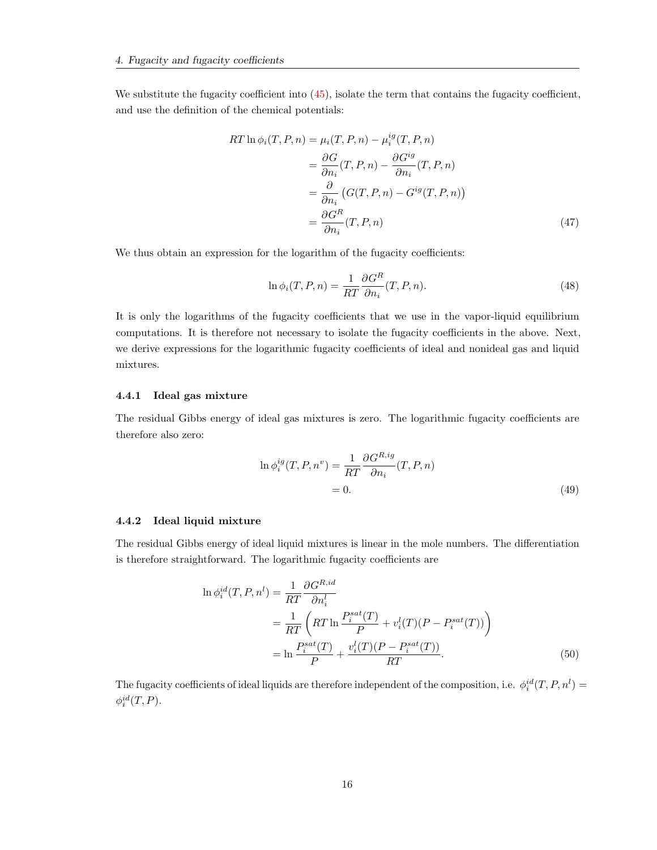We substitute the fugacity coefficient into  $(45)$ , isolate the term that contains the fugacity coefficient, and use the definition of the chemical potentials:

$$
RT \ln \phi_i(T, P, n) = \mu_i(T, P, n) - \mu_i^{ig}(T, P, n)
$$
  
= 
$$
\frac{\partial G}{\partial n_i}(T, P, n) - \frac{\partial G^{ig}}{\partial n_i}(T, P, n)
$$
  
= 
$$
\frac{\partial}{\partial n_i} (G(T, P, n) - G^{ig}(T, P, n))
$$
  
= 
$$
\frac{\partial G^R}{\partial n_i}(T, P, n)
$$
 (47)

We thus obtain an expression for the logarithm of the fugacity coefficients:

$$
\ln \phi_i(T, P, n) = \frac{1}{RT} \frac{\partial G^R}{\partial n_i}(T, P, n). \tag{48}
$$

It is only the logarithms of the fugacity coefficients that we use in the vapor-liquid equilibrium computations. It is therefore not necessary to isolate the fugacity coefficients in the above. Next, we derive expressions for the logarithmic fugacity coefficients of ideal and nonideal gas and liquid mixtures.

#### <span id="page-16-0"></span>4.4.1 Ideal gas mixture

The residual Gibbs energy of ideal gas mixtures is zero. The logarithmic fugacity coefficients are therefore also zero:

$$
\ln \phi_i^{ig}(T, P, n^v) = \frac{1}{RT} \frac{\partial G^{R,ig}}{\partial n_i}(T, P, n)
$$

$$
= 0.
$$
 (49)

#### <span id="page-16-1"></span>4.4.2 Ideal liquid mixture

The residual Gibbs energy of ideal liquid mixtures is linear in the mole numbers. The differentiation is therefore straightforward. The logarithmic fugacity coefficients are

$$
\ln \phi_i^{id}(T, P, n^l) = \frac{1}{RT} \frac{\partial G^{R,id}}{\partial n_i^l}
$$
  
= 
$$
\frac{1}{RT} \left( RT \ln \frac{P_i^{sat}(T)}{P} + v_i^l(T)(P - P_i^{sat}(T)) \right)
$$
  
= 
$$
\ln \frac{P_i^{sat}(T)}{P} + \frac{v_i^l(T)(P - P_i^{sat}(T))}{RT}.
$$
 (50)

The fugacity coefficients of ideal liquids are therefore independent of the composition, i.e.  $\phi_i^{id}(T, P, n^l) =$  $\phi_i^{id}(T,P).$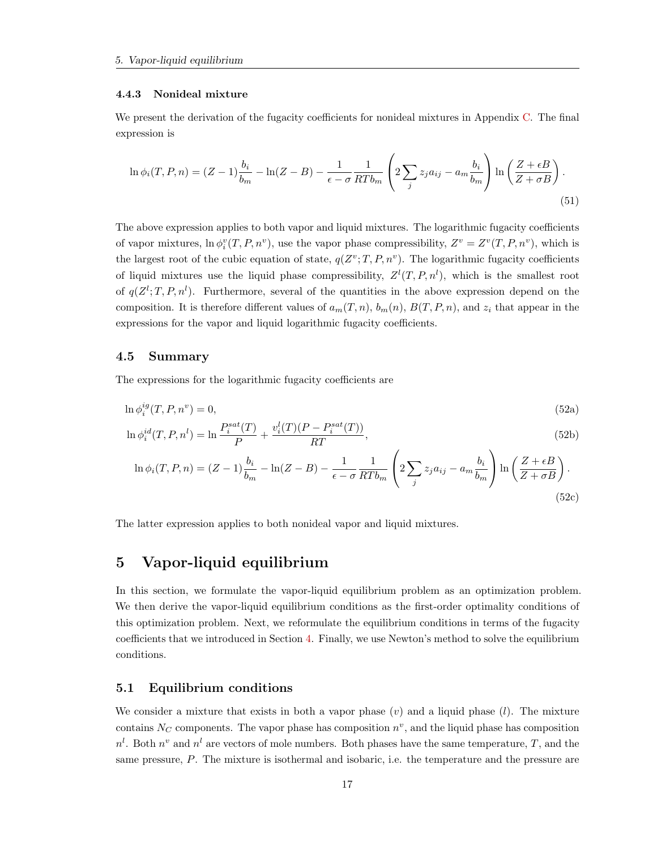#### <span id="page-17-0"></span>4.4.3 Nonideal mixture

We present the derivation of the fugacity coefficients for nonideal mixtures in Appendix [C.](#page-47-0) The final expression is

$$
\ln \phi_i(T, P, n) = (Z - 1)\frac{b_i}{b_m} - \ln(Z - B) - \frac{1}{\epsilon - \sigma} \frac{1}{RTb_m} \left(2\sum_j z_j a_{ij} - a_m \frac{b_i}{b_m}\right) \ln\left(\frac{Z + \epsilon B}{Z + \sigma B}\right). \tag{51}
$$

The above expression applies to both vapor and liquid mixtures. The logarithmic fugacity coefficients of vapor mixtures,  $\ln \phi_i^v(T, P, n^v)$ , use the vapor phase compressibility,  $Z^v = Z^v(T, P, n^v)$ , which is the largest root of the cubic equation of state,  $q(Z^v;T,P,n^v)$ . The logarithmic fugacity coefficients of liquid mixtures use the liquid phase compressibility,  $Z^{l}(T, P, n^{l})$ , which is the smallest root of  $q(Z^l;T,P,n^l)$ . Furthermore, several of the quantities in the above expression depend on the composition. It is therefore different values of  $a_m(T, n)$ ,  $b_m(n)$ ,  $B(T, P, n)$ , and  $z_i$  that appear in the expressions for the vapor and liquid logarithmic fugacity coefficients.

#### <span id="page-17-1"></span>4.5 Summary

The expressions for the logarithmic fugacity coefficients are

$$
\ln \phi_i^{ig}(T, P, n^v) = 0,\tag{52a}
$$

$$
\ln \phi_i^{id}(T, P, n^l) = \ln \frac{P_i^{sat}(T)}{P} + \frac{v_i^l(T)(P - P_i^{sat}(T))}{RT},
$$
\n(52b)

$$
\ln \phi_i(T, P, n) = (Z - 1)\frac{b_i}{b_m} - \ln(Z - B) - \frac{1}{\epsilon - \sigma} \frac{1}{RTb_m} \left(2\sum_j z_j a_{ij} - a_m \frac{b_i}{b_m}\right) \ln\left(\frac{Z + \epsilon B}{Z + \sigma B}\right).
$$
\n(52c)

The latter expression applies to both nonideal vapor and liquid mixtures.

### <span id="page-17-2"></span>5 Vapor-liquid equilibrium

In this section, we formulate the vapor-liquid equilibrium problem as an optimization problem. We then derive the vapor-liquid equilibrium conditions as the first-order optimality conditions of this optimization problem. Next, we reformulate the equilibrium conditions in terms of the fugacity coefficients that we introduced in Section [4.](#page-13-2) Finally, we use Newton's method to solve the equilibrium conditions.

#### <span id="page-17-3"></span>5.1 Equilibrium conditions

We consider a mixture that exists in both a vapor phase  $(v)$  and a liquid phase  $(l)$ . The mixture contains  $N_C$  components. The vapor phase has composition  $n^v$ , and the liquid phase has composition  $n^l$ . Both  $n^v$  and  $n^l$  are vectors of mole numbers. Both phases have the same temperature, T, and the same pressure, P. The mixture is isothermal and isobaric, i.e. the temperature and the pressure are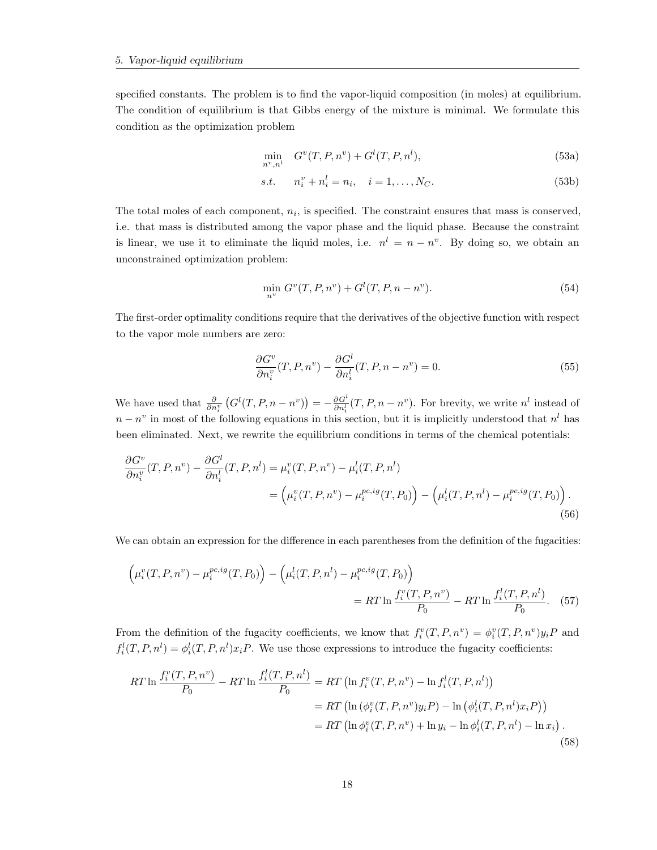specified constants. The problem is to find the vapor-liquid composition (in moles) at equilibrium. The condition of equilibrium is that Gibbs energy of the mixture is minimal. We formulate this condition as the optimization problem

$$
\min_{n^v, n^l} G^v(T, P, n^v) + G^l(T, P, n^l),
$$
\n(53a)

s.t. 
$$
n_i^v + n_i^l = n_i, \quad i = 1, ..., N_C.
$$
 (53b)

The total moles of each component,  $n_i$ , is specified. The constraint ensures that mass is conserved, i.e. that mass is distributed among the vapor phase and the liquid phase. Because the constraint is linear, we use it to eliminate the liquid moles, i.e.  $n^l = n - n^v$ . By doing so, we obtain an unconstrained optimization problem:

$$
\min_{n^v} G^v(T, P, n^v) + G^l(T, P, n - n^v). \tag{54}
$$

The first-order optimality conditions require that the derivatives of the objective function with respect to the vapor mole numbers are zero:

$$
\frac{\partial G^v}{\partial n_i^v}(T, P, n^v) - \frac{\partial G^l}{\partial n_i^l}(T, P, n - n^v) = 0.
$$
\n(55)

We have used that  $\frac{\partial}{\partial n_i^v} (G^l(T, P, n - n^v)) = -\frac{\partial G^l}{\partial n_i^l}(T, P, n - n^v)$ . For brevity, we write  $n^l$  instead of  $n - n^v$  in most of the following equations in this section, but it is implicitly understood that  $n^l$  has been eliminated. Next, we rewrite the equilibrium conditions in terms of the chemical potentials:

$$
\frac{\partial G^v}{\partial n_i^v}(T, P, n^v) - \frac{\partial G^l}{\partial n_i^l}(T, P, n^l) = \mu_i^v(T, P, n^v) - \mu_i^l(T, P, n^l) \n= \left(\mu_i^v(T, P, n^v) - \mu_i^{pc, ig}(T, P_0)\right) - \left(\mu_i^l(T, P, n^l) - \mu_i^{pc, ig}(T, P_0)\right).
$$
\n(56)

We can obtain an expression for the difference in each parentheses from the definition of the fugacities:

$$
\left(\mu_i^v(T, P, n^v) - \mu_i^{pc, ig}(T, P_0)\right) - \left(\mu_i^l(T, P, n^l) - \mu_i^{pc, ig}(T, P_0)\right)
$$
  
= RT ln  $\frac{f_i^v(T, P, n^v)}{P_0} - RT \ln \frac{f_i^l(T, P, n^l)}{P_0}$ . (57)

From the definition of the fugacity coefficients, we know that  $f_i^v(T, P, n^v) = \phi_i^v(T, P, n^v) y_i P$  and  $f_i^l(T, P, n^l) = \phi_i^l(T, P, n^l)x_iP$ . We use those expressions to introduce the fugacity coefficients:

$$
RT \ln \frac{f_i^v(T, P, n^v)}{P_0} - RT \ln \frac{f_i^l(T, P, n^l)}{P_0} = RT \left( \ln f_i^v(T, P, n^v) - \ln f_i^l(T, P, n^l) \right)
$$
  
= RT \left( \ln (\phi\_i^v(T, P, n^v) y\_i P) - \ln (\phi\_i^l(T, P, n^l) x\_i P) \right)  
= RT \left( \ln \phi\_i^v(T, P, n^v) + \ln y\_i - \ln \phi\_i^l(T, P, n^l) - \ln x\_i \right). (58)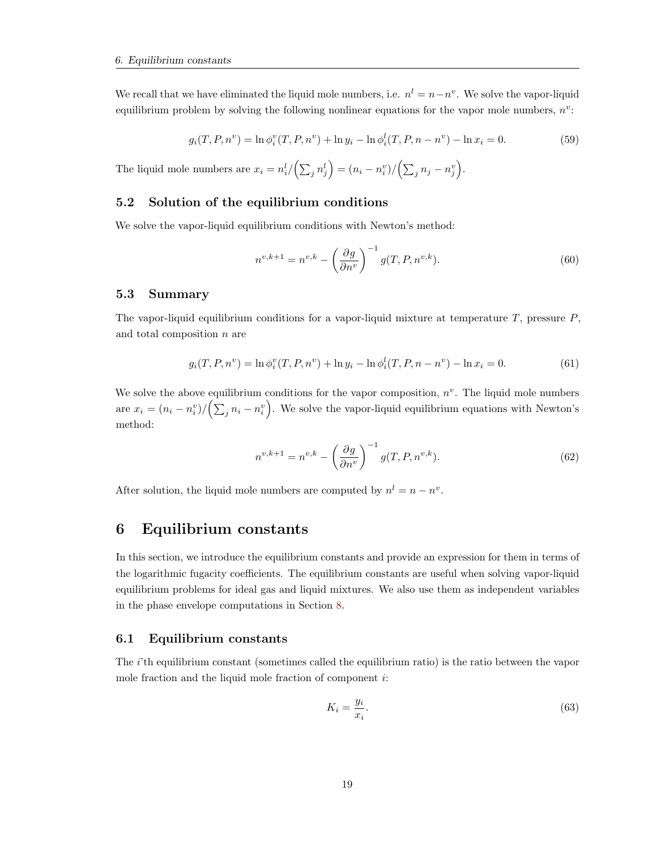We recall that we have eliminated the liquid mole numbers, i.e.  $n^l = n - n^v$ . We solve the vapor-liquid equilibrium problem by solving the following nonlinear equations for the vapor mole numbers,  $n^v$ :

$$
g_i(T, P, n^v) = \ln \phi_i^v(T, P, n^v) + \ln y_i - \ln \phi_i^l(T, P, n - n^v) - \ln x_i = 0.
$$
 (59)

The liquid mole numbers are  $x_i = n_i^l / (\sum_j n_j^l) = (n_i - n_i^v) / (\sum_j n_j - n_j^v)$ .

#### <span id="page-19-0"></span>5.2 Solution of the equilibrium conditions

We solve the vapor-liquid equilibrium conditions with Newton's method:

$$
n^{v,k+1} = n^{v,k} - \left(\frac{\partial g}{\partial n^v}\right)^{-1} g(T, P, n^{v,k}).\tag{60}
$$

#### <span id="page-19-1"></span>5.3 Summary

The vapor-liquid equilibrium conditions for a vapor-liquid mixture at temperature  $T$ , pressure  $P$ , and total composition n are

$$
g_i(T, P, n^v) = \ln \phi_i^v(T, P, n^v) + \ln y_i - \ln \phi_i^l(T, P, n - n^v) - \ln x_i = 0.
$$
 (61)

We solve the above equilibrium conditions for the vapor composition,  $n^v$ . The liquid mole numbers are  $x_i = (n_i - n_i^v) / (\sum_j n_i - n_i^v)$ . We solve the vapor-liquid equilibrium equations with Newton's method:

$$
n^{v,k+1} = n^{v,k} - \left(\frac{\partial g}{\partial n^v}\right)^{-1} g(T, P, n^{v,k}).\tag{62}
$$

After solution, the liquid mole numbers are computed by  $n^l = n - n^v$ .

### <span id="page-19-2"></span>6 Equilibrium constants

In this section, we introduce the equilibrium constants and provide an expression for them in terms of the logarithmic fugacity coefficients. The equilibrium constants are useful when solving vapor-liquid equilibrium problems for ideal gas and liquid mixtures. We also use them as independent variables in the phase envelope computations in Section [8.](#page-23-0)

#### <span id="page-19-3"></span>6.1 Equilibrium constants

The i'th equilibrium constant (sometimes called the equilibrium ratio) is the ratio between the vapor mole fraction and the liquid mole fraction of component i:

$$
K_i = \frac{y_i}{x_i}.\tag{63}
$$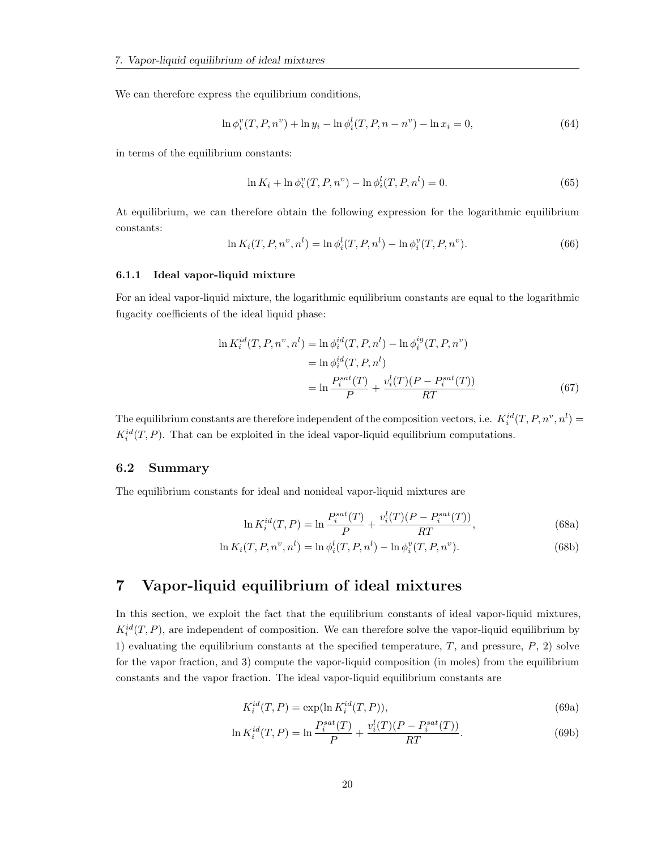We can therefore express the equilibrium conditions,

$$
\ln \phi_i^v(T, P, n^v) + \ln y_i - \ln \phi_i^l(T, P, n - n^v) - \ln x_i = 0,
$$
\n(64)

in terms of the equilibrium constants:

<span id="page-20-3"></span>
$$
\ln K_i + \ln \phi_i^v(T, P, n^v) - \ln \phi_i^l(T, P, n^l) = 0.
$$
\n(65)

At equilibrium, we can therefore obtain the following expression for the logarithmic equilibrium constants:

$$
\ln K_i(T, P, n^v, n^l) = \ln \phi_i^l(T, P, n^l) - \ln \phi_i^v(T, P, n^v).
$$
\n(66)

#### <span id="page-20-0"></span>6.1.1 Ideal vapor-liquid mixture

For an ideal vapor-liquid mixture, the logarithmic equilibrium constants are equal to the logarithmic fugacity coefficients of the ideal liquid phase:

$$
\ln K_i^{id}(T, P, n^v, n^l) = \ln \phi_i^{id}(T, P, n^l) - \ln \phi_i^{ig}(T, P, n^v)
$$
  

$$
= \ln \phi_i^{id}(T, P, n^l)
$$
  

$$
= \ln \frac{P_i^{sat}(T)}{P} + \frac{v_i^l(T)(P - P_i^{sat}(T))}{RT}
$$
(67)

The equilibrium constants are therefore independent of the composition vectors, i.e.  $K_i^{id}(T, P, n^v, n^l) =$  $K_i^{id}(T, P)$ . That can be exploited in the ideal vapor-liquid equilibrium computations.

#### <span id="page-20-1"></span>6.2 Summary

The equilibrium constants for ideal and nonideal vapor-liquid mixtures are

$$
\ln K_i^{id}(T, P) = \ln \frac{P_i^{sat}(T)}{P} + \frac{v_i^l(T)(P - P_i^{sat}(T))}{RT},
$$
\n(68a)

$$
\ln K_i(T, P, n^v, n^l) = \ln \phi_i^l(T, P, n^l) - \ln \phi_i^v(T, P, n^v).
$$
\n(68b)

### <span id="page-20-2"></span>7 Vapor-liquid equilibrium of ideal mixtures

In this section, we exploit the fact that the equilibrium constants of ideal vapor-liquid mixtures,  $K_i^{id}(T, P)$ , are independent of composition. We can therefore solve the vapor-liquid equilibrium by 1) evaluating the equilibrium constants at the specified temperature,  $T$ , and pressure,  $P$ , 2) solve for the vapor fraction, and 3) compute the vapor-liquid composition (in moles) from the equilibrium constants and the vapor fraction. The ideal vapor-liquid equilibrium constants are

<span id="page-20-4"></span>
$$
K_i^{id}(T, P) = \exp(\ln K_i^{id}(T, P)),\tag{69a}
$$

$$
\ln K_i^{id}(T, P) = \ln \frac{P_i^{sat}(T)}{P} + \frac{v_i^l(T)(P - P_i^{sat}(T))}{RT}.
$$
\n(69b)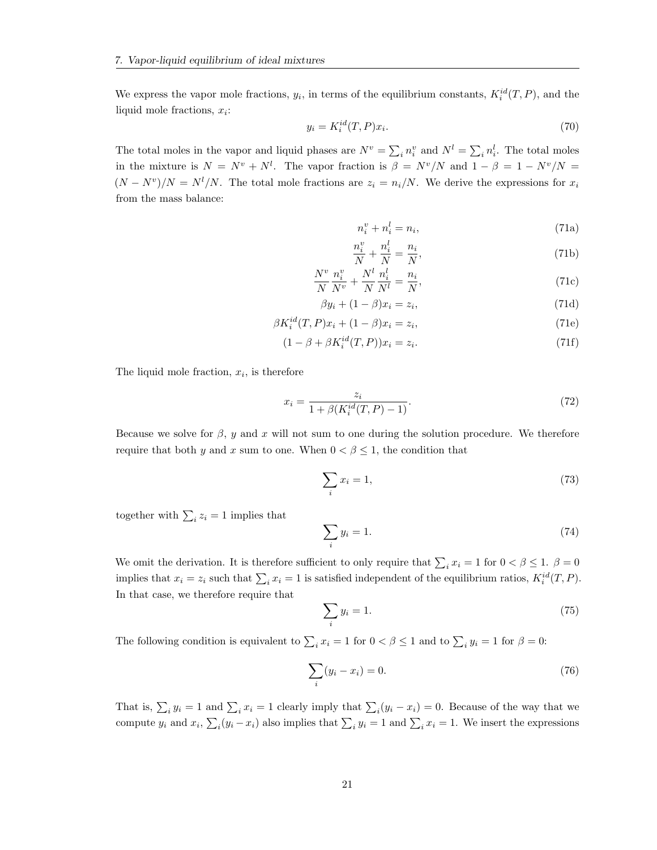We express the vapor mole fractions,  $y_i$ , in terms of the equilibrium constants,  $K_i^{id}(T, P)$ , and the liquid mole fractions,  $x_i$ :

$$
y_i = K_i^{id}(T, P)x_i.
$$
\n<sup>(70)</sup>

The total moles in the vapor and liquid phases are  $N^v = \sum_i n_i^v$  and  $N^l = \sum_i n_i^l$ . The total moles in the mixture is  $N = N^v + N^l$ . The vapor fraction is  $\beta = N^v/N$  and  $1 - \beta = 1 - N^v/N =$  $(N - N^v)/N = N^l/N$ . The total mole fractions are  $z_i = n_i/N$ . We derive the expressions for  $x_i$ from the mass balance:

$$
n_i^v + n_i^l = n_i,\tag{71a}
$$

$$
\frac{n_i^v}{N} + \frac{n_i^l}{N} = \frac{n_i}{N},\tag{71b}
$$

$$
\frac{N^v}{N}\frac{n_i^v}{N^v} + \frac{N^l}{N}\frac{n_i^l}{N^l} = \frac{n_i}{N},\tag{71c}
$$

$$
\beta y_i + (1 - \beta)x_i = z_i,\tag{71d}
$$

$$
\beta K_i^{id}(T, P)x_i + (1 - \beta)x_i = z_i,
$$
\n(71e)

$$
(1 - \beta + \beta K_i^{id}(T, P))x_i = z_i.
$$
\n
$$
(71f)
$$

The liquid mole fraction,  $x_i$ , is therefore

$$
x_i = \frac{z_i}{1 + \beta(K_i^{id}(T, P) - 1)}.\tag{72}
$$

Because we solve for  $\beta$ , y and x will not sum to one during the solution procedure. We therefore require that both y and x sum to one. When  $0 < \beta \leq 1$ , the condition that

$$
\sum_{i} x_i = 1,\tag{73}
$$

together with  $\sum_i z_i = 1$  implies that

$$
\sum_{i} y_i = 1. \tag{74}
$$

We omit the derivation. It is therefore sufficient to only require that  $\sum_i x_i = 1$  for  $0 < \beta \leq 1$ .  $\beta = 0$ implies that  $x_i = z_i$  such that  $\sum_i x_i = 1$  is satisfied independent of the equilibrium ratios,  $K_i^{id}(T, P)$ . In that case, we therefore require that

$$
\sum_{i} y_i = 1. \tag{75}
$$

The following condition is equivalent to  $\sum_i x_i = 1$  for  $0 < \beta \le 1$  and to  $\sum_i y_i = 1$  for  $\beta = 0$ :

$$
\sum_{i}(y_i - x_i) = 0.
$$
\n(76)

That is,  $\sum_i y_i = 1$  and  $\sum_i x_i = 1$  clearly imply that  $\sum_i (y_i - x_i) = 0$ . Because of the way that we compute  $y_i$  and  $x_i$ ,  $\sum_i (y_i - x_i)$  also implies that  $\sum_i y_i = 1$  and  $\sum_i x_i = 1$ . We insert the expressions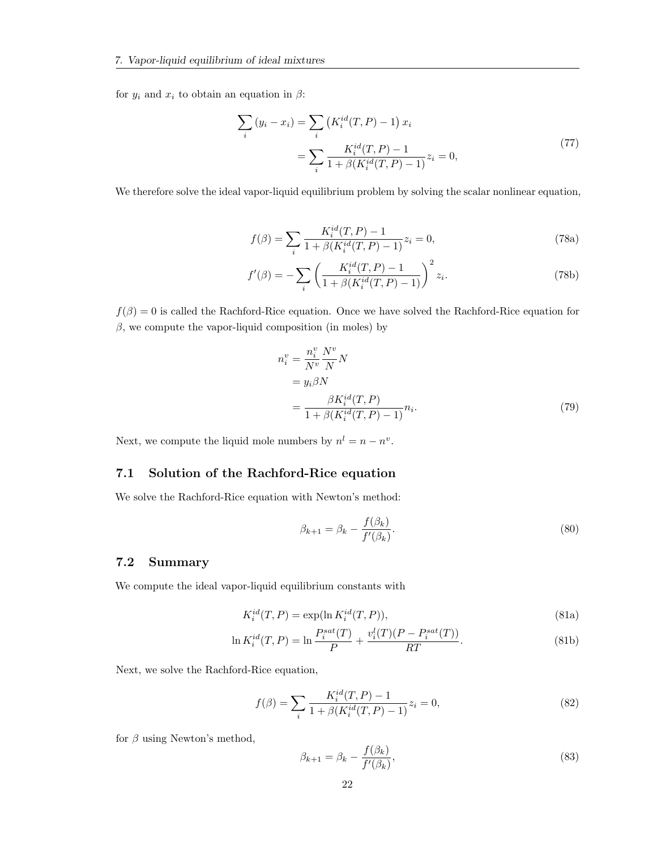for  $y_i$  and  $x_i$  to obtain an equation in  $\beta$ :

$$
\sum_{i} (y_i - x_i) = \sum_{i} \left( K_i^{id}(T, P) - 1 \right) x_i
$$
\n
$$
= \sum_{i} \frac{K_i^{id}(T, P) - 1}{1 + \beta (K_i^{id}(T, P) - 1)} z_i = 0,
$$
\n(77)

We therefore solve the ideal vapor-liquid equilibrium problem by solving the scalar nonlinear equation,

$$
f(\beta) = \sum_{i} \frac{K_i^{id}(T, P) - 1}{1 + \beta (K_i^{id}(T, P) - 1)} z_i = 0,
$$
\n(78a)

$$
f'(\beta) = -\sum_{i} \left( \frac{K_i^{id}(T, P) - 1}{1 + \beta(K_i^{id}(T, P) - 1)} \right)^2 z_i.
$$
 (78b)

 $f(\beta) = 0$  is called the Rachford-Rice equation. Once we have solved the Rachford-Rice equation for  $\beta$ , we compute the vapor-liquid composition (in moles) by

$$
n_i^v = \frac{n_i^v}{N^v} \frac{N^v}{N} N
$$
  
=  $y_i \beta N$   
= 
$$
\frac{\beta K_i^{id}(T, P)}{1 + \beta (K_i^{id}(T, P) - 1)} n_i.
$$
 (79)

Next, we compute the liquid mole numbers by  $n^l = n - n^v$ .

### <span id="page-22-0"></span>7.1 Solution of the Rachford-Rice equation

We solve the Rachford-Rice equation with Newton's method:

$$
\beta_{k+1} = \beta_k - \frac{f(\beta_k)}{f'(\beta_k)}.
$$
\n(80)

#### <span id="page-22-1"></span>7.2 Summary

We compute the ideal vapor-liquid equilibrium constants with

$$
K_i^{id}(T, P) = \exp(\ln K_i^{id}(T, P)),\tag{81a}
$$

$$
\ln K_i^{id}(T, P) = \ln \frac{P_i^{sat}(T)}{P} + \frac{v_i^l(T)(P - P_i^{sat}(T))}{RT}.
$$
\n(81b)

Next, we solve the Rachford-Rice equation,

$$
f(\beta) = \sum_{i} \frac{K_i^{id}(T, P) - 1}{1 + \beta (K_i^{id}(T, P) - 1)} z_i = 0,
$$
\n(82)

for  $\beta$  using Newton's method,

$$
\beta_{k+1} = \beta_k - \frac{f(\beta_k)}{f'(\beta_k)},\tag{83}
$$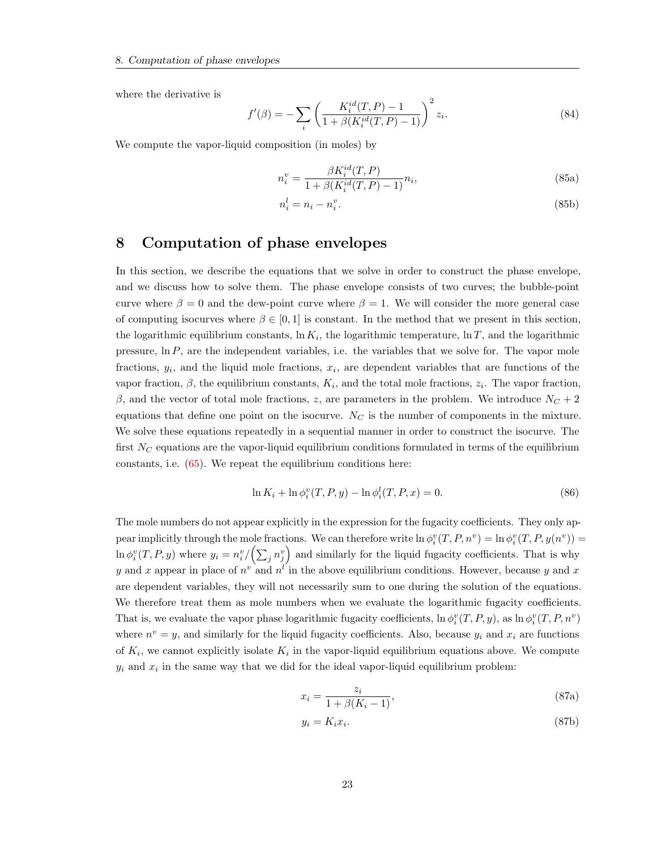where the derivative is

$$
f'(\beta) = -\sum_{i} \left( \frac{K_i^{id}(T, P) - 1}{1 + \beta(K_i^{id}(T, P) - 1)} \right)^2 z_i.
$$
 (84)

We compute the vapor-liquid composition (in moles) by

$$
n_i^v = \frac{\beta K_i^{id}(T, P)}{1 + \beta (K_i^{id}(T, P) - 1)} n_i,
$$
\n(85a)

$$
n_i^l = n_i - n_i^v. \tag{85b}
$$

### <span id="page-23-0"></span>8 Computation of phase envelopes

In this section, we describe the equations that we solve in order to construct the phase envelope, and we discuss how to solve them. The phase envelope consists of two curves; the bubble-point curve where  $\beta = 0$  and the dew-point curve where  $\beta = 1$ . We will consider the more general case of computing isocurves where  $\beta \in [0,1]$  is constant. In the method that we present in this section, the logarithmic equilibrium constants,  $\ln K_i$ , the logarithmic temperature,  $\ln T$ , and the logarithmic pressure,  $\ln P$ , are the independent variables, i.e. the variables that we solve for. The vapor mole fractions,  $y_i$ , and the liquid mole fractions,  $x_i$ , are dependent variables that are functions of the vapor fraction,  $\beta$ , the equilibrium constants,  $K_i$ , and the total mole fractions,  $z_i$ . The vapor fraction, β, and the vector of total mole fractions, z, are parameters in the problem. We introduce  $N_C + 2$ equations that define one point on the isocurve.  $N_C$  is the number of components in the mixture. We solve these equations repeatedly in a sequential manner in order to construct the isocurve. The first  $N_C$  equations are the vapor-liquid equilibrium conditions formulated in terms of the equilibrium constants, i.e. [\(65\)](#page-20-3). We repeat the equilibrium conditions here:

$$
\ln K_i + \ln \phi_i^v(T, P, y) - \ln \phi_i^l(T, P, x) = 0.
$$
\n(86)

The mole numbers do not appear explicitly in the expression for the fugacity coefficients. They only appear implicitly through the mole fractions. We can therefore write  $\ln \phi_i^v(T, P, n^v) = \ln \phi_i^v(T, P, y(n^v)) =$  $\ln \phi_i^v(T, P, y)$  where  $y_i = n_i^v / (\sum_j n_j^v)$  and similarly for the liquid fugacity coefficients. That is why y and x appear in place of  $n^v$  and  $n^{l'}$  in the above equilibrium conditions. However, because y and x are dependent variables, they will not necessarily sum to one during the solution of the equations. We therefore treat them as mole numbers when we evaluate the logarithmic fugacity coefficients. That is, we evaluate the vapor phase logarithmic fugacity coefficients,  $\ln \phi_i^v(T, P, y)$ , as  $\ln \phi_i^v(T, P, n^v)$ where  $n^v = y$ , and similarly for the liquid fugacity coefficients. Also, because  $y_i$  and  $x_i$  are functions of  $K_i$ , we cannot explicitly isolate  $K_i$  in the vapor-liquid equilibrium equations above. We compute  $y_i$  and  $x_i$  in the same way that we did for the ideal vapor-liquid equilibrium problem:

$$
x_i = \frac{z_i}{1 + \beta(K_i - 1)},
$$
\n(87a)

$$
y_i = K_i x_i. \tag{87b}
$$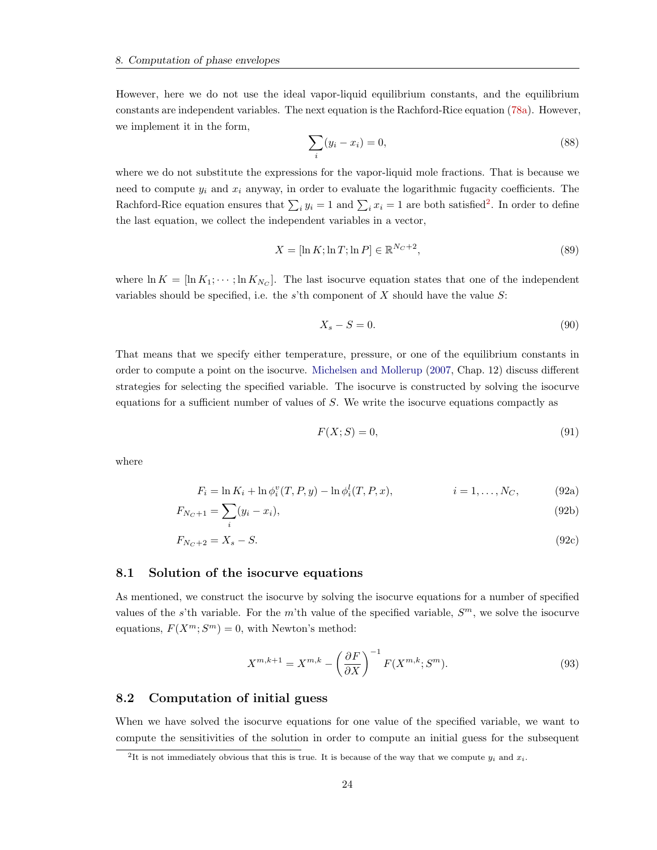However, here we do not use the ideal vapor-liquid equilibrium constants, and the equilibrium constants are independent variables. The next equation is the Rachford-Rice equation [\(78a\)](#page-20-4). However, we implement it in the form,

$$
\sum_{i}(y_i - x_i) = 0,\tag{88}
$$

where we do not substitute the expressions for the vapor-liquid mole fractions. That is because we need to compute  $y_i$  and  $x_i$  anyway, in order to evaluate the logarithmic fugacity coefficients. The Rachford-Rice equation ensures that  $\sum_i y_i = 1$  and  $\sum_i x_i = 1$  are both satisfied<sup>[2](#page-24-2)</sup>. In order to define the last equation, we collect the independent variables in a vector,

$$
X = \left[ \ln K; \ln T; \ln P \right] \in \mathbb{R}^{N_C + 2},\tag{89}
$$

where  $\ln K = [\ln K_1; \dots; \ln K_{N_C}]$ . The last isocurve equation states that one of the independent variables should be specified, i.e. the s'th component of  $X$  should have the value  $S$ :

$$
X_s - S = 0.\t\t(90)
$$

That means that we specify either temperature, pressure, or one of the equilibrium constants in order to compute a point on the isocurve. [Michelsen and Mollerup](#page-51-1) [\(2007,](#page-51-1) Chap. 12) discuss different strategies for selecting the specified variable. The isocurve is constructed by solving the isocurve equations for a sufficient number of values of  $S$ . We write the isocurve equations compactly as

$$
F(X;S) = 0,\t\t(91)
$$

where

$$
F_i = \ln K_i + \ln \phi_i^v(T, P, y) - \ln \phi_i^l(T, P, x), \qquad i = 1, ..., N_C,
$$
 (92a)

$$
F_{N_C+1} = \sum_{i} (y_i - x_i),
$$
\n(92b)

$$
F_{N_C+2} = X_s - S.\tag{92c}
$$

#### <span id="page-24-0"></span>8.1 Solution of the isocurve equations

As mentioned, we construct the isocurve by solving the isocurve equations for a number of specified values of the s'th variable. For the m'th value of the specified variable,  $S<sup>m</sup>$ , we solve the isocurve equations,  $F(X^m; S^m) = 0$ , with Newton's method:

$$
X^{m,k+1} = X^{m,k} - \left(\frac{\partial F}{\partial X}\right)^{-1} F(X^{m,k}; S^m). \tag{93}
$$

#### <span id="page-24-1"></span>8.2 Computation of initial guess

When we have solved the isocurve equations for one value of the specified variable, we want to compute the sensitivities of the solution in order to compute an initial guess for the subsequent

<span id="page-24-2"></span><sup>&</sup>lt;sup>2</sup>It is not immediately obvious that this is true. It is because of the way that we compute  $y_i$  and  $x_i$ .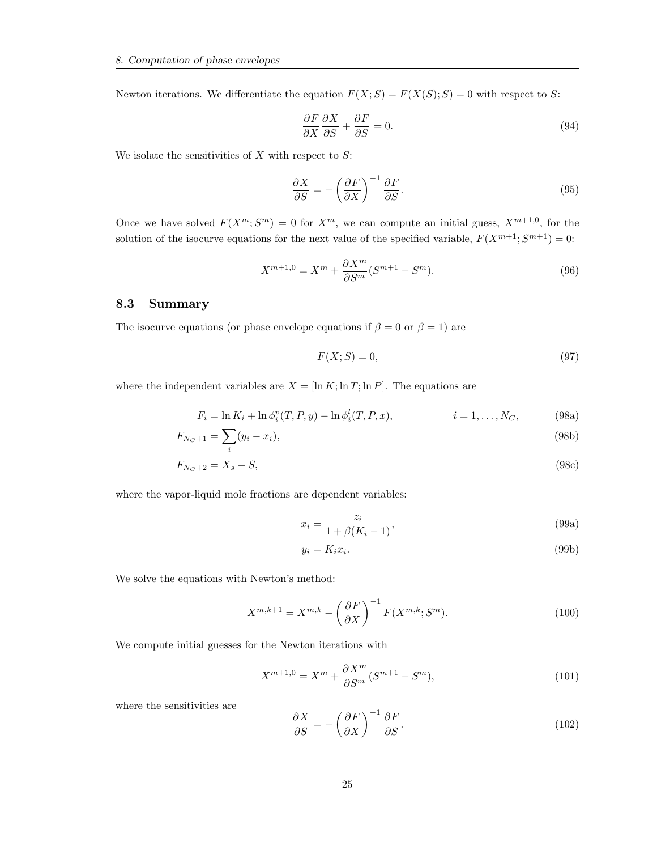Newton iterations. We differentiate the equation  $F(X; S) = F(X(S); S) = 0$  with respect to S:

$$
\frac{\partial F}{\partial X}\frac{\partial X}{\partial S} + \frac{\partial F}{\partial S} = 0.
$$
\n(94)

We isolate the sensitivities of  $X$  with respect to  $S$ :

$$
\frac{\partial X}{\partial S} = -\left(\frac{\partial F}{\partial X}\right)^{-1} \frac{\partial F}{\partial S}.
$$
\n(95)

Once we have solved  $F(X^m; S^m) = 0$  for  $X^m$ , we can compute an initial guess,  $X^{m+1,0}$ , for the solution of the isocurve equations for the next value of the specified variable,  $F(X^{m+1}; S^{m+1}) = 0$ :

$$
X^{m+1,0} = X^m + \frac{\partial X^m}{\partial S^m} (S^{m+1} - S^m). \tag{96}
$$

#### <span id="page-25-0"></span>8.3 Summary

The isocurve equations (or phase envelope equations if  $\beta = 0$  or  $\beta = 1$ ) are

$$
F(X;S) = 0,\t\t(97)
$$

where the independent variables are  $X = [\ln K; \ln T; \ln P]$ . The equations are

$$
F_i = \ln K_i + \ln \phi_i^v(T, P, y) - \ln \phi_i^l(T, P, x), \qquad i = 1, ..., N_C,
$$
 (98a)

$$
F_{N_C+1} = \sum_{i} (y_i - x_i),
$$
\n(98b)

$$
F_{N_C+2} = X_s - S,\tag{98c}
$$

where the vapor-liquid mole fractions are dependent variables:

$$
x_i = \frac{z_i}{1 + \beta(K_i - 1)},
$$
\n(99a)

$$
y_i = K_i x_i. \tag{99b}
$$

We solve the equations with Newton's method:

$$
X^{m,k+1} = X^{m,k} - \left(\frac{\partial F}{\partial X}\right)^{-1} F(X^{m,k}; S^m). \tag{100}
$$

We compute initial guesses for the Newton iterations with

$$
X^{m+1,0} = X^m + \frac{\partial X^m}{\partial S^m} (S^{m+1} - S^m),\tag{101}
$$

where the sensitivities are

$$
\frac{\partial X}{\partial S} = -\left(\frac{\partial F}{\partial X}\right)^{-1} \frac{\partial F}{\partial S}.
$$
\n(102)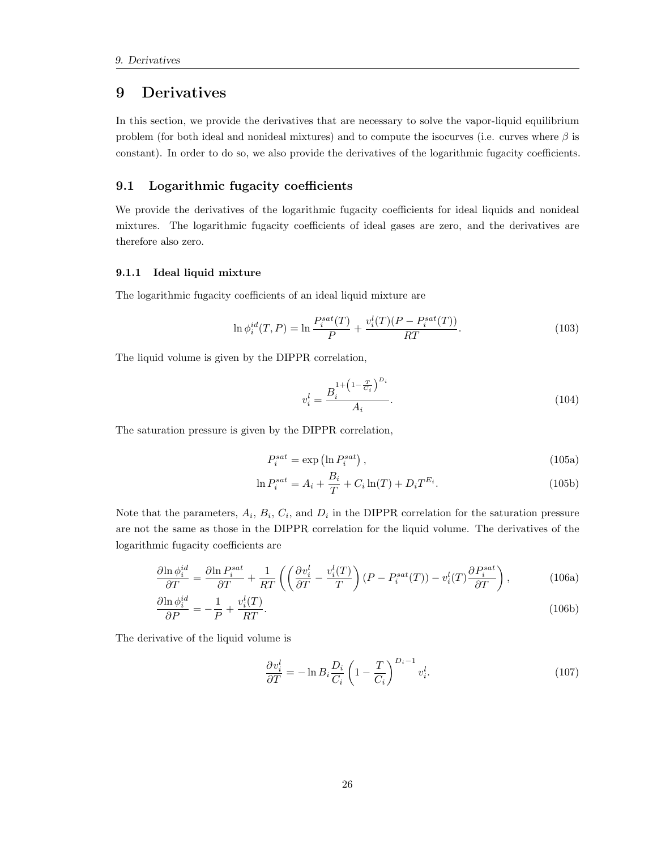### <span id="page-26-0"></span>9 Derivatives

In this section, we provide the derivatives that are necessary to solve the vapor-liquid equilibrium problem (for both ideal and nonideal mixtures) and to compute the isocurves (i.e. curves where  $\beta$  is constant). In order to do so, we also provide the derivatives of the logarithmic fugacity coefficients.

#### <span id="page-26-1"></span>9.1 Logarithmic fugacity coefficients

We provide the derivatives of the logarithmic fugacity coefficients for ideal liquids and nonideal mixtures. The logarithmic fugacity coefficients of ideal gases are zero, and the derivatives are therefore also zero.

#### <span id="page-26-2"></span>9.1.1 Ideal liquid mixture

The logarithmic fugacity coefficients of an ideal liquid mixture are

$$
\ln \phi_i^{id}(T, P) = \ln \frac{P_i^{sat}(T)}{P} + \frac{v_i^l(T)(P - P_i^{sat}(T))}{RT}.
$$
\n(103)

The liquid volume is given by the DIPPR correlation,

$$
v_i^l = \frac{B_i^{1 + \left(1 - \frac{T}{C_i}\right)^{D_i}}}{A_i}.\tag{104}
$$

The saturation pressure is given by the DIPPR correlation,

$$
P_i^{sat} = \exp\left(\ln P_i^{sat}\right),\tag{105a}
$$

$$
\ln P_i^{sat} = A_i + \frac{B_i}{T} + C_i \ln(T) + D_i T^{E_i}.
$$
\n(105b)

Note that the parameters,  $A_i$ ,  $B_i$ ,  $C_i$ , and  $D_i$  in the DIPPR correlation for the saturation pressure are not the same as those in the DIPPR correlation for the liquid volume. The derivatives of the logarithmic fugacity coefficients are

$$
\frac{\partial \ln \phi_i^{id}}{\partial T} = \frac{\partial \ln P_i^{sat}}{\partial T} + \frac{1}{RT} \left( \left( \frac{\partial v_i^l}{\partial T} - \frac{v_i^l(T)}{T} \right) (P - P_i^{sat}(T)) - v_i^l(T) \frac{\partial P_i^{sat}}{\partial T} \right),\tag{106a}
$$

$$
\frac{\partial \ln \phi_i^{id}}{\partial P} = -\frac{1}{P} + \frac{v_i^l(T)}{RT}.\tag{106b}
$$

The derivative of the liquid volume is

$$
\frac{\partial v_i^l}{\partial T} = -\ln B_i \frac{D_i}{C_i} \left( 1 - \frac{T}{C_i} \right)^{D_i - 1} v_i^l. \tag{107}
$$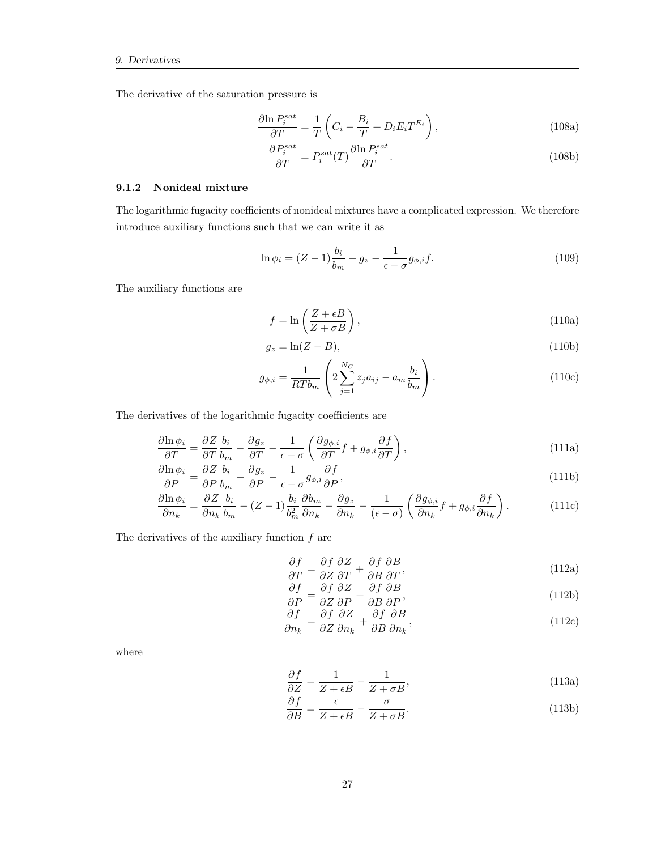The derivative of the saturation pressure is

$$
\frac{\partial \ln P_i^{sat}}{\partial T} = \frac{1}{T} \left( C_i - \frac{B_i}{T} + D_i E_i T^{E_i} \right),\tag{108a}
$$

$$
\frac{\partial P_i^{sat}}{\partial T} = P_i^{sat}(T) \frac{\partial \ln P_i^{sat}}{\partial T}.
$$
\n(108b)

#### <span id="page-27-0"></span>9.1.2 Nonideal mixture

The logarithmic fugacity coefficients of nonideal mixtures have a complicated expression. We therefore introduce auxiliary functions such that we can write it as

$$
\ln \phi_i = (Z - 1) \frac{b_i}{b_m} - g_z - \frac{1}{\epsilon - \sigma} g_{\phi,i} f. \tag{109}
$$

The auxiliary functions are

$$
f = \ln\left(\frac{Z + \epsilon B}{Z + \sigma B}\right),\tag{110a}
$$

$$
g_z = \ln(Z - B),\tag{110b}
$$

$$
g_{\phi,i} = \frac{1}{RTb_m} \left( 2 \sum_{j=1}^{N_C} z_j a_{ij} - a_m \frac{b_i}{b_m} \right).
$$
 (110c)

The derivatives of the logarithmic fugacity coefficients are

$$
\frac{\partial \ln \phi_i}{\partial T} = \frac{\partial Z}{\partial T} \frac{b_i}{b_m} - \frac{\partial g_z}{\partial T} - \frac{1}{\epsilon - \sigma} \left( \frac{\partial g_{\phi,i}}{\partial T} f + g_{\phi,i} \frac{\partial f}{\partial T} \right),\tag{111a}
$$

$$
\frac{\partial \ln \phi_i}{\partial P} = \frac{\partial Z}{\partial P} \frac{b_i}{b_m} - \frac{\partial g_z}{\partial P} - \frac{1}{\epsilon - \sigma} g_{\phi, i} \frac{\partial f}{\partial P},\tag{111b}
$$

$$
\frac{\partial \ln \phi_i}{\partial n_k} = \frac{\partial Z}{\partial n_k} \frac{b_i}{b_m} - (Z - 1) \frac{b_i}{b_m^2} \frac{\partial b_m}{\partial n_k} - \frac{\partial g_z}{\partial n_k} - \frac{1}{(\epsilon - \sigma)} \left( \frac{\partial g_{\phi,i}}{\partial n_k} f + g_{\phi,i} \frac{\partial f}{\partial n_k} \right). \tag{111c}
$$

The derivatives of the auxiliary function  $f$  are

$$
\frac{\partial f}{\partial T} = \frac{\partial f}{\partial Z} \frac{\partial Z}{\partial T} + \frac{\partial f}{\partial B} \frac{\partial B}{\partial T},\tag{112a}
$$

$$
\frac{\partial f}{\partial P} = \frac{\partial f}{\partial Z} \frac{\partial Z}{\partial P} + \frac{\partial f}{\partial B} \frac{\partial B}{\partial P},\tag{112b}
$$

$$
\frac{\partial f}{\partial n_k} = \frac{\partial f}{\partial Z} \frac{\partial Z}{\partial n_k} + \frac{\partial f}{\partial B} \frac{\partial B}{\partial n_k},\tag{112c}
$$

where

$$
\frac{\partial f}{\partial Z} = \frac{1}{Z + \epsilon B} - \frac{1}{Z + \sigma B},\tag{113a}
$$

$$
\frac{\partial f}{\partial B} = \frac{\epsilon}{Z + \epsilon B} - \frac{\sigma}{Z + \sigma B}.\tag{113b}
$$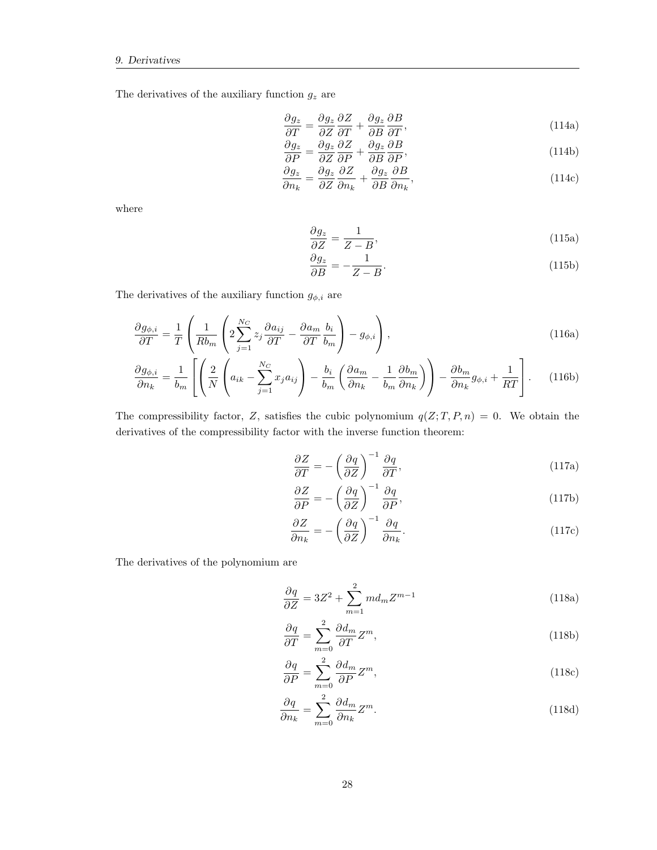The derivatives of the auxiliary function  $g_z$  are

$$
\frac{\partial g_z}{\partial T} = \frac{\partial g_z}{\partial Z} \frac{\partial Z}{\partial T} + \frac{\partial g_z}{\partial B} \frac{\partial B}{\partial T},\tag{114a}
$$

$$
\frac{\partial g_z}{\partial P} = \frac{\partial g_z}{\partial Z} \frac{\partial Z}{\partial P} + \frac{\partial g_z}{\partial B} \frac{\partial B}{\partial P},\tag{114b}
$$

$$
\frac{\partial g_z}{\partial n_k} = \frac{\partial g_z}{\partial Z} \frac{\partial Z}{\partial n_k} + \frac{\partial g_z}{\partial B} \frac{\partial B}{\partial n_k},\tag{114c}
$$

where

$$
\frac{\partial g_z}{\partial Z} = \frac{1}{Z - B},\tag{115a}
$$

$$
\frac{\partial g_z}{\partial B} = -\frac{1}{Z - B}.\tag{115b}
$$

The derivatives of the auxiliary function  $g_{\phi,i}$  are

$$
\frac{\partial g_{\phi,i}}{\partial T} = \frac{1}{T} \left( \frac{1}{Rb_m} \left( 2 \sum_{j=1}^{N_C} z_j \frac{\partial a_{ij}}{\partial T} - \frac{\partial a_m}{\partial T} \frac{b_i}{b_m} \right) - g_{\phi,i} \right),\tag{116a}
$$

$$
\frac{\partial g_{\phi,i}}{\partial n_k} = \frac{1}{b_m} \left[ \left( \frac{2}{N} \left( a_{ik} - \sum_{j=1}^{N_C} x_j a_{ij} \right) - \frac{b_i}{b_m} \left( \frac{\partial a_m}{\partial n_k} - \frac{1}{b_m} \frac{\partial b_m}{\partial n_k} \right) \right) - \frac{\partial b_m}{\partial n_k} g_{\phi,i} + \frac{1}{RT} \right].
$$
 (116b)

The compressibility factor, Z, satisfies the cubic polynomium  $q(Z; T, P, n) = 0$ . We obtain the derivatives of the compressibility factor with the inverse function theorem:

$$
\frac{\partial Z}{\partial T} = -\left(\frac{\partial q}{\partial Z}\right)^{-1} \frac{\partial q}{\partial T},\tag{117a}
$$

$$
\frac{\partial Z}{\partial P} = -\left(\frac{\partial q}{\partial Z}\right)^{-1} \frac{\partial q}{\partial P},\tag{117b}
$$

$$
\frac{\partial Z}{\partial n_k} = -\left(\frac{\partial q}{\partial Z}\right)^{-1} \frac{\partial q}{\partial n_k}.\tag{117c}
$$

The derivatives of the polynomium are

$$
\frac{\partial q}{\partial Z} = 3Z^2 + \sum_{m=1}^{2} md_m Z^{m-1}
$$
\n(118a)

$$
\frac{\partial q}{\partial T} = \sum_{m=0}^{2} \frac{\partial d_m}{\partial T} Z^m,
$$
\n(118b)

$$
\frac{\partial q}{\partial P} = \sum_{m=0}^{2} \frac{\partial d_m}{\partial P} Z^m,
$$
\n(118c)

$$
\frac{\partial q}{\partial n_k} = \sum_{m=0}^2 \frac{\partial d_m}{\partial n_k} Z^m.
$$
\n(118d)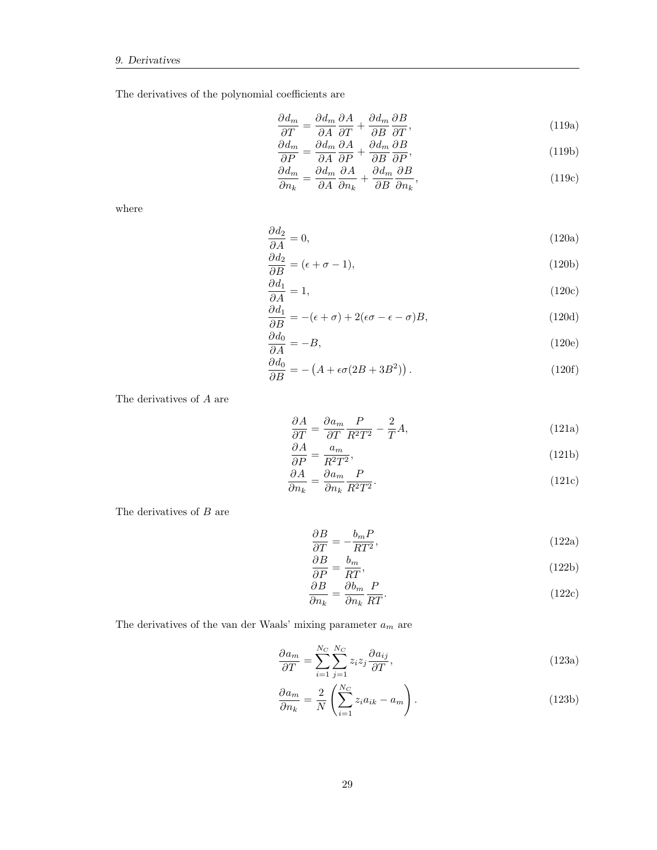The derivatives of the polynomial coefficients are

$$
\frac{\partial d_m}{\partial T} = \frac{\partial d_m}{\partial A} \frac{\partial A}{\partial T} + \frac{\partial d_m}{\partial B} \frac{\partial B}{\partial T},\tag{119a}
$$

$$
\frac{\partial d_m}{\partial P} = \frac{\partial d_m}{\partial A} \frac{\partial A}{\partial P} + \frac{\partial d_m}{\partial B} \frac{\partial B}{\partial P},\tag{119b}
$$

$$
\frac{\partial d_m}{\partial n_k} = \frac{\partial d_m}{\partial A} \frac{\partial A}{\partial n_k} + \frac{\partial d_m}{\partial B} \frac{\partial B}{\partial n_k},\tag{119c}
$$

where

$$
\frac{\partial d_2}{\partial A} = 0,\t(120a)
$$

$$
\frac{\partial d_2}{\partial B} = (\epsilon + \sigma - 1),\tag{120b}
$$

$$
\frac{\partial d_1}{\partial A} = 1,\tag{120c}
$$

$$
\frac{\partial d_1}{\partial B} = -(\epsilon + \sigma) + 2(\epsilon \sigma - \epsilon - \sigma)B,\tag{120d}
$$

$$
\frac{\partial d_0}{\partial A} = -B,\tag{120e}
$$

$$
\frac{\partial d_0}{\partial B} = -\left(A + \epsilon \sigma (2B + 3B^2)\right). \tag{120f}
$$

The derivatives of A are

$$
\frac{\partial A}{\partial T} = \frac{\partial a_m}{\partial T} \frac{P}{R^2 T^2} - \frac{2}{T} A,\tag{121a}
$$

$$
\frac{\partial A}{\partial P} = \frac{a_m}{R^2 T^2},\tag{121b}
$$

$$
\frac{\partial A}{\partial n_k} = \frac{\partial a_m}{\partial n_k} \frac{P}{R^2 T^2}.
$$
\n(121c)

The derivatives of  $B$  are

$$
\frac{\partial B}{\partial T} = -\frac{b_m P}{RT^2},\tag{122a}
$$

$$
\frac{\partial B}{\partial P} = \frac{b_m}{RT},\tag{122b}
$$

$$
\frac{\partial B}{\partial n_k} = \frac{\partial b_m}{\partial n_k} \frac{P}{RT}.
$$
\n(122c)

The derivatives of the van der Waals' mixing parameter  $\boldsymbol{a}_{m}$  are

$$
\frac{\partial a_m}{\partial T} = \sum_{i=1}^{N_C} \sum_{j=1}^{N_C} z_i z_j \frac{\partial a_{ij}}{\partial T},\tag{123a}
$$

$$
\frac{\partial a_m}{\partial n_k} = \frac{2}{N} \left( \sum_{i=1}^{N_C} z_i a_{ik} - a_m \right). \tag{123b}
$$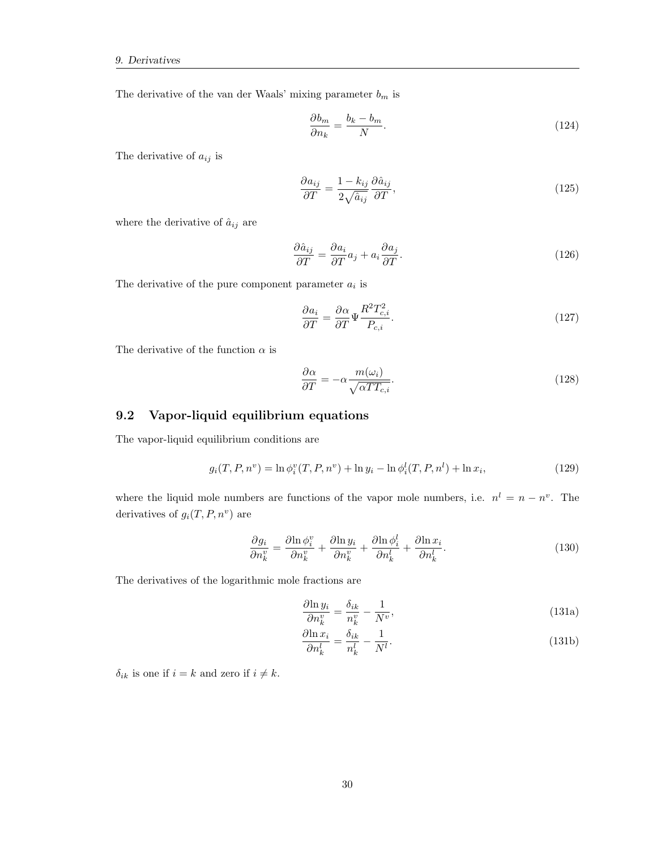The derivative of the van der Waals' mixing parameter  $b_m$  is

$$
\frac{\partial b_m}{\partial n_k} = \frac{b_k - b_m}{N}.\tag{124}
$$

The derivative of  $a_{ij}$  is

$$
\frac{\partial a_{ij}}{\partial T} = \frac{1 - k_{ij}}{2\sqrt{\hat{a}_{ij}}}\frac{\partial \hat{a}_{ij}}{\partial T},\tag{125}
$$

where the derivative of  $\hat{a}_{ij}$  are

$$
\frac{\partial \hat{a}_{ij}}{\partial T} = \frac{\partial a_i}{\partial T} a_j + a_i \frac{\partial a_j}{\partial T}.
$$
\n(126)

The derivative of the pure component parameter  $a_i$  is

$$
\frac{\partial a_i}{\partial T} = \frac{\partial \alpha}{\partial T} \Psi \frac{R^2 T_{c,i}^2}{P_{c,i}}.
$$
\n(127)

The derivative of the function  $\alpha$  is

$$
\frac{\partial \alpha}{\partial T} = -\alpha \frac{m(\omega_i)}{\sqrt{\alpha T T_{c,i}}}.\tag{128}
$$

#### <span id="page-30-0"></span>9.2 Vapor-liquid equilibrium equations

The vapor-liquid equilibrium conditions are

$$
g_i(T, P, n^v) = \ln \phi_i^v(T, P, n^v) + \ln y_i - \ln \phi_i^l(T, P, n^l) + \ln x_i,
$$
\n(129)

where the liquid mole numbers are functions of the vapor mole numbers, i.e.  $n^l = n - n^v$ . The derivatives of  $g_i(T, P, n^v)$  are

$$
\frac{\partial g_i}{\partial n_k^v} = \frac{\partial \ln \phi_i^v}{\partial n_k^v} + \frac{\partial \ln y_i}{\partial n_k^v} + \frac{\partial \ln \phi_i^l}{\partial n_k^l} + \frac{\partial \ln x_i}{\partial n_k^l}.
$$
\n(130)

The derivatives of the logarithmic mole fractions are

$$
\frac{\partial \ln y_i}{\partial n_k^v} = \frac{\delta_{ik}}{n_k^v} - \frac{1}{N^v},\tag{131a}
$$

$$
\frac{\partial \ln x_i}{\partial n_k^l} = \frac{\delta_{ik}}{n_k^l} - \frac{1}{N^l}.\tag{131b}
$$

 $\delta_{ik}$  is one if  $i=k$  and zero if  $i\neq k.$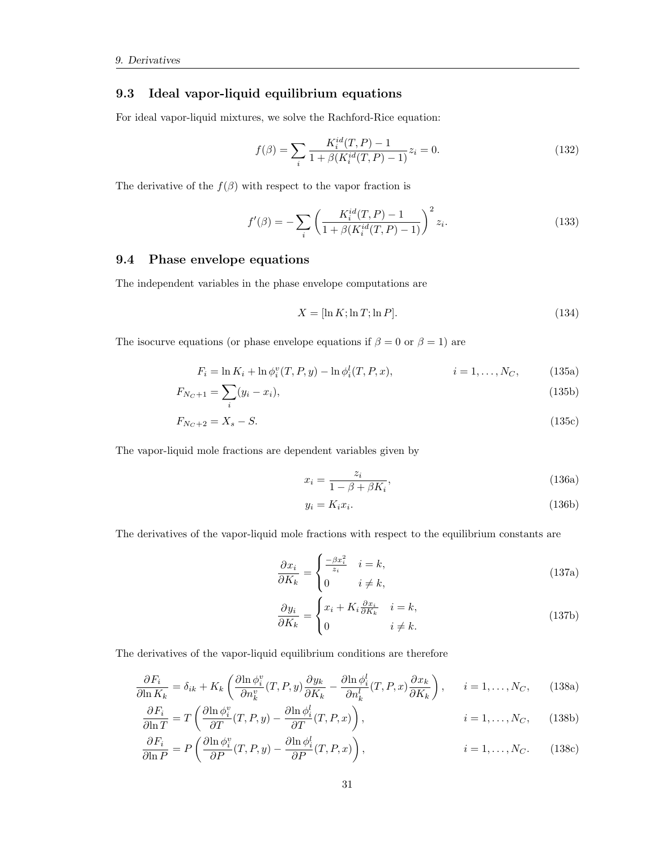#### <span id="page-31-0"></span>9.3 Ideal vapor-liquid equilibrium equations

For ideal vapor-liquid mixtures, we solve the Rachford-Rice equation:

$$
f(\beta) = \sum_{i} \frac{K_i^{id}(T, P) - 1}{1 + \beta (K_i^{id}(T, P) - 1)} z_i = 0.
$$
 (132)

The derivative of the  $f(\beta)$  with respect to the vapor fraction is

$$
f'(\beta) = -\sum_{i} \left( \frac{K_i^{id}(T, P) - 1}{1 + \beta(K_i^{id}(T, P) - 1)} \right)^2 z_i.
$$
 (133)

#### <span id="page-31-1"></span>9.4 Phase envelope equations

The independent variables in the phase envelope computations are

$$
X = [\ln K; \ln T; \ln P]. \tag{134}
$$

The isocurve equations (or phase envelope equations if  $\beta = 0$  or  $\beta = 1$ ) are

$$
F_i = \ln K_i + \ln \phi_i^v(T, P, y) - \ln \phi_i^l(T, P, x), \qquad i = 1, ..., N_C,
$$
 (135a)

$$
F_{N_C+1} = \sum_{i} (y_i - x_i),\tag{135b}
$$

$$
F_{N_C+2} = X_s - S.\tag{135c}
$$

The vapor-liquid mole fractions are dependent variables given by

$$
x_i = \frac{z_i}{1 - \beta + \beta K_i},\tag{136a}
$$

$$
y_i = K_i x_i. \tag{136b}
$$

The derivatives of the vapor-liquid mole fractions with respect to the equilibrium constants are

$$
\frac{\partial x_i}{\partial K_k} = \begin{cases} \frac{-\beta x_i^2}{z_i} & i = k, \\ 0 & i \neq k, \end{cases} \tag{137a}
$$

$$
\frac{\partial y_i}{\partial K_k} = \begin{cases} x_i + K_i \frac{\partial x_i}{\partial K_k} & i = k, \\ 0 & i \neq k. \end{cases} \tag{137b}
$$

The derivatives of the vapor-liquid equilibrium conditions are therefore

$$
\frac{\partial F_i}{\partial \ln K_k} = \delta_{ik} + K_k \left( \frac{\partial \ln \phi_i^v}{\partial n_k^v} (T, P, y) \frac{\partial y_k}{\partial K_k} - \frac{\partial \ln \phi_i^l}{\partial n_k^l} (T, P, x) \frac{\partial x_k}{\partial K_k} \right), \qquad i = 1, \dots, N_C, \tag{138a}
$$

$$
\frac{\partial F_i}{\partial \ln T} = T \left( \frac{\partial \ln \phi_i^v}{\partial T} (T, P, y) - \frac{\partial \ln \phi_i^l}{\partial T} (T, P, x) \right), \qquad i = 1, \dots, N_C, \qquad (138b)
$$

$$
\frac{\partial F_i}{\partial \ln P} = P\left(\frac{\partial \ln \phi_i^v}{\partial P}(T, P, y) - \frac{\partial \ln \phi_i^l}{\partial P}(T, P, x)\right), \qquad i = 1, \dots, N_C. \qquad (138c)
$$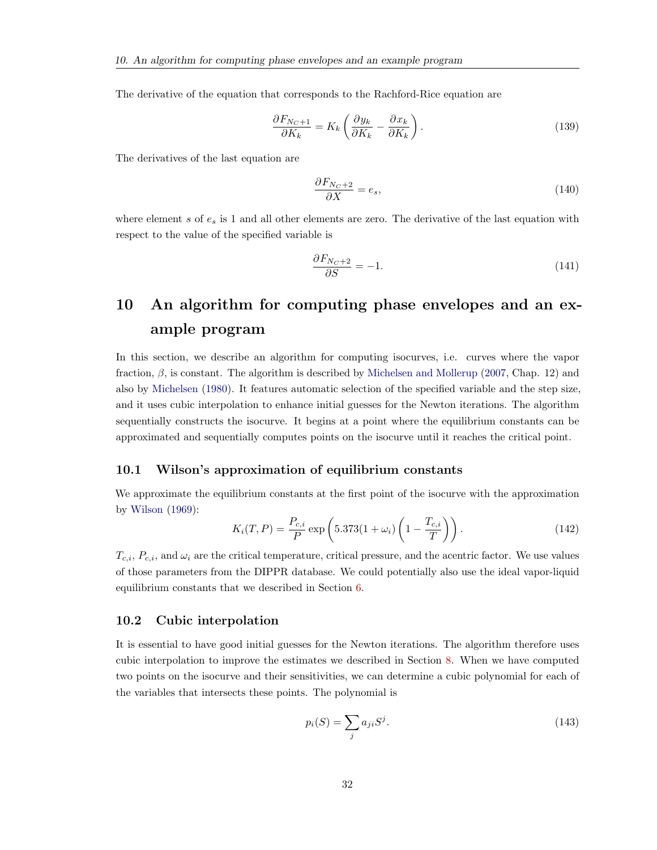The derivative of the equation that corresponds to the Rachford-Rice equation are

$$
\frac{\partial F_{N_C+1}}{\partial K_k} = K_k \left( \frac{\partial y_k}{\partial K_k} - \frac{\partial x_k}{\partial K_k} \right). \tag{139}
$$

The derivatives of the last equation are

$$
\frac{\partial F_{N_C+2}}{\partial X} = e_s,\tag{140}
$$

where element s of  $e_s$  is 1 and all other elements are zero. The derivative of the last equation with respect to the value of the specified variable is

$$
\frac{\partial F_{N_C+2}}{\partial S} = -1.\tag{141}
$$

# <span id="page-32-0"></span>10 An algorithm for computing phase envelopes and an example program

In this section, we describe an algorithm for computing isocurves, i.e. curves where the vapor fraction,  $\beta$ , is constant. The algorithm is described by [Michelsen and Mollerup](#page-51-1) [\(2007,](#page-51-1) Chap. 12) and also by [Michelsen](#page-51-3) [\(1980\)](#page-51-3). It features automatic selection of the specified variable and the step size, and it uses cubic interpolation to enhance initial guesses for the Newton iterations. The algorithm sequentially constructs the isocurve. It begins at a point where the equilibrium constants can be approximated and sequentially computes points on the isocurve until it reaches the critical point.

#### <span id="page-32-1"></span>10.1 Wilson's approximation of equilibrium constants

We approximate the equilibrium constants at the first point of the isocurve with the approximation by [Wilson](#page-52-2) [\(1969\)](#page-52-2):

<span id="page-32-3"></span>
$$
K_i(T, P) = \frac{P_{c,i}}{P} \exp\left(5.373(1 + \omega_i) \left(1 - \frac{T_{c,i}}{T}\right)\right).
$$
 (142)

 $T_{c,i}$ ,  $P_{c,i}$ , and  $\omega_i$  are the critical temperature, critical pressure, and the acentric factor. We use values of those parameters from the DIPPR database. We could potentially also use the ideal vapor-liquid equilibrium constants that we described in Section [6.](#page-19-2)

#### <span id="page-32-2"></span>10.2 Cubic interpolation

It is essential to have good initial guesses for the Newton iterations. The algorithm therefore uses cubic interpolation to improve the estimates we described in Section [8.](#page-23-0) When we have computed two points on the isocurve and their sensitivities, we can determine a cubic polynomial for each of the variables that intersects these points. The polynomial is

$$
p_i(S) = \sum_j a_{ji} S^j. \tag{143}
$$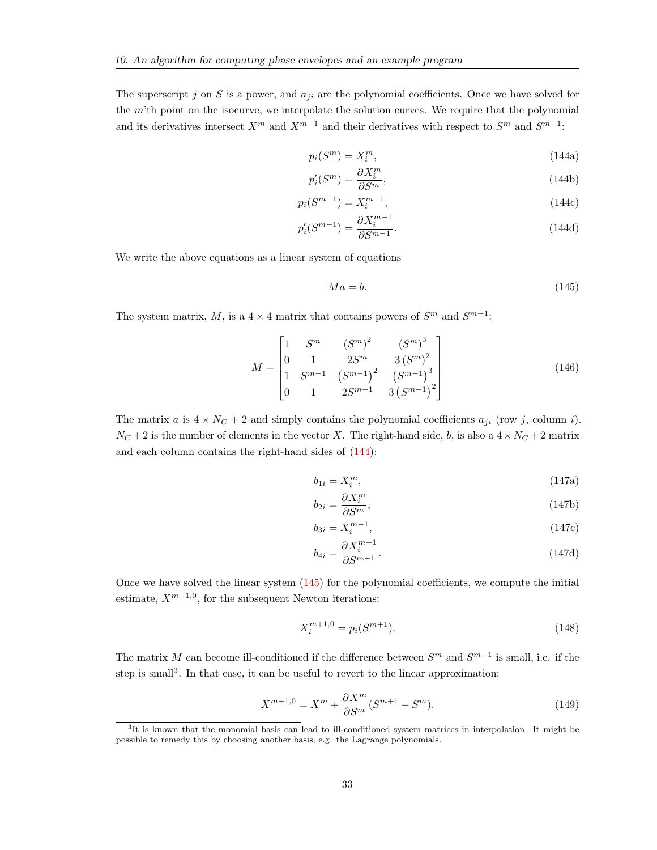The superscript j on S is a power, and  $a_{ji}$  are the polynomial coefficients. Once we have solved for the  $m$ 'th point on the isocurve, we interpolate the solution curves. We require that the polynomial and its derivatives intersect  $X^m$  and  $X^{m-1}$  and their derivatives with respect to  $S^m$  and  $S^{m-1}$ :

<span id="page-33-0"></span>
$$
p_i(S^m) = X_i^m,\tag{144a}
$$

$$
p_i'(S^m) = \frac{\partial X_i^m}{\partial S^m},\tag{144b}
$$

$$
p_i(S^{m-1}) = X_i^{m-1},\tag{144c}
$$

$$
p'_{i}(S^{m-1}) = \frac{\partial X_{i}^{m-1}}{\partial S^{m-1}}.
$$
\n(144d)

We write the above equations as a linear system of equations

<span id="page-33-1"></span>
$$
Ma = b.\t(145)
$$

The system matrix, M, is a  $4 \times 4$  matrix that contains powers of  $S<sup>m</sup>$  and  $S<sup>m-1</sup>$ :

$$
M = \begin{bmatrix} 1 & S^m & (S^m)^2 & (S^m)^3 \\ 0 & 1 & 2S^m & 3\left(S^m\right)^2 \\ 1 & S^{m-1} & \left(S^{m-1}\right)^2 & \left(S^{m-1}\right)^3 \\ 0 & 1 & 2S^{m-1} & 3\left(S^{m-1}\right)^2 \end{bmatrix} \tag{146}
$$

The matrix a is  $4 \times N_C + 2$  and simply contains the polynomial coefficients  $a_{ji}$  (row j, column i).  $N_C + 2$  is the number of elements in the vector X. The right-hand side, b, is also a  $4 \times N_C + 2$  matrix and each column contains the right-hand sides of [\(144\)](#page-33-0):

$$
b_{1i} = X_i^m,\tag{147a}
$$

$$
b_{2i} = \frac{\partial X_i^m}{\partial S^m},\tag{147b}
$$

$$
b_{3i} = X_i^{m-1},\tag{147c}
$$

$$
b_{4i} = \frac{\partial X_i^{m-1}}{\partial S^{m-1}}.\tag{147d}
$$

Once we have solved the linear system [\(145\)](#page-33-1) for the polynomial coefficients, we compute the initial estimate,  $X^{m+1,0}$ , for the subsequent Newton iterations:

$$
X_i^{m+1,0} = p_i(S^{m+1}).
$$
\n(148)

The matrix M can become ill-conditioned if the difference between  $S<sup>m</sup>$  and  $S<sup>m-1</sup>$  is small, i.e. if the step is small<sup>[3](#page-33-2)</sup>. In that case, it can be useful to revert to the linear approximation:

$$
X^{m+1,0} = X^m + \frac{\partial X^m}{\partial S^m} (S^{m+1} - S^m). \tag{149}
$$

<span id="page-33-2"></span><sup>&</sup>lt;sup>3</sup>It is known that the monomial basis can lead to ill-conditioned system matrices in interpolation. It might be possible to remedy this by choosing another basis, e.g. the Lagrange polynomials.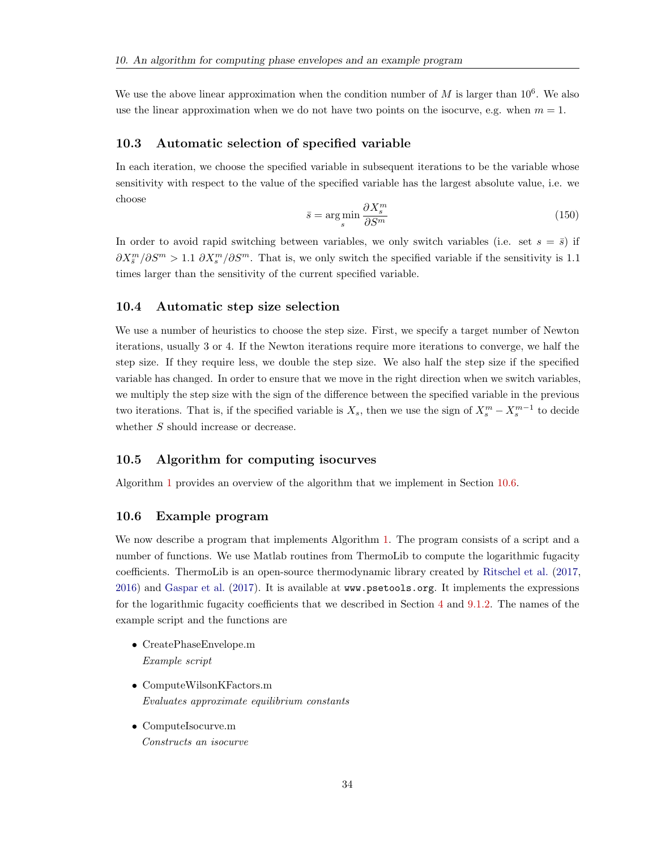We use the above linear approximation when the condition number of  $M$  is larger than  $10^6$ . We also use the linear approximation when we do not have two points on the isocurve, e.g. when  $m = 1$ .

#### <span id="page-34-0"></span>10.3 Automatic selection of specified variable

In each iteration, we choose the specified variable in subsequent iterations to be the variable whose sensitivity with respect to the value of the specified variable has the largest absolute value, i.e. we choose

$$
\bar{s} = \underset{s}{\arg\min} \frac{\partial X_s^m}{\partial S^m} \tag{150}
$$

In order to avoid rapid switching between variables, we only switch variables (i.e. set  $s = \overline{s}$ ) if  $\partial X^m_{\bar{s}}/\partial S^m > 1.1$   $\partial X^m_{s}/\partial S^m$ . That is, we only switch the specified variable if the sensitivity is 1.1 times larger than the sensitivity of the current specified variable.

#### <span id="page-34-1"></span>10.4 Automatic step size selection

We use a number of heuristics to choose the step size. First, we specify a target number of Newton iterations, usually 3 or 4. If the Newton iterations require more iterations to converge, we half the step size. If they require less, we double the step size. We also half the step size if the specified variable has changed. In order to ensure that we move in the right direction when we switch variables, we multiply the step size with the sign of the difference between the specified variable in the previous two iterations. That is, if the specified variable is  $X_s$ , then we use the sign of  $X_s^m - X_s^{m-1}$  to decide whether S should increase or decrease.

#### <span id="page-34-2"></span>10.5 Algorithm for computing isocurves

Algorithm [1](#page-35-0) provides an overview of the algorithm that we implement in Section [10.6.](#page-34-3)

#### <span id="page-34-3"></span>10.6 Example program

We now describe a program that implements Algorithm [1.](#page-35-0) The program consists of a script and a number of functions. We use Matlab routines from ThermoLib to compute the logarithmic fugacity coefficients. ThermoLib is an open-source thermodynamic library created by [Ritschel et al.](#page-52-3) [\(2017,](#page-52-3) [2016\)](#page-51-4) and [Gaspar et al.](#page-51-5) [\(2017\)](#page-51-5). It is available at www.psetools.org. It implements the expressions for the logarithmic fugacity coefficients that we described in Section [4](#page-13-2) and [9.1.2.](#page-27-0) The names of the example script and the functions are

- CreatePhaseEnvelope.m Example script
- ComputeWilsonKFactors.m Evaluates approximate equilibrium constants
- ComputeIsocurve.m Constructs an isocurve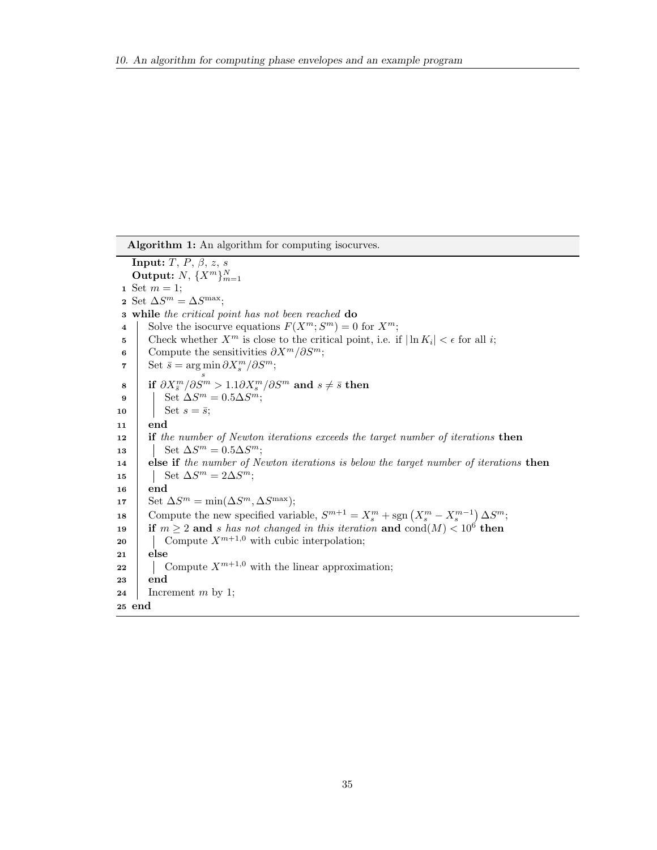<span id="page-35-0"></span>Algorithm 1: An algorithm for computing isocurves. **Input:**  $T, P, \beta, z, s$ Output:  $N, \{X^m\}_{m=1}^N$ 1 Set  $m = 1$ ; 2 Set  $\Delta S^m = \Delta S^{\text{max}};$ 3 while the critical point has not been reached do 4 Solve the isocurve equations  $F(X^m; S^m) = 0$  for  $X^m$ ; 5 Check whether  $X^m$  is close to the critical point, i.e. if  $|\ln K_i| < \epsilon$  for all i; 6 Compute the sensitivities  $\partial X^m/\partial S^m$ ;  $\bar{\sigma} \quad \right| \quad \mathrm{Set} \, \, \bar{s} = \argmin \partial X_s^m / \partial S^m;$  $\begin{array}{c} \mathbf{s}\ \mathbf{s}\ \end{array} \quad \text{if} \ \partial X^m_{\bar{s}}/\partial S^m > 1.1 \partial X^m_{s}/\partial S^m \ \text{and} \ s \neq \bar{s} \ \text{then}$  $\mathsf{9} \quad | \quad \text{Set } \Delta S^m = 0.5 \Delta S^m;$ 10 | Set  $s = \bar{s}$ ; 11 end 12 if the number of Newton iterations exceeds the target number of iterations then 13  $\Big|\quad\vert\quad \mathrm{Set}\ \Delta S^m=0.5\Delta S^m;$ 14 else if the number of Newton iterations is below the target number of iterations then 15 | Set  $\Delta S^m = 2\Delta S^m;$ 16 | end 17 Set  $\Delta S^m = \min(\Delta S^m, \Delta S^{\text{max}});$ 18 Compute the new specified variable,  $S^{m+1} = X_s^m + \text{sgn}(X_s^m - X_s^{m-1}) \Delta S^m$ ; 19 if  $m \geq 2$  and s has not changed in this iteration and  $\text{cond}(M) < 10^6$  then 20 Compute  $X^{m+1,0}$  with cubic interpolation; 21 else 22 Compute  $X^{m+1,0}$  with the linear approximation; <sup>23</sup> end 24 Increment m by 1; <sup>25</sup> end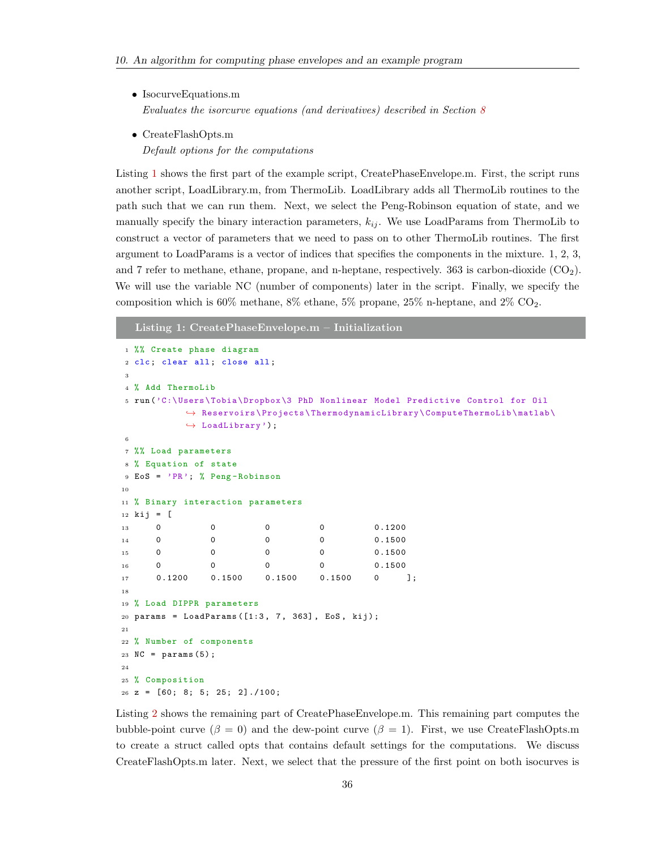- IsocurveEquations.m Evaluates the isorcurve equations (and derivatives) described in Section [8](#page-23-0)
- CreateFlashOpts.m Default options for the computations

Listing [1](#page-36-0) shows the first part of the example script, CreatePhaseEnvelope.m. First, the script runs another script, LoadLibrary.m, from ThermoLib. LoadLibrary adds all ThermoLib routines to the path such that we can run them. Next, we select the Peng-Robinson equation of state, and we manually specify the binary interaction parameters,  $k_{ij}$ . We use LoadParams from ThermoLib to construct a vector of parameters that we need to pass on to other ThermoLib routines. The first argument to LoadParams is a vector of indices that specifies the components in the mixture. 1, 2, 3, and 7 refer to methane, ethane, propane, and n-heptane, respectively. 363 is carbon-dioxide (CO2). We will use the variable NC (number of components) later in the script. Finally, we specify the composition which is  $60\%$  methane,  $8\%$  ethane,  $5\%$  propane,  $25\%$  n-heptane, and  $2\%$  CO<sub>2</sub>.

<span id="page-36-0"></span>Listing 1: CreatePhaseEnvelope.m – Initialization

```
1 %% Create phase diagram
2 clc; clear all; close all;
3
4 % Add ThermoLib
5 run ('C:\ Users \ Tobia \ Dropbox \3 PhD Nonlinear Model Predictive Control for Oil
          \leftrightarrow Reservoirs \Projects \ThermodynamicLibrary \ComputeThermoLib \matlab \
          \leftrightarrow LoadLibrary');
6
7 %% Load parameters
8 % Equation of state
9 EoS = 'PR '; % Peng - Robinson
10
11 % Binary interaction parameters
12 kij = [
13 0 0 0 0 0 0.1200
14 0 0 0 0 0 0.1500
15 0 0 0 0 0 0.1500
16 0 0 0 0 0 0.1500
17 0.1200 0.1500 0.1500 0.1500 0 ];
18
19 % Load DIPPR parameters
20 params = LoadParams ([1:3, 7, 363], EoS, kij);
21
22 % Number of components
23 \text{ NC} = \text{params}(5);
24
25 % Composition
26 \text{ z} = [60; 8; 5; 25; 2]./100;
```
Listing [2](#page-37-0) shows the remaining part of CreatePhaseEnvelope.m. This remaining part computes the bubble-point curve  $(\beta = 0)$  and the dew-point curve  $(\beta = 1)$ . First, we use CreateFlashOpts.m to create a struct called opts that contains default settings for the computations. We discuss CreateFlashOpts.m later. Next, we select that the pressure of the first point on both isocurves is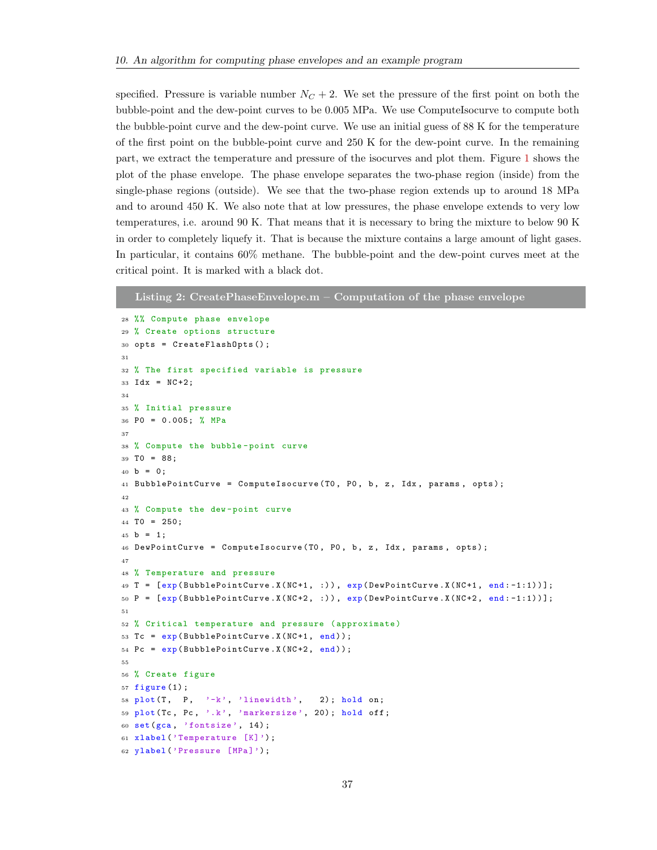specified. Pressure is variable number  $N<sub>C</sub> + 2$ . We set the pressure of the first point on both the bubble-point and the dew-point curves to be 0.005 MPa. We use ComputeIsocurve to compute both the bubble-point curve and the dew-point curve. We use an initial guess of 88 K for the temperature of the first point on the bubble-point curve and 250 K for the dew-point curve. In the remaining part, we extract the temperature and pressure of the isocurves and plot them. Figure [1](#page-38-0) shows the plot of the phase envelope. The phase envelope separates the two-phase region (inside) from the single-phase regions (outside). We see that the two-phase region extends up to around 18 MPa and to around 450 K. We also note that at low pressures, the phase envelope extends to very low temperatures, i.e. around 90 K. That means that it is necessary to bring the mixture to below 90 K in order to completely liquefy it. That is because the mixture contains a large amount of light gases. In particular, it contains 60% methane. The bubble-point and the dew-point curves meet at the critical point. It is marked with a black dot.

```
Listing 2: CreatePhaseEnvelope.m – Computation of the phase envelope
28 %% Compute phase envelope
29 % Create options structure
30 opts = CreateFlashOpts();
31
32 % The first specified variable is pressure
33 Idx = NC + 2;
34
35 % Initial pressure
36 P0 = 0.005; % MPa
37
38 % Compute the bubble - point curve
39 T0 = 88;
40 b = 0:
41 BubblePointCurve = ComputeIsocurve (T0, P0, b, z, Idx, params, opts);
42^{\circ}43 % Compute the dew - point curve
44 TO = 250;
45 b = 1;
46 DewPointCurve = ComputeIsocurve (TO, PO, b, z, Idx, params, opts);
47
48 % Temperature and pressure
49 T = [exp(BubblePointCurve.X(NC+1, :)), exp(DewPointCurve.X(NC+1, end:-1:1))];
50 P = [exp(BubblePointCurve.X(NC+2, :)), exp(DewPointCurve.X(NC+2, end:-1:1))];
51
52 % Critical temperature and pressure ( approximate )
53 Tc = exp (BubblePointCurve.X(NC+1, end));
54 Pc = exp (BubblePointCurve.X(NC+2, end));
55
56 % Create figure
57 figure (1) ;
58 plot (T, P, 'k', 'linear) ; hold on;
59 plot (Tc, Pc, '.k', 'markersize', 20); hold off;
60 set (gca , 'fontsize ', 14) ;
61 xlabel (' Temperature [K]');
62 ylabel ('Pressure [MPa]');
```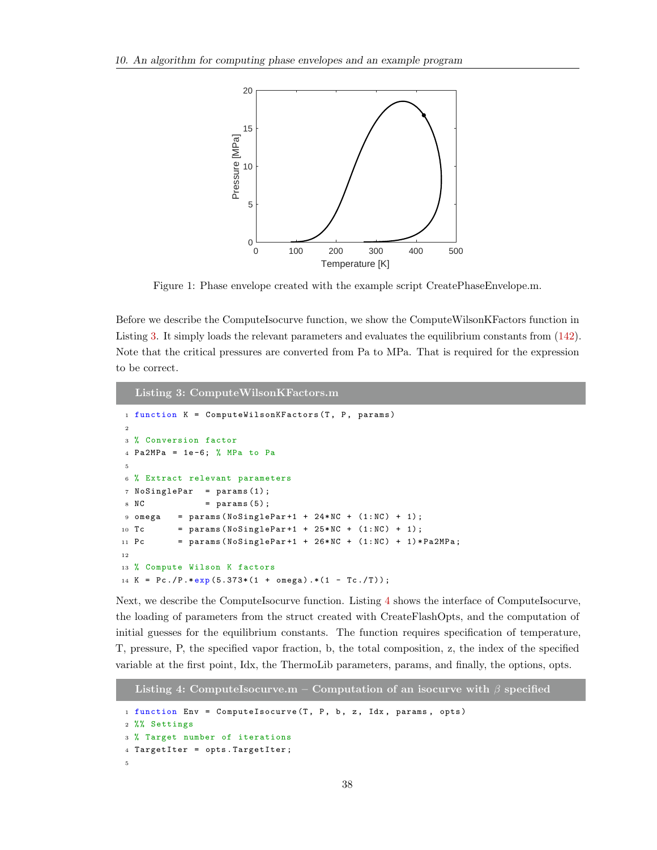<span id="page-38-0"></span>

Figure 1: Phase envelope created with the example script CreatePhaseEnvelope.m.

Before we describe the ComputeIsocurve function, we show the ComputeWilsonKFactors function in Listing [3.](#page-38-1) It simply loads the relevant parameters and evaluates the equilibrium constants from [\(142\)](#page-32-3). Note that the critical pressures are converted from Pa to MPa. That is required for the expression to be correct.

```
Listing 3: ComputeWilsonKFactors.m
1 function K = ComputeWilsonKFactors (T, P, params)
2
3 % Conversion factor
4 Pa2MPa = 1e-6; % MPa to Pa
5
6 % Extract relevant parameters
7 NoSinglePar = params(1);
8 \text{ NC} = params (5);
9 omega = params (NoSinglePar+1 + 24*NC + (1:NC) + 1);
10 Tc = params (NoSinglePar +1 + 25*NC + (1:NC) + 1);
11 Pc = params (NoSinglePar +1 + 26*NC + (1:NC) + 1)*Pa2MPa;
12
13 % Compute Wilson K factors
14 K = Pc./P.*exp(5.373*(1 + omega).*(1 - Tc./T));
```
Next, we describe the ComputeIsocurve function. Listing [4](#page-38-2) shows the interface of ComputeIsocurve, the loading of parameters from the struct created with CreateFlashOpts, and the computation of initial guesses for the equilibrium constants. The function requires specification of temperature, T, pressure, P, the specified vapor fraction, b, the total composition, z, the index of the specified variable at the first point, Idx, the ThermoLib parameters, params, and finally, the options, opts.

<span id="page-38-2"></span>Listing 4: ComputeIsocurve.m – Computation of an isocurve with  $\beta$  specified 1 function Env = ComputeIsocurve  $(T, P, b, z, Idx, params, opts)$ <sup>2</sup> %% Settings <sup>3</sup> % Target number of iterations <sup>4</sup> TargetIter = opts . TargetIter ; 5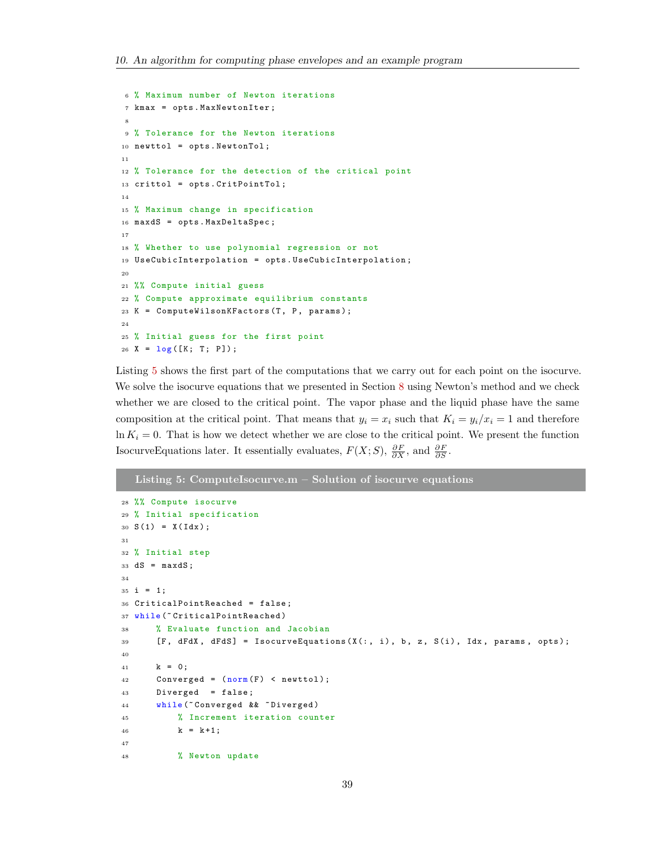```
6 % Maximum number of Newton iterations
7 kmax = opts . MaxNewtonIter ;
 8
9 % Tolerance for the Newton iterations
10 newttol = opts . NewtonTol ;
11
12 % Tolerance for the detection of the critical point
13 crittol = opts . CritPointTol ;
14
15 % Maximum change in specification
16 maxdS = opts . MaxDeltaSpec ;
17
18 % Whether to use polynomial regression or not
19 UseCubicInterpolation = opts . UseCubicInterpolation ;
20
21 %% Compute initial guess
22 % Compute approximate equilibrium constants
23 K = ComputeWilsonKFactors (T, P, params);
24
25 % Initial guess for the first point
26 X = log([K; T; P]);
```
Listing [5](#page-39-0) shows the first part of the computations that we carry out for each point on the isocurve. We solve the isocurve equations that we presented in Section [8](#page-23-0) using Newton's method and we check whether we are closed to the critical point. The vapor phase and the liquid phase have the same composition at the critical point. That means that  $y_i = x_i$  such that  $K_i = y_i/x_i = 1$  and therefore  $\ln K_i = 0$ . That is how we detect whether we are close to the critical point. We present the function IsocurveEquations later. It essentially evaluates,  $F(X; S)$ ,  $\frac{\partial F}{\partial X}$ , and  $\frac{\partial F}{\partial S}$ .

<span id="page-39-0"></span>Listing 5: ComputeIsocurve.m – Solution of isocurve equations

```
28 %% Compute isocurve
29 % Initial specification
30 S (1) = X( Idx );
31
32 % Initial step
33 \text{ dS} = maxdS;
34
35 i = 1;
36 CriticalPointReached = false ;
37 while ("CriticalPointReached)
38 % Evaluate function and Jacobian
39 [F, dFdX, dFdS] = IsocurveEquations(X(:, i), b, z, S(i), Idx, params, opts);
40
41 k = 0;42 Converged = ( norm (F) < newttol );
43 Diverged = false ;
44 while (~ Converged && ~ Diverged )
45 % Increment iteration counter
46 k = k + 1;47
48 % Newton update
```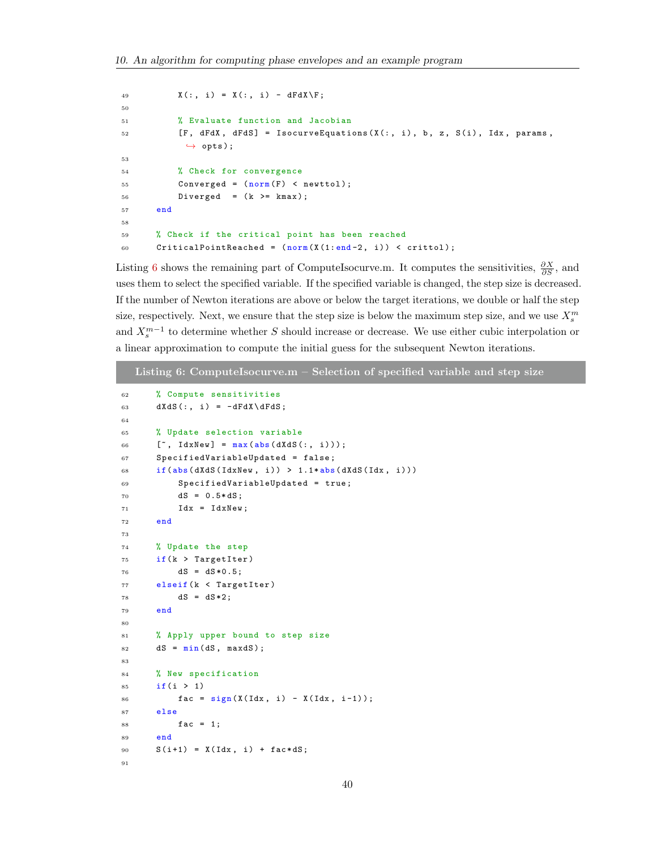```
49 X(:, i) = X(:, i) - dFdX \ F;50
51 % Evaluate function and Jacobian
52 [F, dFdX, dFdS] = IsocurveEquations (X(:, i), b, z, S(i), Idx, params,\leftrightarrow opts);
53
54 % Check for convergence
55 Converged = (norm(F) < newttol);
56 Diverged = (k >= kmax );
57 end
58
59 % Check if the critical point has been reached
60 CriticalPointReached = (norm(X(1:end-2, i)) < crittol);
```
Listing [6](#page-40-0) shows the remaining part of ComputeIsocurve.m. It computes the sensitivities,  $\frac{\partial X}{\partial S}$ , and uses them to select the specified variable. If the specified variable is changed, the step size is decreased. If the number of Newton iterations are above or below the target iterations, we double or half the step size, respectively. Next, we ensure that the step size is below the maximum step size, and we use  $X_s^m$ and  $X_s^{m-1}$  to determine whether S should increase or decrease. We use either cubic interpolation or a linear approximation to compute the initial guess for the subsequent Newton iterations.

```
Listing 6: ComputeIsocurve.m - Selection of specified variable and step size
62 % Compute sensitivities
63 dXdS(:, i) = -dFdX\ddot G;
64
65 % Update selection variable
66 [", IdxNew] = max(abs(dXdS(:, i)));
67 SpecifiedVariableUpdated = false ;
68 if(abs(dXdS(IdxNew, i)) > 1.1*abs(dXdS(Idx, i)))
69 SpecifiedVariableUpdated = true ;
70 dS = 0.5 * dS;
71 \text{Idx} = \text{IdxNew};72 end
73
74 % Update the step
75 if(k > TargetIter )
76 dS = dS *0.5;
77 elseif (k < TargetIter)
78 dS = dS *2;
79 end
80
81 % Apply upper bound to step size
82 dS = min(dS, maxdS);
83
84 % New specification
85 if(i > 1)
86 fac = sign(X(Idx, i) - X(Idx, i-1));87 else
88 fac = 1;
89 end
90 S(i+1) = X(Idx, i) + fac*dS;91
```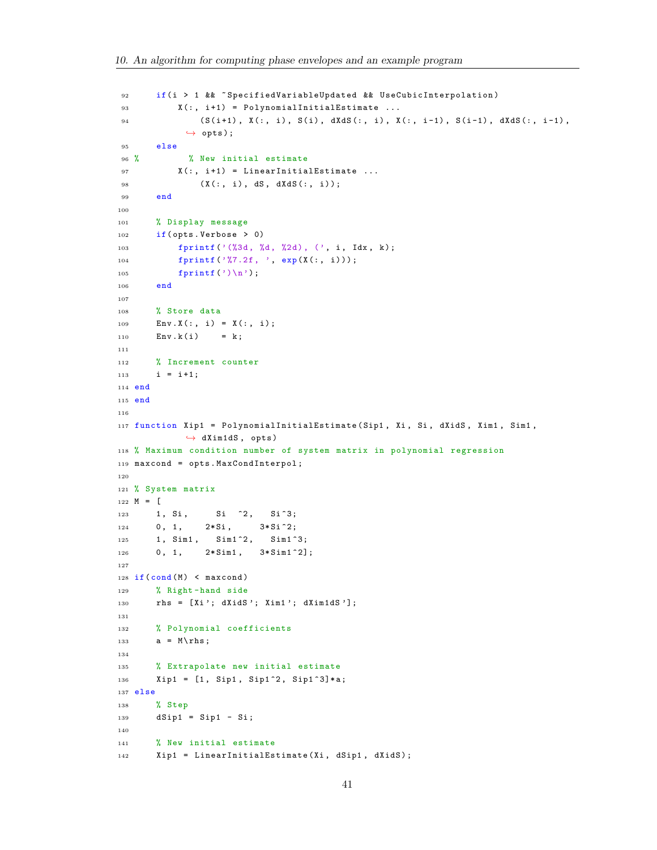```
92 if(i > 1 & % ~ SpecifiedVariableUpdated & & UseCubicInterpolation)
93 X(:, i+1) = PolynomialInitialEstimate ...
94 (S(i+1), X(:, i), S(i), dXdS(:, i), X(:, i-1), S(i-1), dXdS(:, i-1),
            \leftrightarrow opts);
95 else
96 % % New initial estimate
97 X(:, i+1) = LinearInitialEstimate ...98 (X(:, i), dS, dXdS(:, i));
99 end
100
101 % Display message
102 if( opts . Verbose > 0)
103 fprintf ('(%3d, %d, %2d), (', i, Idx, k);
104 fprintf ('%7.2f, ', exp(X(:, i)));
105 fprintf (\prime)\n\backslash n';
106 end
107
108 % Store data
109 \text{Env.X}(:, i) = X(:, i);110 \text{Env.k}(i) = k;111
112 % Increment counter
113 i = i + 1;114 end
115 end
116
117 function Xip1 = PolynomialInitialEstimate ( Sip1 , Xi , Si , dXidS , Xim1 , Sim1 ,
            \leftrightarrow dXim1dS, opts)
118 % Maximum condition number of system matrix in polynomial regression
119 maxcond = opts . MaxCondInterpol ;
120
121 % System matrix
122 M = [123 1, Si, Si <sup>2</sup>, Si 3;
124 0, 1, 2*Si, 3*Si<sup>-2</sup>;
125 1, Sim1, Sim1<sup>-2</sup>, Sim1<sup>-3</sup>;
126 0, 1, 2*Sim1, 3*Sim1<sup>-2</sup>];
127
128 if (cond (M) < maxcond)
129 % Right - hand side
130 rhs = [Xi'; dXidS'; Xim1'; dXim1dS'];
131
132 % Polynomial coefficients
133 a = M \rhd h s;
134
135 % Extrapolate new initial estimate
136 Xip1 = [1, Sip1, Sip1^2, Sip1^3] * a;137 else
138 % Step
139 dSip1 = Sip1 - Si;
140
141 % New initial estimate
142 Xip1 = LinearInitialEstimate (Xi, dSip1, dXidS);
```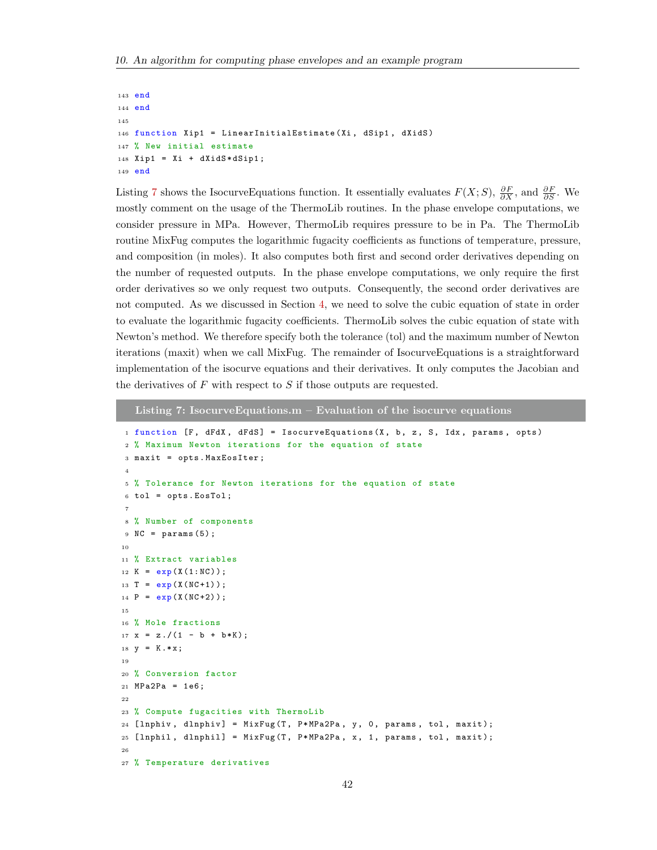```
143 end
144 end
145
146 function Xip1 = LinearInitialEstimate (Xi, dSip1, dXidS)
147 % New initial estimate
148 Xip1 = Xi + dXidS*dSip1;
149 end
```
Listing [7](#page-42-0) shows the IsocurveEquations function. It essentially evaluates  $F(X; S)$ ,  $\frac{\partial F}{\partial X}$ , and  $\frac{\partial F}{\partial S}$ . We mostly comment on the usage of the ThermoLib routines. In the phase envelope computations, we consider pressure in MPa. However, ThermoLib requires pressure to be in Pa. The ThermoLib routine MixFug computes the logarithmic fugacity coefficients as functions of temperature, pressure, and composition (in moles). It also computes both first and second order derivatives depending on the number of requested outputs. In the phase envelope computations, we only require the first order derivatives so we only request two outputs. Consequently, the second order derivatives are not computed. As we discussed in Section [4,](#page-13-2) we need to solve the cubic equation of state in order to evaluate the logarithmic fugacity coefficients. ThermoLib solves the cubic equation of state with Newton's method. We therefore specify both the tolerance (tol) and the maximum number of Newton iterations (maxit) when we call MixFug. The remainder of IsocurveEquations is a straightforward implementation of the isocurve equations and their derivatives. It only computes the Jacobian and the derivatives of  $F$  with respect to  $S$  if those outputs are requested.

<span id="page-42-0"></span>Listing 7: Isocurve Equations.m  $-$  Evaluation of the isocurve equations

```
1 function [F, dFdX, dFdS] = IsocurveEquations (X, b, z, S, Idx, params, opts)
2 % Maximum Newton iterations for the equation of state
 3 maxit = opts . MaxEosIter ;
 4
5 % Tolerance for Newton iterations for the equation of state
6 tol = opts . EosTol ;
 7
8 % Number of components
9 \text{ NC} = \text{params}(5);10
11 % Extract variables
_{12} K = _{exp}(X(1:NC));
13 T = exp(X(NC+1));
14 P = exp(X(NC+2));
15
16 % Mole fractions
17 \text{ x} = \text{z}./(1 - b + b*K);
18 \text{ y} = K \cdot * x;19
20 % Conversion factor
21 MPa2Pa = 1e6;
22
23 % Compute fugacities with ThermoLib
24 [lnphiv, dlnphiv] = MixFug (T, P*MPa2Pa, y, 0, params, tol, maxit);
25 [lnphil, dlnphil] = MixFug(T, P*MPa2Pa, x, 1, params, tol, maxit);
26
27 % Temperature derivatives
```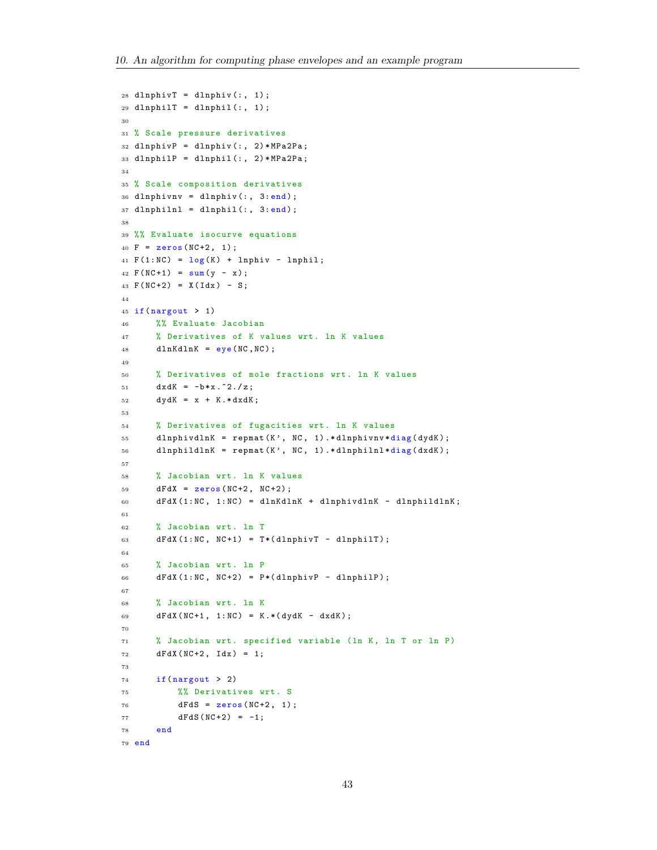```
28 dlnphivT = dlnphiv(:, 1);
29 dlnphilT = dlnphil(:, 1);
30
31 % Scale pressure derivatives
32 dlnphivP = dlnphiv(:, 2)*MPa2Pa;
33 dlnphilP = dlnphil(:, 2)*MPa2Pa;34
35 % Scale composition derivatives
36 dlnphivnv = dlnphiv(:, 3: end);
37 \text{ dlnphill } = \text{ dlnphil } (:, 3: \text{end});
38
39 %% Evaluate isocurve equations
40 F = zeros(NC + 2, 1);41 F(1:NC) = log(K) + 1nphi v - 1nphi1;42 F(NC+1) = sum(y - x);43 F(NC+2) = X(Idx) - S;44
45 if( nargout > 1)
46 %% Evaluate Jacobian
47 % Derivatives of K values wrt . ln K values
48 dlnKdlnK = eye(NC, NC);49
50 % Derivatives of mole fractions wrt . ln K values
51 dx dK = -b*x.^2./z;52 dydK = x + K.*dxdK;
53
54 % Derivatives of fugacities wrt . ln K values
55 dlnphivdlnK = repmat (K', NC, 1).*dlnphivnv*diag (dydK);
56 dlnphildlnK = repmat (K', NC, 1). *dlnphilnl *diag (dxdK);
57
58 % Jacobian wrt . ln K values
59 dFdX = zeros (NC+2, NC+2);
60 dFdX (1:NC, 1:NC) = dlnKdlnK + dlnphivdlnK - dlnphildlnK;
61
62 % Jacobian wrt. 1n T
63 dFdX (1:NC, NC+1) = T*(dlnphiivT - dlnphi1T);64
65 % Jacobian wrt . ln P
66 dFdX (1: NC, NC+2) = P*(dlnphivP - dlnphilP);
67
68 % Jacobian wrt . ln K
69 dFdX (NC+1, 1:NC) = K. * (dydK - dxdK);70
71 % Jacobian wrt . specified variable (ln K, ln T or ln P)
72 dFdX (NC+2, Idx) = 1;
73
74 if (nargout > 2)
75 %% Derivatives wrt . S
76 dFdS = zeros(NC+2, 1);T7 \t\t dFdS (NC+2) = -1;78 end
79 end
```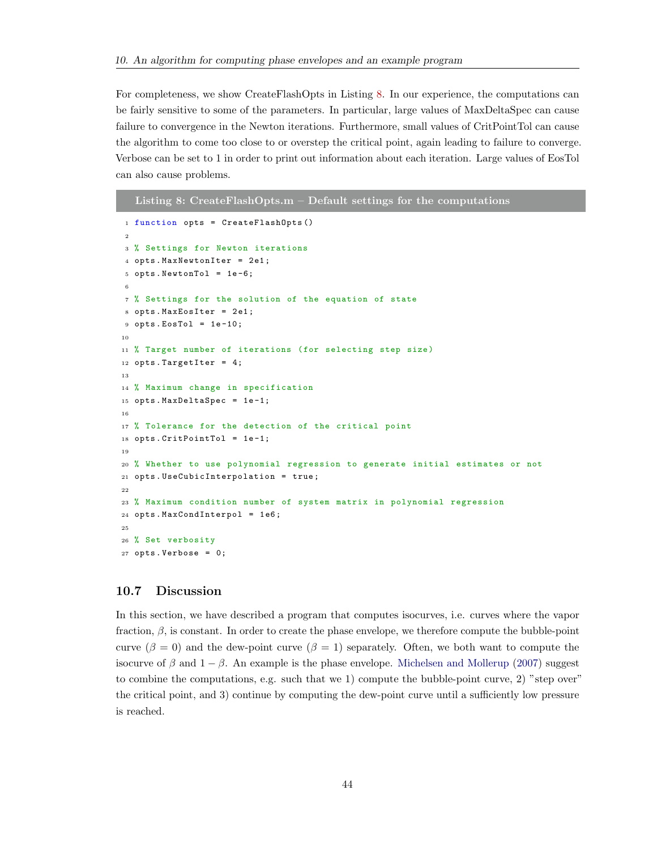For completeness, we show CreateFlashOpts in Listing [8.](#page-44-1) In our experience, the computations can be fairly sensitive to some of the parameters. In particular, large values of MaxDeltaSpec can cause failure to convergence in the Newton iterations. Furthermore, small values of CritPointTol can cause the algorithm to come too close to or overstep the critical point, again leading to failure to converge. Verbose can be set to 1 in order to print out information about each iteration. Large values of EosTol can also cause problems.

```
Listing 8: CreateFlashOpts.m – Default settings for the computations
1 function opts = CreateFlashOpts ()
2
3 % Settings for Newton iterations
4 opts. MaxNewtonIter = 2e1;
5 opts. NewtonTol = 1e-6;
 6
7 % Settings for the solution of the equation of state
8 opts. MaxEosIter = 2e1;
9 opts. EosTol = 1e-10;
10
11 % Target number of iterations (for selecting step size)
12 opts. TargetIter = 4;
13
14 % Maximum change in specification
15 opts . MaxDeltaSpec = 1e -1;
16
17 % Tolerance for the detection of the critical point
18 opts . CritPointTol = 1e -1;
19
20 % Whether to use polynomial regression to generate initial estimates or not
21 opts . UseCubicInterpolation = true ;
22
23 % Maximum condition number of system matrix in polynomial regression
24 opts . MaxCondInterpol = 1 e6 ;
25
26 % Set verbosity
27 opts. Verbose = 0;
```
#### <span id="page-44-0"></span>10.7 Discussion

In this section, we have described a program that computes isocurves, i.e. curves where the vapor fraction,  $\beta$ , is constant. In order to create the phase envelope, we therefore compute the bubble-point curve ( $\beta = 0$ ) and the dew-point curve ( $\beta = 1$ ) separately. Often, we both want to compute the isocurve of  $\beta$  and  $1 - \beta$ . An example is the phase envelope. [Michelsen and Mollerup](#page-51-1) [\(2007\)](#page-51-1) suggest to combine the computations, e.g. such that we 1) compute the bubble-point curve, 2) "step over" the critical point, and 3) continue by computing the dew-point curve until a sufficiently low pressure is reached.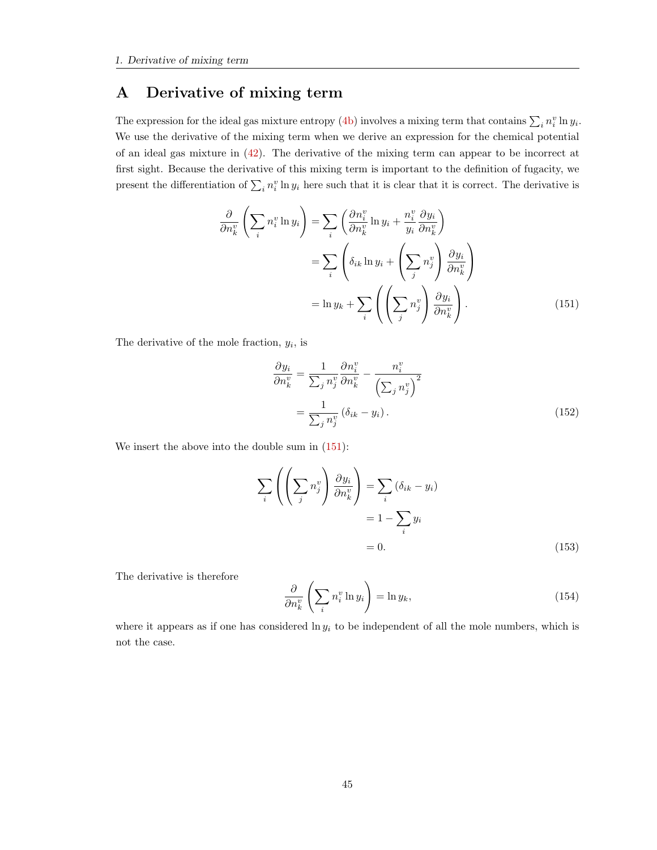### <span id="page-45-0"></span>A Derivative of mixing term

The expression for the ideal gas mixture entropy [\(4b\)](#page-6-2) involves a mixing term that contains  $\sum_i n_i^v \ln y_i$ . We use the derivative of the mixing term when we derive an expression for the chemical potential of an ideal gas mixture in [\(42\)](#page-15-1). The derivative of the mixing term can appear to be incorrect at first sight. Because the derivative of this mixing term is important to the definition of fugacity, we present the differentiation of  $\sum_i n_i^v \ln y_i$  here such that it is clear that it is correct. The derivative is

$$
\frac{\partial}{\partial n_k^v} \left( \sum_i n_i^v \ln y_i \right) = \sum_i \left( \frac{\partial n_i^v}{\partial n_k^v} \ln y_i + \frac{n_i^v}{y_i} \frac{\partial y_i}{\partial n_k^v} \right)
$$

$$
= \sum_i \left( \delta_{ik} \ln y_i + \left( \sum_j n_j^v \right) \frac{\partial y_i}{\partial n_k^v} \right)
$$

$$
= \ln y_k + \sum_i \left( \left( \sum_j n_j^v \right) \frac{\partial y_i}{\partial n_k^v} \right).
$$
(151)

The derivative of the mole fraction,  $y_i$ , is

<span id="page-45-1"></span>
$$
\frac{\partial y_i}{\partial n_k^v} = \frac{1}{\sum_j n_j^v} \frac{\partial n_i^v}{\partial n_k^v} - \frac{n_i^v}{\left(\sum_j n_j^v\right)^2}
$$

$$
= \frac{1}{\sum_j n_j^v} \left(\delta_{ik} - y_i\right). \tag{152}
$$

We insert the above into the double sum in  $(151)$ :

$$
\sum_{i} \left( \left( \sum_{j} n_{j}^{v} \right) \frac{\partial y_{i}}{\partial n_{k}^{v}} \right) = \sum_{i} \left( \delta_{ik} - y_{i} \right)
$$

$$
= 1 - \sum_{i} y_{i}
$$

$$
= 0. \tag{153}
$$

The derivative is therefore

$$
\frac{\partial}{\partial n_k^v} \left( \sum_i n_i^v \ln y_i \right) = \ln y_k,\tag{154}
$$

where it appears as if one has considered  $\ln y_i$  to be independent of all the mole numbers, which is not the case.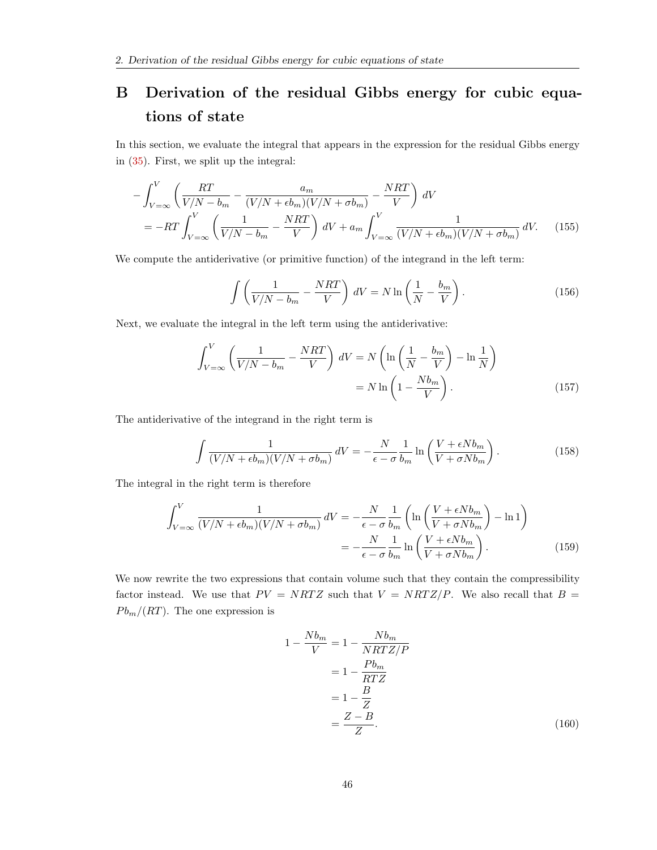# <span id="page-46-0"></span>B Derivation of the residual Gibbs energy for cubic equations of state

In this section, we evaluate the integral that appears in the expression for the residual Gibbs energy in [\(35\)](#page-13-3). First, we split up the integral:

$$
-\int_{V=\infty}^{V} \left(\frac{RT}{V/N - b_m} - \frac{a_m}{(V/N + \epsilon b_m)(V/N + \sigma b_m)} - \frac{NRT}{V}\right) dV
$$
  
=  $-RT \int_{V=\infty}^{V} \left(\frac{1}{V/N - b_m} - \frac{NRT}{V}\right) dV + a_m \int_{V=\infty}^{V} \frac{1}{(V/N + \epsilon b_m)(V/N + \sigma b_m)} dV.$  (155)

We compute the antiderivative (or primitive function) of the integrand in the left term:

$$
\int \left(\frac{1}{V/N - b_m} - \frac{NRT}{V}\right) dV = N \ln\left(\frac{1}{N} - \frac{b_m}{V}\right). \tag{156}
$$

Next, we evaluate the integral in the left term using the antiderivative:

$$
\int_{V=\infty}^{V} \left( \frac{1}{V/N - b_m} - \frac{NRT}{V} \right) dV = N \left( \ln \left( \frac{1}{N} - \frac{b_m}{V} \right) - \ln \frac{1}{N} \right)
$$

$$
= N \ln \left( 1 - \frac{Nb_m}{V} \right). \tag{157}
$$

The antiderivative of the integrand in the right term is

$$
\int \frac{1}{(V/N + \epsilon b_m)(V/N + \sigma b_m)} \, dV = -\frac{N}{\epsilon - \sigma} \frac{1}{b_m} \ln \left( \frac{V + \epsilon N b_m}{V + \sigma N b_m} \right). \tag{158}
$$

The integral in the right term is therefore

$$
\int_{V=\infty}^{V} \frac{1}{(V/N + \epsilon b_m)(V/N + \sigma b_m)} dV = -\frac{N}{\epsilon - \sigma} \frac{1}{b_m} \left( \ln \left( \frac{V + \epsilon N b_m}{V + \sigma N b_m} \right) - \ln 1 \right)
$$

$$
= -\frac{N}{\epsilon - \sigma} \frac{1}{b_m} \ln \left( \frac{V + \epsilon N b_m}{V + \sigma N b_m} \right). \tag{159}
$$

We now rewrite the two expressions that contain volume such that they contain the compressibility factor instead. We use that  $PV = NRTZ$  such that  $V = NRTZ/P$ . We also recall that  $B =$  $Pb_m/(RT)$ . The one expression is

$$
1 - \frac{Nb_m}{V} = 1 - \frac{Nb_m}{NRTZ/P}
$$

$$
= 1 - \frac{Pb_m}{RTZ}
$$

$$
= 1 - \frac{B}{Z}
$$

$$
= \frac{Z - B}{Z}.
$$
(160)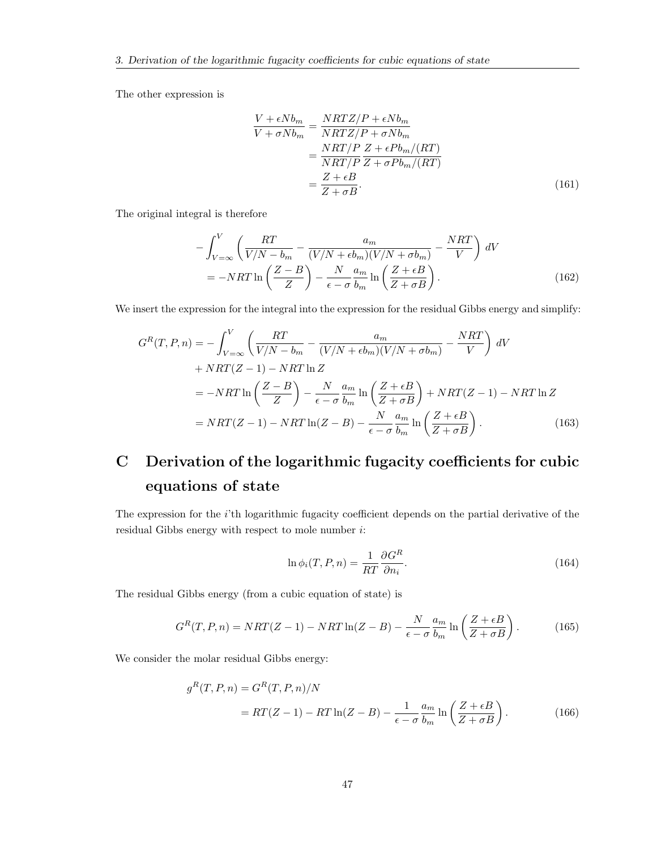The other expression is

$$
\frac{V + \epsilon N b_m}{V + \sigma N b_m} = \frac{NRTZ/P + \epsilon N b_m}{NRTZ/P + \sigma N b_m}
$$

$$
= \frac{NRT/P}{NRT/P} \frac{Z + \epsilon P b_m/(RT)}{Z + \sigma P b_m/(RT)}
$$

$$
= \frac{Z + \epsilon B}{Z + \sigma B}.
$$
(161)

The original integral is therefore

$$
-\int_{V=\infty}^{V} \left( \frac{RT}{V/N - b_m} - \frac{a_m}{(V/N + \epsilon b_m)(V/N + \sigma b_m)} - \frac{NRT}{V} \right) dV
$$
  
=  $-NRT \ln \left( \frac{Z - B}{Z} \right) - \frac{N}{\epsilon - \sigma} \frac{a_m}{b_m} \ln \left( \frac{Z + \epsilon B}{Z + \sigma B} \right).$  (162)

We insert the expression for the integral into the expression for the residual Gibbs energy and simplify:

$$
G^{R}(T, P, n) = -\int_{V=\infty}^{V} \left( \frac{RT}{V/N - b_{m}} - \frac{a_{m}}{(V/N + \epsilon b_{m})(V/N + \sigma b_{m})} - \frac{NRT}{V} \right) dV
$$
  
+  $NRT(Z - 1) - NRT \ln Z$   
=  $-NRT \ln \left( \frac{Z - B}{Z} \right) - \frac{N}{\epsilon - \sigma} \frac{a_{m}}{b_{m}} \ln \left( \frac{Z + \epsilon B}{Z + \sigma B} \right) + NRT(Z - 1) - NRT \ln Z$   
=  $NRT(Z - 1) - NRT \ln(Z - B) - \frac{N}{\epsilon - \sigma} \frac{a_{m}}{b_{m}} \ln \left( \frac{Z + \epsilon B}{Z + \sigma B} \right).$  (163)

# <span id="page-47-0"></span>C Derivation of the logarithmic fugacity coefficients for cubic equations of state

The expression for the i'th logarithmic fugacity coefficient depends on the partial derivative of the residual Gibbs energy with respect to mole number  $i$ :

$$
\ln \phi_i(T, P, n) = \frac{1}{RT} \frac{\partial G^R}{\partial n_i}.
$$
\n(164)

The residual Gibbs energy (from a cubic equation of state) is

$$
G^{R}(T, P, n) = NRT(Z - 1) - NRT \ln(Z - B) - \frac{N}{\epsilon - \sigma} \frac{a_m}{b_m} \ln\left(\frac{Z + \epsilon B}{Z + \sigma B}\right). \tag{165}
$$

We consider the molar residual Gibbs energy:

$$
g^{R}(T, P, n) = G^{R}(T, P, n)/N
$$
  
=  $RT(Z - 1) - RT \ln(Z - B) - \frac{1}{\epsilon - \sigma} \frac{a_{m}}{b_{m}} \ln\left(\frac{Z + \epsilon B}{Z + \sigma B}\right).$  (166)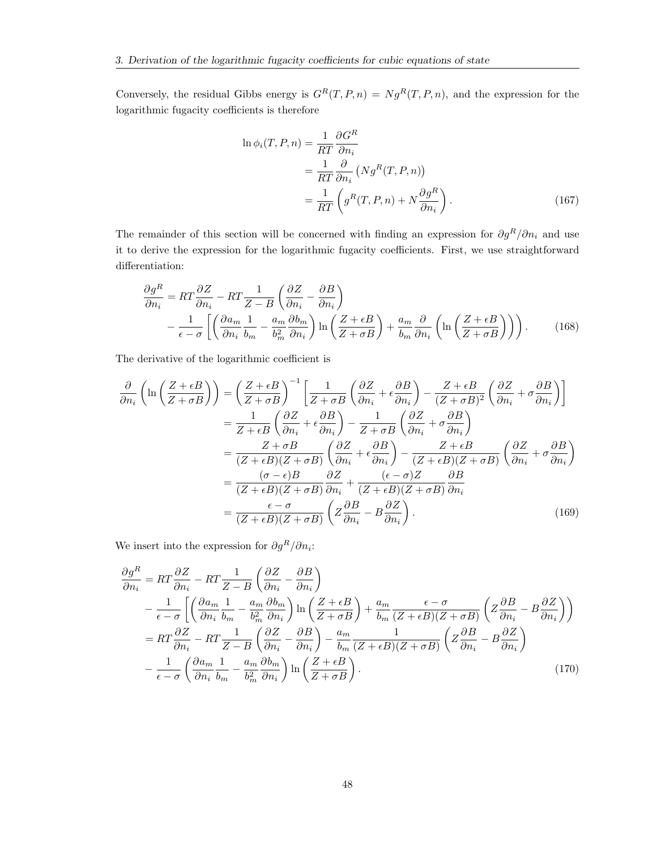Conversely, the residual Gibbs energy is  $G^{R}(T, P, n) = Ng^{R}(T, P, n)$ , and the expression for the logarithmic fugacity coefficients is therefore

$$
\ln \phi_i(T, P, n) = \frac{1}{RT} \frac{\partial G^R}{\partial n_i}
$$
  
= 
$$
\frac{1}{RT} \frac{\partial}{\partial n_i} (N g^R(T, P, n))
$$
  
= 
$$
\frac{1}{RT} \left( g^R(T, P, n) + N \frac{\partial g^R}{\partial n_i} \right).
$$
 (167)

The remainder of this section will be concerned with finding an expression for  $\partial g^R/\partial n_i$  and use it to derive the expression for the logarithmic fugacity coefficients. First, we use straightforward differentiation:

$$
\frac{\partial g^R}{\partial n_i} = RT \frac{\partial Z}{\partial n_i} - RT \frac{1}{Z - B} \left( \frac{\partial Z}{\partial n_i} - \frac{\partial B}{\partial n_i} \right) \n- \frac{1}{\epsilon - \sigma} \left[ \left( \frac{\partial a_m}{\partial n_i} \frac{1}{b_m} - \frac{a_m}{b_m^2} \frac{\partial b_m}{\partial n_i} \right) \ln \left( \frac{Z + \epsilon B}{Z + \sigma B} \right) + \frac{a_m}{b_m} \frac{\partial}{\partial n_i} \left( \ln \left( \frac{Z + \epsilon B}{Z + \sigma B} \right) \right) \right).
$$
\n(168)

The derivative of the logarithmic coefficient is

$$
\frac{\partial}{\partial n_i} \left( \ln \left( \frac{Z + \epsilon B}{Z + \sigma B} \right) \right) = \left( \frac{Z + \epsilon B}{Z + \sigma B} \right)^{-1} \left[ \frac{1}{Z + \sigma B} \left( \frac{\partial Z}{\partial n_i} + \epsilon \frac{\partial B}{\partial n_i} \right) - \frac{Z + \epsilon B}{(Z + \sigma B)^2} \left( \frac{\partial Z}{\partial n_i} + \sigma \frac{\partial B}{\partial n_i} \right) \right]
$$
\n
$$
= \frac{1}{Z + \epsilon B} \left( \frac{\partial Z}{\partial n_i} + \epsilon \frac{\partial B}{\partial n_i} \right) - \frac{1}{Z + \sigma B} \left( \frac{\partial Z}{\partial n_i} + \sigma \frac{\partial B}{\partial n_i} \right)
$$
\n
$$
= \frac{Z + \sigma B}{(Z + \epsilon B)(Z + \sigma B)} \left( \frac{\partial Z}{\partial n_i} + \epsilon \frac{\partial B}{\partial n_i} \right) - \frac{Z + \epsilon B}{(Z + \epsilon B)(Z + \sigma B)} \left( \frac{\partial Z}{\partial n_i} + \sigma \frac{\partial B}{\partial n_i} \right)
$$
\n
$$
= \frac{(\sigma - \epsilon)B}{(Z + \epsilon B)(Z + \sigma B)} \frac{\partial Z}{\partial n_i} + \frac{(\epsilon - \sigma)Z}{(Z + \epsilon B)(Z + \sigma B)} \frac{\partial B}{\partial n_i}
$$
\n
$$
= \frac{\epsilon - \sigma}{(Z + \epsilon B)(Z + \sigma B)} \left( Z \frac{\partial B}{\partial n_i} - B \frac{\partial Z}{\partial n_i} \right). \tag{169}
$$

We insert into the expression for  $\partial g^R / \partial n_i$ :

$$
\frac{\partial g^{R}}{\partial n_{i}} = RT \frac{\partial Z}{\partial n_{i}} - RT \frac{1}{Z - B} \left( \frac{\partial Z}{\partial n_{i}} - \frac{\partial B}{\partial n_{i}} \right)
$$
  
\n
$$
- \frac{1}{\epsilon - \sigma} \left[ \left( \frac{\partial a_{m}}{\partial n_{i}} \frac{1}{b_{m}} - \frac{a_{m}}{b_{m}^{2}} \frac{\partial b_{m}}{\partial n_{i}} \right) \ln \left( \frac{Z + \epsilon B}{Z + \sigma B} \right) + \frac{a_{m}}{b_{m}} \frac{\epsilon - \sigma}{(Z + \epsilon B)(Z + \sigma B)} \left( Z \frac{\partial B}{\partial n_{i}} - B \frac{\partial Z}{\partial n_{i}} \right) \right)
$$
  
\n
$$
= RT \frac{\partial Z}{\partial n_{i}} - RT \frac{1}{Z - B} \left( \frac{\partial Z}{\partial n_{i}} - \frac{\partial B}{\partial n_{i}} \right) - \frac{a_{m}}{b_{m}} \frac{1}{(Z + \epsilon B)(Z + \sigma B)} \left( Z \frac{\partial B}{\partial n_{i}} - B \frac{\partial Z}{\partial n_{i}} \right)
$$
  
\n
$$
- \frac{1}{\epsilon - \sigma} \left( \frac{\partial a_{m}}{\partial n_{i}} \frac{1}{b_{m}} - \frac{a_{m}}{b_{m}^{2}} \frac{\partial b_{m}}{\partial n_{i}} \right) \ln \left( \frac{Z + \epsilon B}{Z + \sigma B} \right). \tag{170}
$$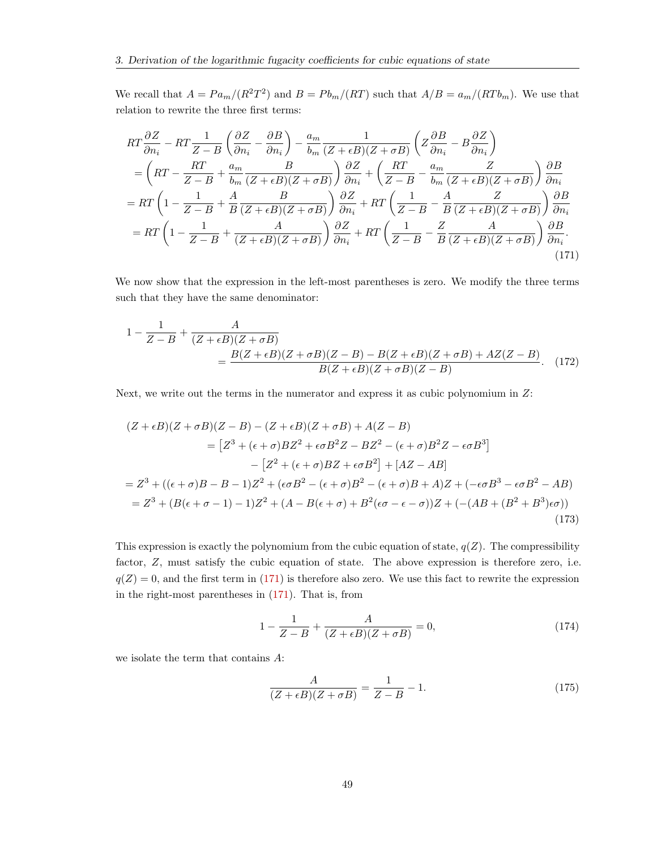We recall that  $A = Pa_m/(R^2T^2)$  and  $B = Pb_m/(RT)$  such that  $A/B = a_m/(RTb_m)$ . We use that relation to rewrite the three first terms:

$$
RT\frac{\partial Z}{\partial n_i} - RT\frac{1}{Z - B}\left(\frac{\partial Z}{\partial n_i} - \frac{\partial B}{\partial n_i}\right) - \frac{a_m}{b_m}\frac{1}{(Z + \epsilon B)(Z + \sigma B)}\left(Z\frac{\partial B}{\partial n_i} - B\frac{\partial Z}{\partial n_i}\right)
$$
  
= 
$$
\left(RT - \frac{RT}{Z - B} + \frac{a_m}{b_m}\frac{B}{(Z + \epsilon B)(Z + \sigma B)}\right)\frac{\partial Z}{\partial n_i} + \left(\frac{RT}{Z - B} - \frac{a_m}{b_m}\frac{Z}{(Z + \epsilon B)(Z + \sigma B)}\right)\frac{\partial B}{\partial n_i}
$$
  
= 
$$
RT\left(1 - \frac{1}{Z - B} + \frac{A}{B}\frac{B}{(Z + \epsilon B)(Z + \sigma B)}\right)\frac{\partial Z}{\partial n_i} + RT\left(\frac{1}{Z - B} - \frac{A}{B}\frac{Z}{(Z + \epsilon B)(Z + \sigma B)}\right)\frac{\partial B}{\partial n_i}
$$
  
= 
$$
RT\left(1 - \frac{1}{Z - B} + \frac{A}{(Z + \epsilon B)(Z + \sigma B)}\right)\frac{\partial Z}{\partial n_i} + RT\left(\frac{1}{Z - B} - \frac{Z}{B}\frac{A}{(Z + \epsilon B)(Z + \sigma B)}\right)\frac{\partial B}{\partial n_i}.
$$
(171)

We now show that the expression in the left-most parentheses is zero. We modify the three terms such that they have the same denominator:

<span id="page-49-0"></span>
$$
1 - \frac{1}{Z - B} + \frac{A}{(Z + \epsilon B)(Z + \sigma B)}
$$
  
= 
$$
\frac{B(Z + \epsilon B)(Z + \sigma B)(Z - B) - B(Z + \epsilon B)(Z + \sigma B) + AZ(Z - B)}{B(Z + \epsilon B)(Z + \sigma B)(Z - B)}.
$$
 (172)

Next, we write out the terms in the numerator and express it as cubic polynomium in Z:

$$
(Z + \epsilon B)(Z + \sigma B)(Z - B) - (Z + \epsilon B)(Z + \sigma B) + A(Z - B)
$$
  
\n
$$
= [Z^3 + (\epsilon + \sigma)BZ^2 + \epsilon \sigma B^2 Z - BZ^2 - (\epsilon + \sigma)B^2 Z - \epsilon \sigma B^3]
$$
  
\n
$$
- [Z^2 + (\epsilon + \sigma)BZ + \epsilon \sigma B^2] + [AZ - AB]
$$
  
\n
$$
= Z^3 + ((\epsilon + \sigma)B - B - 1)Z^2 + (\epsilon \sigma B^2 - (\epsilon + \sigma)B^2 - (\epsilon + \sigma)B + A)Z + (-\epsilon \sigma B^3 - \epsilon \sigma B^2 - AB)
$$
  
\n
$$
= Z^3 + (B(\epsilon + \sigma - 1) - 1)Z^2 + (A - B(\epsilon + \sigma) + B^2(\epsilon \sigma - \epsilon - \sigma))Z + (-(AB + (B^2 + B^3)\epsilon \sigma))
$$
  
\n(173)

This expression is exactly the polynomium from the cubic equation of state,  $q(Z)$ . The compressibility factor, Z, must satisfy the cubic equation of state. The above expression is therefore zero, i.e.  $q(Z) = 0$ , and the first term in [\(171\)](#page-49-0) is therefore also zero. We use this fact to rewrite the expression in the right-most parentheses in [\(171\)](#page-49-0). That is, from

$$
1 - \frac{1}{Z - B} + \frac{A}{(Z + \epsilon B)(Z + \sigma B)} = 0,
$$
\n(174)

we isolate the term that contains A:

$$
\frac{A}{(Z+\epsilon B)(Z+\sigma B)} = \frac{1}{Z-B} - 1.
$$
\n(175)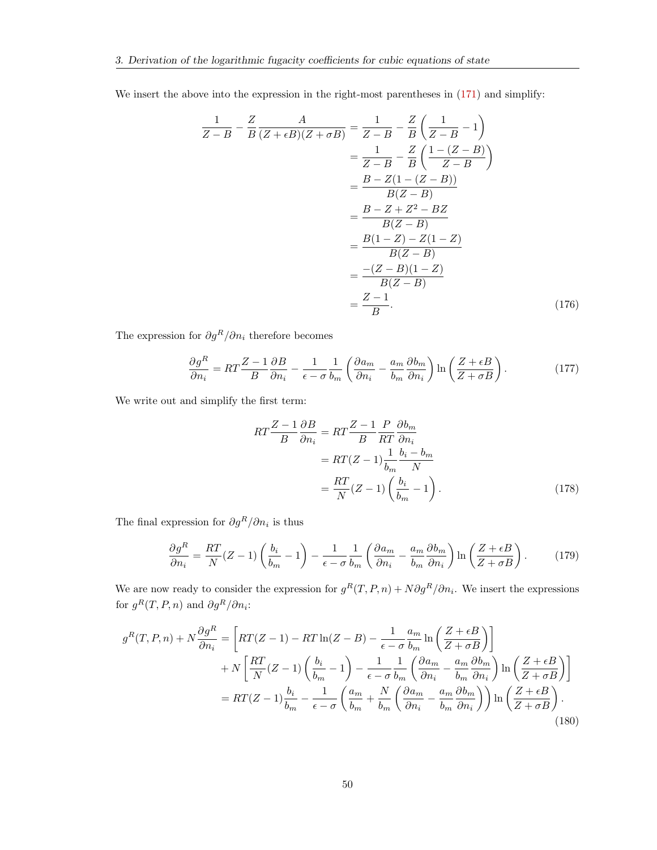We insert the above into the expression in the right-most parentheses in  $(171)$  and simplify:

$$
\frac{1}{Z-B} - \frac{Z}{B} \frac{A}{(Z+\epsilon B)(Z+\sigma B)} = \frac{1}{Z-B} - \frac{Z}{B} \left(\frac{1}{Z-B} - 1\right)
$$

$$
= \frac{1}{Z-B} - \frac{Z}{B} \left(\frac{1-(Z-B)}{Z-B}\right)
$$

$$
= \frac{B-Z(1-(Z-B))}{B(Z-B)}
$$

$$
= \frac{B-Z+Z^2-BZ}{B(Z-B)}
$$

$$
= \frac{B(1-Z)-Z(1-Z)}{B(Z-B)}
$$

$$
= \frac{-(Z-B)(1-Z)}{B(Z-B)}
$$

$$
= \frac{Z-1}{B}.
$$
(176)

The expression for  $\partial g^R/\partial n_i$  therefore becomes

$$
\frac{\partial g^R}{\partial n_i} = RT \frac{Z - 1}{B} \frac{\partial B}{\partial n_i} - \frac{1}{\epsilon - \sigma} \frac{1}{b_m} \left( \frac{\partial a_m}{\partial n_i} - \frac{a_m}{b_m} \frac{\partial b_m}{\partial n_i} \right) \ln \left( \frac{Z + \epsilon B}{Z + \sigma B} \right). \tag{177}
$$

We write out and simplify the first term:

$$
RT\frac{Z-1}{B}\frac{\partial B}{\partial n_i} = RT\frac{Z-1}{B}\frac{P}{RT}\frac{\partial b_m}{\partial n_i}
$$
  
=  $RT(Z-1)\frac{1}{b_m}\frac{b_i - b_m}{N}$   
=  $\frac{RT}{N}(Z-1)\left(\frac{b_i}{b_m} - 1\right).$  (178)

The final expression for  $\partial g^R / \partial n_i$  is thus

$$
\frac{\partial g^R}{\partial n_i} = \frac{RT}{N}(Z-1)\left(\frac{b_i}{b_m} - 1\right) - \frac{1}{\epsilon - \sigma} \frac{1}{b_m} \left(\frac{\partial a_m}{\partial n_i} - \frac{a_m}{b_m} \frac{\partial b_m}{\partial n_i}\right) \ln\left(\frac{Z + \epsilon B}{Z + \sigma B}\right). \tag{179}
$$

We are now ready to consider the expression for  $g^R(T, P, n) + N \partial g^R / \partial n_i$ . We insert the expressions for  $g^R(T, P, n)$  and  $\partial g^R/\partial n_i$ :

$$
g^{R}(T, P, n) + N \frac{\partial g^{R}}{\partial n_{i}} = \left[ RT(Z - 1) - RT \ln(Z - B) - \frac{1}{\epsilon - \sigma} \frac{a_{m}}{b_{m}} \ln \left( \frac{Z + \epsilon B}{Z + \sigma B} \right) \right] + N \left[ \frac{RT}{N} (Z - 1) \left( \frac{b_{i}}{b_{m}} - 1 \right) - \frac{1}{\epsilon - \sigma} \frac{1}{b_{m}} \left( \frac{\partial a_{m}}{\partial n_{i}} - \frac{a_{m}}{b_{m}} \frac{\partial b_{m}}{\partial n_{i}} \right) \ln \left( \frac{Z + \epsilon B}{Z + \sigma B} \right) \right] = RT(Z - 1) \frac{b_{i}}{b_{m}} - \frac{1}{\epsilon - \sigma} \left( \frac{a_{m}}{b_{m}} + \frac{N}{b_{m}} \left( \frac{\partial a_{m}}{\partial n_{i}} - \frac{a_{m}}{b_{m}} \frac{\partial b_{m}}{\partial n_{i}} \right) \right) \ln \left( \frac{Z + \epsilon B}{Z + \sigma B} \right).
$$
(180)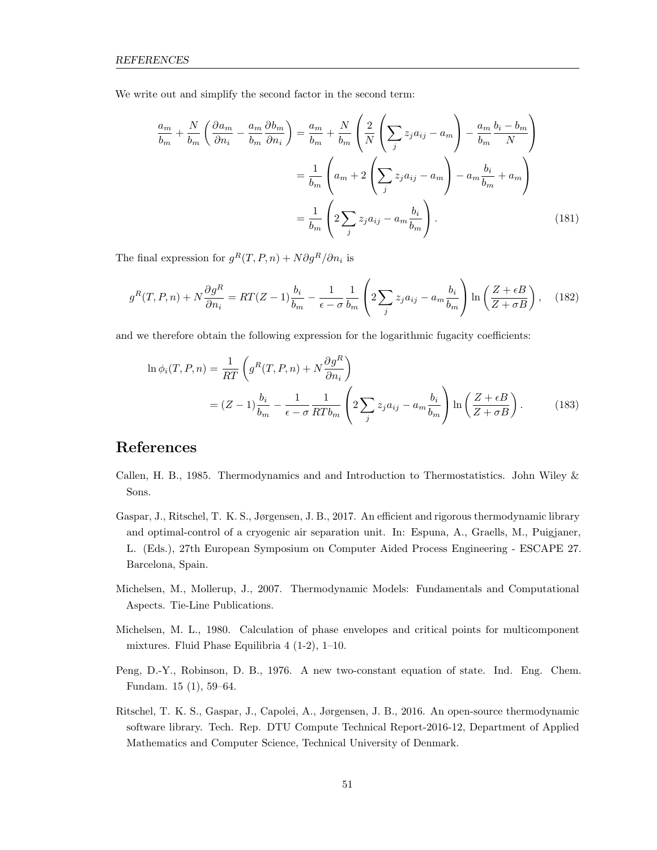We write out and simplify the second factor in the second term:

$$
\frac{a_m}{b_m} + \frac{N}{b_m} \left( \frac{\partial a_m}{\partial n_i} - \frac{a_m}{b_m} \frac{\partial b_m}{\partial n_i} \right) = \frac{a_m}{b_m} + \frac{N}{b_m} \left( \frac{2}{N} \left( \sum_j z_j a_{ij} - a_m \right) - \frac{a_m}{b_m} \frac{b_i - b_m}{N} \right)
$$

$$
= \frac{1}{b_m} \left( a_m + 2 \left( \sum_j z_j a_{ij} - a_m \right) - a_m \frac{b_i}{b_m} + a_m \right)
$$

$$
= \frac{1}{b_m} \left( 2 \sum_j z_j a_{ij} - a_m \frac{b_i}{b_m} \right).
$$
(181)

The final expression for  $g^R(T, P, n) + N \partial g^R / \partial n_i$  is

$$
g^{R}(T, P, n) + N \frac{\partial g^{R}}{\partial n_{i}} = RT(Z - 1) \frac{b_{i}}{b_{m}} - \frac{1}{\epsilon - \sigma} \frac{1}{b_{m}} \left( 2 \sum_{j} z_{j} a_{ij} - a_{m} \frac{b_{i}}{b_{m}} \right) \ln \left( \frac{Z + \epsilon B}{Z + \sigma B} \right), \quad (182)
$$

and we therefore obtain the following expression for the logarithmic fugacity coefficients:

$$
\ln \phi_i(T, P, n) = \frac{1}{RT} \left( g^R(T, P, n) + N \frac{\partial g^R}{\partial n_i} \right)
$$
  
=  $(Z - 1) \frac{b_i}{b_m} - \frac{1}{\epsilon - \sigma} \frac{1}{RT b_m} \left( 2 \sum_j z_j a_{ij} - a_m \frac{b_i}{b_m} \right) \ln \left( \frac{Z + \epsilon B}{Z + \sigma B} \right).$  (183)

### References

- <span id="page-51-0"></span>Callen, H. B., 1985. Thermodynamics and and Introduction to Thermostatistics. John Wiley & Sons.
- <span id="page-51-5"></span>Gaspar, J., Ritschel, T. K. S., Jørgensen, J. B., 2017. An efficient and rigorous thermodynamic library and optimal-control of a cryogenic air separation unit. In: Espuna, A., Graells, M., Puigjaner, L. (Eds.), 27th European Symposium on Computer Aided Process Engineering - ESCAPE 27. Barcelona, Spain.
- <span id="page-51-1"></span>Michelsen, M., Mollerup, J., 2007. Thermodynamic Models: Fundamentals and Computational Aspects. Tie-Line Publications.
- <span id="page-51-3"></span>Michelsen, M. L., 1980. Calculation of phase envelopes and critical points for multicomponent mixtures. Fluid Phase Equilibria 4 (1-2), 1–10.
- <span id="page-51-2"></span>Peng, D.-Y., Robinson, D. B., 1976. A new two-constant equation of state. Ind. Eng. Chem. Fundam. 15 (1), 59–64.
- <span id="page-51-4"></span>Ritschel, T. K. S., Gaspar, J., Capolei, A., Jørgensen, J. B., 2016. An open-source thermodynamic software library. Tech. Rep. DTU Compute Technical Report-2016-12, Department of Applied Mathematics and Computer Science, Technical University of Denmark.